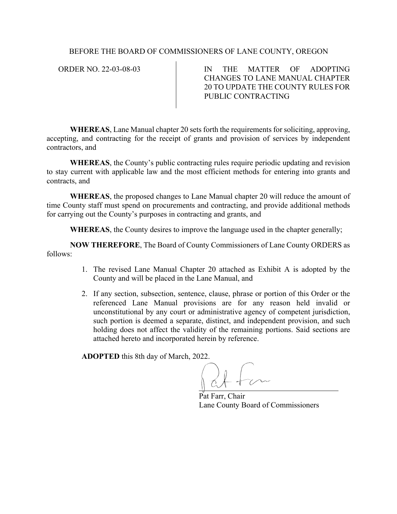# BEFORE THE BOARD OF COMMISSIONERS OF LANE COUNTY, OREGON

ORDER NO. 22-03-08-03 | IN THE MATTER OF ADOPTING CHANGES TO LANE MANUAL CHAPTER 20 TO UPDATE THE COUNTY RULES FOR PUBLIC CONTRACTING

**WHEREAS**, Lane Manual chapter 20 sets forth the requirements for soliciting, approving, accepting, and contracting for the receipt of grants and provision of services by independent contractors, and

**WHEREAS**, the County's public contracting rules require periodic updating and revision to stay current with applicable law and the most efficient methods for entering into grants and contracts, and

**WHEREAS**, the proposed changes to Lane Manual chapter 20 will reduce the amount of time County staff must spend on procurements and contracting, and provide additional methods for carrying out the County's purposes in contracting and grants, and

**WHEREAS**, the County desires to improve the language used in the chapter generally;

**NOW THEREFORE**, The Board of County Commissioners of Lane County ORDERS as follows:

- 1. The revised Lane Manual Chapter 20 attached as Exhibit A is adopted by the County and will be placed in the Lane Manual, and
- 2. If any section, subsection, sentence, clause, phrase or portion of this Order or the referenced Lane Manual provisions are for any reason held invalid or unconstitutional by any court or administrative agency of competent jurisdiction, such portion is deemed a separate, distinct, and independent provision, and such holding does not affect the validity of the remaining portions. Said sections are attached hereto and incorporated herein by reference.

**ADOPTED** this 8th day of March, 2022.

Pat Farr, Chair Lane County Board of Commissioners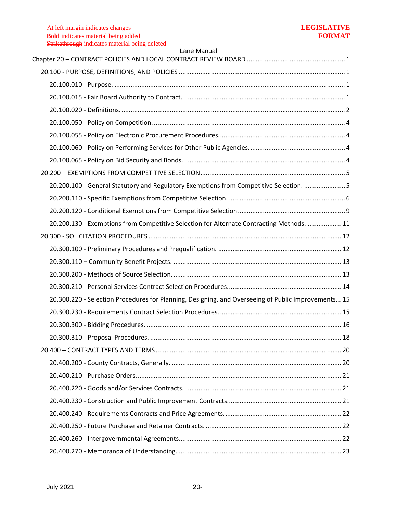| Lane Manual                                                                                         |  |
|-----------------------------------------------------------------------------------------------------|--|
|                                                                                                     |  |
|                                                                                                     |  |
|                                                                                                     |  |
|                                                                                                     |  |
|                                                                                                     |  |
|                                                                                                     |  |
|                                                                                                     |  |
|                                                                                                     |  |
|                                                                                                     |  |
| 20.200.100 - General Statutory and Regulatory Exemptions from Competitive Selection. 5              |  |
|                                                                                                     |  |
|                                                                                                     |  |
| 20.200.130 - Exemptions from Competitive Selection for Alternate Contracting Methods.  11           |  |
|                                                                                                     |  |
|                                                                                                     |  |
|                                                                                                     |  |
|                                                                                                     |  |
|                                                                                                     |  |
| 20.300.220 - Selection Procedures for Planning, Designing, and Overseeing of Public Improvements 15 |  |
|                                                                                                     |  |
|                                                                                                     |  |
|                                                                                                     |  |
|                                                                                                     |  |
|                                                                                                     |  |
|                                                                                                     |  |
|                                                                                                     |  |
|                                                                                                     |  |
|                                                                                                     |  |
|                                                                                                     |  |
|                                                                                                     |  |
|                                                                                                     |  |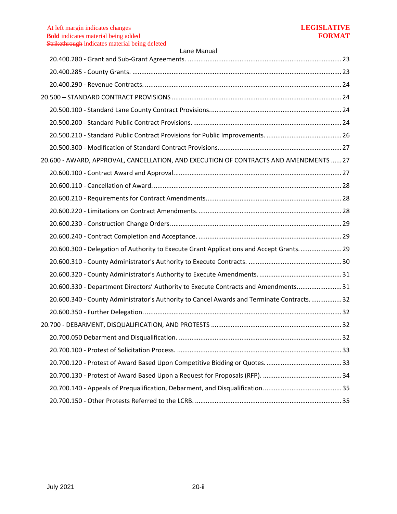|  | 20.600 - AWARD, APPROVAL, CANCELLATION, AND EXECUTION OF CONTRACTS AND AMENDMENTS 27      |  |  |
|--|-------------------------------------------------------------------------------------------|--|--|
|  |                                                                                           |  |  |
|  |                                                                                           |  |  |
|  |                                                                                           |  |  |
|  |                                                                                           |  |  |
|  |                                                                                           |  |  |
|  |                                                                                           |  |  |
|  | 20.600.300 - Delegation of Authority to Execute Grant Applications and Accept Grants 29   |  |  |
|  |                                                                                           |  |  |
|  |                                                                                           |  |  |
|  | 20.600.330 - Department Directors' Authority to Execute Contracts and Amendments 31       |  |  |
|  | 20.600.340 - County Administrator's Authority to Cancel Awards and Terminate Contracts 32 |  |  |
|  |                                                                                           |  |  |
|  |                                                                                           |  |  |
|  |                                                                                           |  |  |
|  |                                                                                           |  |  |
|  |                                                                                           |  |  |
|  |                                                                                           |  |  |
|  |                                                                                           |  |  |
|  |                                                                                           |  |  |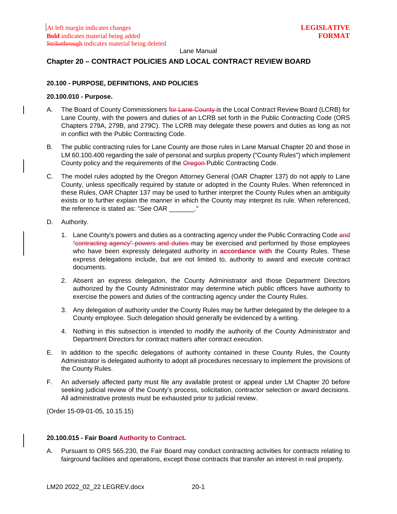## <span id="page-3-0"></span>**Chapter 20 – CONTRACT POLICIES AND LOCAL CONTRACT REVIEW BOARD**

# <span id="page-3-1"></span>**20.100 - PURPOSE, DEFINITIONS, AND POLICIES**

# <span id="page-3-2"></span>**20.100.010 - Purpose.**

- A. The Board of County Commissioners for Lane County is the Local Contract Review Board (LCRB) for Lane County, with the powers and duties of an LCRB set forth in the Public Contracting Code (ORS Chapters 279A, 279B, and 279C). The LCRB may delegate these powers and duties as long as not in conflict with the Public Contracting Code.
- B. The public contracting rules for Lane County are those rules in Lane Manual Chapter 20 and those in LM 60.100.400 regarding the sale of personal and surplus property ("County Rules") which implement County policy and the requirements of the Oregon Public Contracting Code.
- C. The model rules adopted by the Oregon Attorney General (OAR Chapter 137) do not apply to Lane County, unless specifically required by statute or adopted in the County Rules. When referenced in these Rules, OAR Chapter 137 may be used to further interpret the County Rules when an ambiguity exists or to further explain the manner in which the County may interpret its rule. When referenced, the reference is stated as: "*See* OAR \_\_\_\_\_\_\_."
- D. Authority.
	- 1. Lane County's powers and duties as a contracting agency under the Public Contracting Code and "contracting agency" powers and duties may be exercised and performed by those employees who have been expressly delegated authority in **accordance with** the County Rules. These express delegations include, but are not limited to, authority to award and execute contract documents.
	- 2. Absent an express delegation, the County Administrator and those Department Directors authorized by the County Administrator may determine which public officers have authority to exercise the powers and duties of the contracting agency under the County Rules.
	- 3. Any delegation of authority under the County Rules may be further delegated by the delegee to a County employee. Such delegation should generally be evidenced by a writing.
	- 4. Nothing in this subsection is intended to modify the authority of the County Administrator and Department Directors for contract matters after contract execution.
- E. In addition to the specific delegations of authority contained in these County Rules, the County Administrator is delegated authority to adopt all procedures necessary to implement the provisions of the County Rules.
- F. An adversely affected party must file any available protest or appeal under LM Chapter 20 before seeking judicial review of the County's process, solicitation, contractor selection or award decisions. All administrative protests must be exhausted prior to judicial review.

(Order 15-09-01-05, 10.15.15)

### <span id="page-3-3"></span>**20.100.015 - Fair Board Authority to Contract.**

A. Pursuant to ORS 565.230, the Fair Board may conduct contracting activities for contracts relating to fairground facilities and operations, except those contracts that transfer an interest in real property.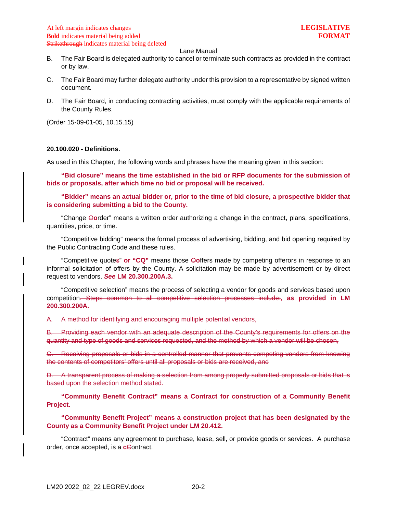- B. The Fair Board is delegated authority to cancel or terminate such contracts as provided in the contract or by law.
- C. The Fair Board may further delegate authority under this provision to a representative by signed written document.
- D. The Fair Board, in conducting contracting activities, must comply with the applicable requirements of the County Rules.

(Order 15-09-01-05, 10.15.15)

#### <span id="page-4-0"></span>**20.100.020 - Definitions.**

As used in this Chapter, the following words and phrases have the meaning given in this section:

**"Bid closure" means the time established in the bid or RFP documents for the submission of bids or proposals, after which time no bid or proposal will be received.**

**"Bidder" means an actual bidder or, prior to the time of bid closure, a prospective bidder that is considering submitting a bid to the County.**

"Change O**o**rder" means a written order authorizing a change in the contract, plans, specifications, quantities, price, or time.

"Competitive bidding" means the formal process of advertising, bidding, and bid opening required by the Public Contracting Code and these rules.

"Competitive quotes" **or "CQ"** means those O**o**ffers made by competing offerors in response to an informal solicitation of offers by the County. A solicitation may be made by advertisement or by direct request to vendors. *See* **LM 20.300.200A.3.**

"Competitive selection" means the process of selecting a vendor for goods and services based upon competition. Steps common to all competitive selection processes include:**, as provided in LM 200.300.200A.**

A. A method for identifying and encouraging multiple potential vendors,

B. Providing each vendor with an adequate description of the County's requirements for offers on the quantity and type of goods and services requested, and the method by which a vendor will be chosen,

C. Receiving proposals or bids in a controlled manner that prevents competing vendors from knowing the contents of competitors' offers until all proposals or bids are received, and

D. A transparent process of making a selection from among properly submitted proposals or bids that is based upon the selection method stated.

**"Community Benefit Contract" means a Contract for construction of a Community Benefit Project.**

# **"Community Benefit Project" means a construction project that has been designated by the County as a Community Benefit Project under LM 20.412.**

"Contract" means any agreement to purchase, lease, sell, or provide goods or services. A purchase order, once accepted, is a **c**Contract.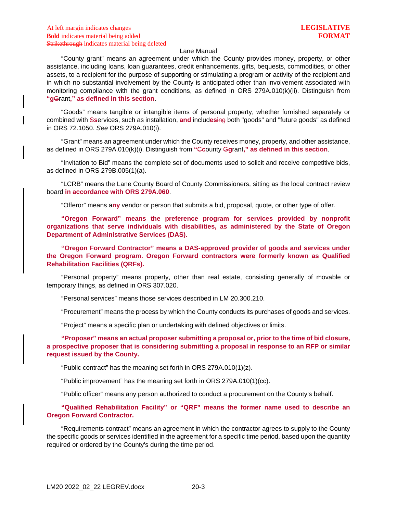"County grant" means an agreement under which the County provides money, property, or other assistance, including loans, loan guarantees, credit enhancements, gifts, bequests, commodities, or other assets, to a recipient for the purpose of supporting or stimulating a program or activity of the recipient and in which no substantial involvement by the County is anticipated other than involvement associated with monitoring compliance with the grant conditions, as defined in ORS 279A.010(k)(ii). Distinguish from **"g**Grant**," as defined in this section**.

"Goods" means tangible or intangible items of personal property, whether furnished separately or combined with S**s**ervices, such as installation, **and** includ**es**ing both "goods" and "future goods" as defined in ORS 72.1050. *See* ORS 279A.010(i).

"Grant" means an agreement under which the County receives money, property, and other assistance, as defined in ORS 279A.010(k)(i). Distinguish from **"**C**c**ounty G**g**rant**," as defined in this section**.

"Invitation to Bid" means the complete set of documents used to solicit and receive competitive bids, as defined in ORS 279B.005(1)(a).

"LCRB" means the Lane County Board of County Commissioners, sitting as the local contract review board **in accordance with ORS 279A.060**.

"Offeror" means a**ny** vendor or person that submits a bid, proposal, quote, or other type of offer.

**"Oregon Forward" means the preference program for services provided by nonprofit organizations that serve individuals with disabilities, as administered by the State of Oregon Department of Administrative Services (DAS).**

**"Oregon Forward Contractor" means a DAS-approved provider of goods and services under the Oregon Forward program. Oregon Forward contractors were formerly known as Qualified Rehabilitation Facilities (QRFs).** 

"Personal property" means property, other than real estate, consisting generally of movable or temporary things, as defined in ORS 307.020.

"Personal services" means those services described in LM 20.300.210.

"Procurement" means the process by which the County conducts its purchases of goods and services.

"Project" means a specific plan or undertaking with defined objectives or limits.

**"Proposer" means an actual proposer submitting a proposal or, prior to the time of bid closure, a prospective proposer that is considering submitting a proposal in response to an RFP or similar request issued by the County.**

"Public contract" has the meaning set forth in ORS 279A.010(1)(z).

"Public improvement" has the meaning set forth in ORS 279A.010(1)(cc).

"Public officer" means any person authorized to conduct a procurement on the County's behalf.

**"Qualified Rehabilitation Facility" or "QRF" means the former name used to describe an Oregon Forward Contractor.**

"Requirements contract" means an agreement in which the contractor agrees to supply to the County the specific goods or services identified in the agreement for a specific time period, based upon the quantity required or ordered by the County's during the time period.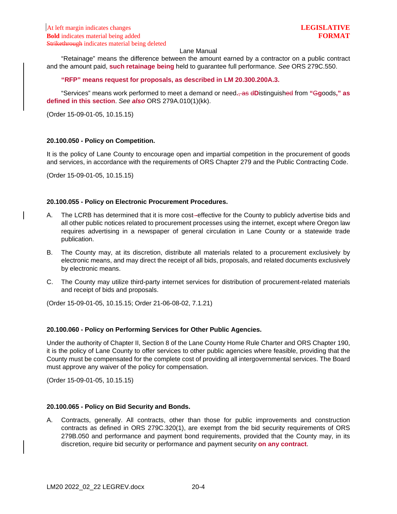"Retainage" means the difference between the amount earned by a contractor on a public contract and the amount paid, **such retainage being** held to guarantee full performance. *See* ORS 279C.550.

## **"RFP" means request for proposals, as described in LM 20.300.200A.3.**

"Services" means work performed to meet a demand or need**.**, as d**D**istinguished from **"**G**g**oods**," as defined in this section**. *See also* ORS 279A.010(1)(kk).

(Order 15-09-01-05, 10.15.15)

### <span id="page-6-0"></span>**20.100.050 - Policy on Competition.**

It is the policy of Lane County to encourage open and impartial competition in the procurement of goods and services, in accordance with the requirements of ORS Chapter 279 and the Public Contracting Code.

(Order 15-09-01-05, 10.15.15)

### <span id="page-6-1"></span>**20.100.055 - Policy on Electronic Procurement Procedures.**

- A. The LCRB has determined that it is more cost-effective for the County to publicly advertise bids and all other public notices related to procurement processes using the internet, except where Oregon law requires advertising in a newspaper of general circulation in Lane County or a statewide trade publication.
- B. The County may, at its discretion, distribute all materials related to a procurement exclusively by electronic means, and may direct the receipt of all bids, proposals, and related documents exclusively by electronic means.
- C. The County may utilize third-party internet services for distribution of procurement-related materials and receipt of bids and proposals.

(Order 15-09-01-05, 10.15.15; Order 21-06-08-02, 7.1.21)

### <span id="page-6-2"></span>**20.100.060 - Policy on Performing Services for Other Public Agencies.**

Under the authority of Chapter II, Section 8 of the Lane County Home Rule Charter and ORS Chapter 190, it is the policy of Lane County to offer services to other public agencies where feasible, providing that the County must be compensated for the complete cost of providing all intergovernmental services. The Board must approve any waiver of the policy for compensation.

(Order 15-09-01-05, 10.15.15)

## <span id="page-6-3"></span>**20.100.065 - Policy on Bid Security and Bonds.**

A. Contracts, generally. All contracts, other than those for public improvements and construction contracts as defined in ORS 279C.320(1), are exempt from the bid security requirements of ORS 279B.050 and performance and payment bond requirements, provided that the County may, in its discretion, require bid security or performance and payment security **on any contract**.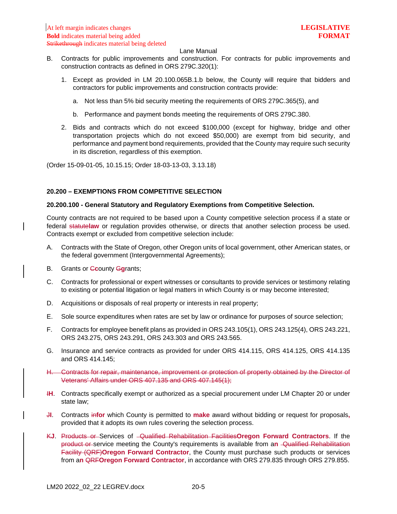- B. Contracts for public improvements and construction. For contracts for public improvements and construction contracts as defined in ORS 279C.320(1):
	- 1. Except as provided in LM 20.100.065B.1.b below, the County will require that bidders and contractors for public improvements and construction contracts provide:
		- a. Not less than 5% bid security meeting the requirements of ORS 279C.365(5), and
		- b. Performance and payment bonds meeting the requirements of ORS 279C.380.
	- 2. Bids and contracts which do not exceed \$100,000 (except for highway, bridge and other transportation projects which do not exceed \$50,000) are exempt from bid security, and performance and payment bond requirements, provided that the County may require such security in its discretion, regardless of this exemption.

(Order 15-09-01-05, 10.15.15; Order 18-03-13-03, 3.13.18)

### <span id="page-7-0"></span>**20.200 – EXEMPTIONS FROM COMPETITIVE SELECTION**

### <span id="page-7-1"></span>**20.200.100 - General Statutory and Regulatory Exemptions from Competitive Selection.**

County contracts are not required to be based upon a County competitive selection process if a state or federal statute**law** or regulation provides otherwise, or directs that another selection process be used. Contracts exempt or excluded from competitive selection include:

- A. Contracts with the State of Oregon, other Oregon units of local government, other American states, or the federal government (Intergovernmental Agreements);
- B. Grants or C**c**ounty G**g**rants;
- C. Contracts for professional or expert witnesses or consultants to provide services or testimony relating to existing or potential litigation or legal matters in which County is or may become interested;
- D. Acquisitions or disposals of real property or interests in real property;
- E. Sole source expenditures when rates are set by law or ordinance for purposes of source selection;
- F. Contracts for employee benefit plans as provided in ORS 243.105(1), ORS 243.125(4), ORS 243.221, ORS 243.275, ORS 243.291, ORS 243.303 and ORS 243.565.
- G. Insurance and service contracts as provided for under ORS 414.115, ORS 414.125, ORS 414.135 and ORS 414.145;
- H. Contracts for repair, maintenance, improvement or protection of property obtained by the Director of Veterans' Affairs under ORS 407.135 and ORS 407.145(1);
- **IH.** Contracts specifically exempt or authorized as a special procurement under LM Chapter 20 or under state law;
- J**I**. Contracts in**for** which County is permitted to **make** award without bidding or request for proposals**,** provided that it adopts its own rules covering the selection process.
- K**J**. Products or Services of Qualified Rehabilitation Facilities**Oregon Forward Contractors**. If the product or service meeting the County's requirements is available from a**n** Qualified Rehabilitation Facility (QRF)**Oregon Forward Contractor**, the County must purchase such products or services from a**n** QRF**Oregon Forward Contractor**, in accordance with ORS 279.835 through ORS 279.855.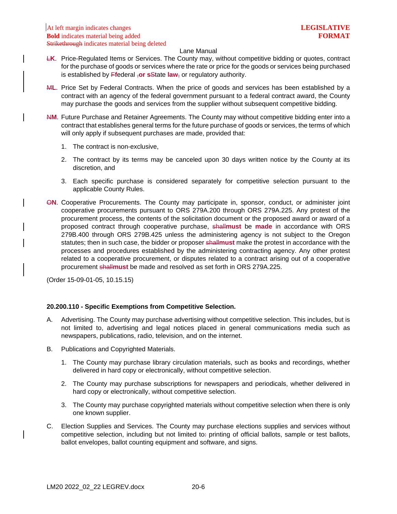- L**K**. Price-Regulated Items or Services. The County may, without competitive bidding or quotes, contract for the purchase of goods or services where the rate or price for the goods or services being purchased is established by F**f**ederal ,**or s**State **law**, or regulatory authority.
- M**L**. Price Set by Federal Contracts. When the price of goods and services has been established by a contract with an agency of the federal government pursuant to a federal contract award, the County may purchase the goods and services from the supplier without subsequent competitive bidding.
- N**M**. Future Purchase and Retainer Agreements. The County may without competitive bidding enter into a contract that establishes general terms for the future purchase of goods or services, the terms of which will only apply if subsequent purchases are made, provided that:
	- 1. The contract is non-exclusive,
	- 2. The contract by its terms may be canceled upon 30 days written notice by the County at its discretion, and
	- 3. Each specific purchase is considered separately for competitive selection pursuant to the applicable County Rules.
- O**N**. Cooperative Procurements. The County may participate in, sponsor, conduct, or administer joint cooperative procurements pursuant to ORS 279A.200 through ORS 279A.225. Any protest of the procurement process, the contents of the solicitation document or the proposed award or award of a proposed contract through cooperative purchase, shall**must** be **made** in accordance with ORS 279B.400 through ORS 279B.425 unless the administering agency is not subject to the Oregon statutes; then in such case, the bidder or proposer shall**must** make the protest in accordance with the processes and procedures established by the administering contracting agency. Any other protest related to a cooperative procurement, or disputes related to a contract arising out of a cooperative procurement shall**must** be made and resolved as set forth in ORS 279A.225.

(Order 15-09-01-05, 10.15.15)

## <span id="page-8-0"></span>**20.200.110 - Specific Exemptions from Competitive Selection.**

- A. Advertising. The County may purchase advertising without competitive selection. This includes, but is not limited to, advertising and legal notices placed in general communications media such as newspapers, publications, radio, television, and on the internet.
- B. Publications and Copyrighted Materials.
	- 1. The County may purchase library circulation materials, such as books and recordings, whether delivered in hard copy or electronically, without competitive selection.
	- 2. The County may purchase subscriptions for newspapers and periodicals, whether delivered in hard copy or electronically, without competitive selection.
	- 3. The County may purchase copyrighted materials without competitive selection when there is only one known supplier.
- C. Election Supplies and Services. The County may purchase elections supplies and services without competitive selection, including but not limited to: printing of official ballots, sample or test ballots, ballot envelopes, ballot counting equipment and software, and signs.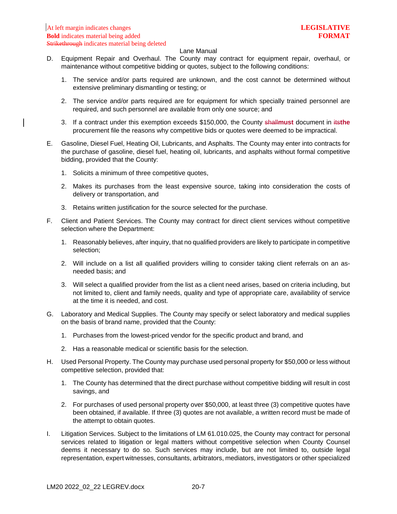- D. Equipment Repair and Overhaul. The County may contract for equipment repair, overhaul, or maintenance without competitive bidding or quotes, subject to the following conditions:
	- 1. The service and/or parts required are unknown, and the cost cannot be determined without extensive preliminary dismantling or testing; or
	- 2. The service and/or parts required are for equipment for which specially trained personnel are required, and such personnel are available from only one source; and
	- 3. If a contract under this exemption exceeds \$150,000, the County shall**must** document in its**the** procurement file the reasons why competitive bids or quotes were deemed to be impractical.
- E. Gasoline, Diesel Fuel, Heating Oil, Lubricants, and Asphalts. The County may enter into contracts for the purchase of gasoline, diesel fuel, heating oil, lubricants, and asphalts without formal competitive bidding, provided that the County:
	- 1. Solicits a minimum of three competitive quotes,
	- 2. Makes its purchases from the least expensive source, taking into consideration the costs of delivery or transportation, and
	- 3. Retains written justification for the source selected for the purchase.
- F. Client and Patient Services. The County may contract for direct client services without competitive selection where the Department:
	- 1. Reasonably believes, after inquiry, that no qualified providers are likely to participate in competitive selection;
	- 2. Will include on a list all qualified providers willing to consider taking client referrals on an asneeded basis; and
	- 3. Will select a qualified provider from the list as a client need arises, based on criteria including, but not limited to, client and family needs, quality and type of appropriate care, availability of service at the time it is needed, and cost.
- G. Laboratory and Medical Supplies. The County may specify or select laboratory and medical supplies on the basis of brand name, provided that the County:
	- 1. Purchases from the lowest-priced vendor for the specific product and brand, and
	- 2. Has a reasonable medical or scientific basis for the selection.
- H. Used Personal Property. The County may purchase used personal property for \$50,000 or less without competitive selection, provided that:
	- 1. The County has determined that the direct purchase without competitive bidding will result in cost savings, and
	- 2. For purchases of used personal property over \$50,000, at least three (3) competitive quotes have been obtained, if available. If three (3) quotes are not available, a written record must be made of the attempt to obtain quotes.
- I. Litigation Services. Subject to the limitations of LM 61.010.025, the County may contract for personal services related to litigation or legal matters without competitive selection when County Counsel deems it necessary to do so. Such services may include, but are not limited to, outside legal representation, expert witnesses, consultants, arbitrators, mediators, investigators or other specialized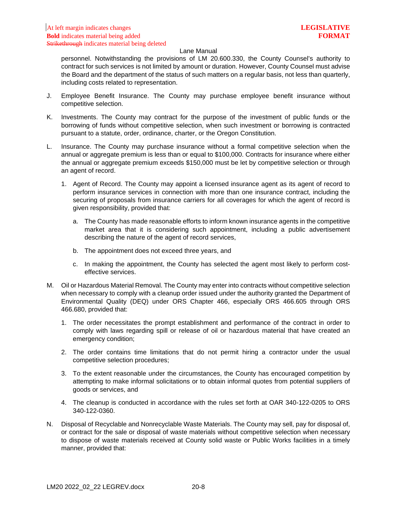personnel. Notwithstanding the provisions of LM 20.600.330, the County Counsel's authority to contract for such services is not limited by amount or duration. However, County Counsel must advise the Board and the department of the status of such matters on a regular basis, not less than quarterly, including costs related to representation.

- J. Employee Benefit Insurance. The County may purchase employee benefit insurance without competitive selection.
- K. Investments. The County may contract for the purpose of the investment of public funds or the borrowing of funds without competitive selection, when such investment or borrowing is contracted pursuant to a statute, order, ordinance, charter, or the Oregon Constitution.
- L. Insurance. The County may purchase insurance without a formal competitive selection when the annual or aggregate premium is less than or equal to \$100,000. Contracts for insurance where either the annual or aggregate premium exceeds \$150,000 must be let by competitive selection or through an agent of record.
	- 1. Agent of Record. The County may appoint a licensed insurance agent as its agent of record to perform insurance services in connection with more than one insurance contract, including the securing of proposals from insurance carriers for all coverages for which the agent of record is given responsibility, provided that:
		- a. The County has made reasonable efforts to inform known insurance agents in the competitive market area that it is considering such appointment, including a public advertisement describing the nature of the agent of record services,
		- b. The appointment does not exceed three years, and
		- c. In making the appointment, the County has selected the agent most likely to perform costeffective services.
- M. Oil or Hazardous Material Removal. The County may enter into contracts without competitive selection when necessary to comply with a cleanup order issued under the authority granted the Department of Environmental Quality (DEQ) under ORS Chapter 466, especially ORS 466.605 through ORS 466.680, provided that:
	- 1. The order necessitates the prompt establishment and performance of the contract in order to comply with laws regarding spill or release of oil or hazardous material that have created an emergency condition;
	- 2. The order contains time limitations that do not permit hiring a contractor under the usual competitive selection procedures;
	- 3. To the extent reasonable under the circumstances, the County has encouraged competition by attempting to make informal solicitations or to obtain informal quotes from potential suppliers of goods or services, and
	- 4. The cleanup is conducted in accordance with the rules set forth at OAR 340-122-0205 to ORS 340-122-0360.
- N. Disposal of Recyclable and Nonrecyclable Waste Materials. The County may sell, pay for disposal of, or contract for the sale or disposal of waste materials without competitive selection when necessary to dispose of waste materials received at County solid waste or Public Works facilities in a timely manner, provided that: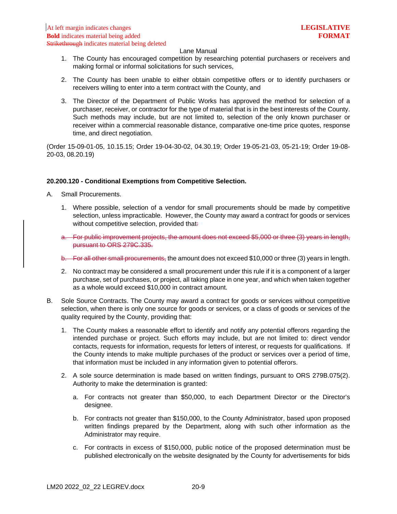- 1. The County has encouraged competition by researching potential purchasers or receivers and making formal or informal solicitations for such services,
- 2. The County has been unable to either obtain competitive offers or to identify purchasers or receivers willing to enter into a term contract with the County, and
- 3. The Director of the Department of Public Works has approved the method for selection of a purchaser, receiver, or contractor for the type of material that is in the best interests of the County. Such methods may include, but are not limited to, selection of the only known purchaser or receiver within a commercial reasonable distance, comparative one-time price quotes, response time, and direct negotiation.

(Order 15-09-01-05, 10.15.15; Order 19-04-30-02, 04.30.19; Order 19-05-21-03, 05-21-19; Order 19-08- 20-03, 08.20.19)

### <span id="page-11-0"></span>**20.200.120 - Conditional Exemptions from Competitive Selection.**

- A. Small Procurements.
	- 1. Where possible, selection of a vendor for small procurements should be made by competitive selection, unless impracticable. However, the County may award a contract for goods or services without competitive selection, provided that-
	- a. For public improvement projects, the amount does not exceed \$5,000 or three (3) years in length, pursuant to ORS 279C.335.
	- b. For all other small procurements, the amount does not exceed \$10,000 or three (3) years in length.
	- 2. No contract may be considered a small procurement under this rule if it is a component of a larger purchase, set of purchases, or project, all taking place in one year, and which when taken together as a whole would exceed \$10,000 in contract amount.
- B. Sole Source Contracts. The County may award a contract for goods or services without competitive selection, when there is only one source for goods or services, or a class of goods or services of the quality required by the County, providing that:
	- 1. The County makes a reasonable effort to identify and notify any potential offerors regarding the intended purchase or project. Such efforts may include, but are not limited to: direct vendor contacts, requests for information, requests for letters of interest, or requests for qualifications. If the County intends to make multiple purchases of the product or services over a period of time, that information must be included in any information given to potential offerors.
	- 2. A sole source determination is made based on written findings, pursuant to ORS 279B.075(2). Authority to make the determination is granted:
		- a. For contracts not greater than \$50,000, to each Department Director or the Director's designee.
		- b. For contracts not greater than \$150,000, to the County Administrator, based upon proposed written findings prepared by the Department, along with such other information as the Administrator may require.
		- c. For contracts in excess of \$150,000, public notice of the proposed determination must be published electronically on the website designated by the County for advertisements for bids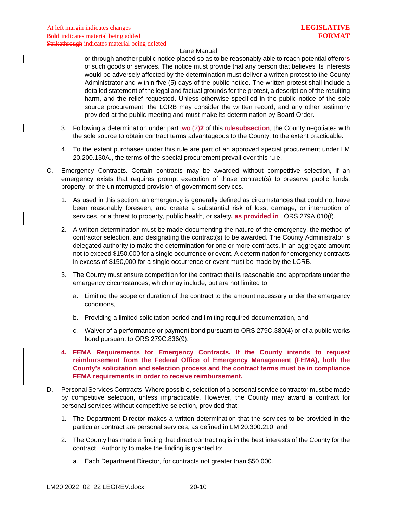or through another public notice placed so as to be reasonably able to reach potential offeror**s** of such goods or services. The notice must provide that any person that believes its interests would be adversely affected by the determination must deliver a written protest to the County Administrator and within five (5) days of the public notice. The written protest shall include a detailed statement of the legal and factual grounds for the protest, a description of the resulting harm, and the relief requested. Unless otherwise specified in the public notice of the sole source procurement, the LCRB may consider the written record, and any other testimony provided at the public meeting and must make its determination by Board Order.

- 3. Following a determination under part two (2)**2** of this rule**subsection**, the County negotiates with the sole source to obtain contract terms advantageous to the County, to the extent practicable.
- 4. To the extent purchases under this rule are part of an approved special procurement under LM 20.200.130A., the terms of the special procurement prevail over this rule.
- C. Emergency Contracts. Certain contracts may be awarded without competitive selection, if an emergency exists that requires prompt execution of those contract(s) to preserve public funds, property, or the uninterrupted provision of government services.
	- 1. As used in this section, an emergency is generally defined as circumstances that could not have been reasonably foreseen, and create a substantial risk of loss, damage, or interruption of services, or a threat to property, public health, or safety, as provided in -ORS 279A.010(f).
	- 2. A written determination must be made documenting the nature of the emergency, the method of contractor selection, and designating the contract(s) to be awarded. The County Administrator is delegated authority to make the determination for one or more contracts, in an aggregate amount not to exceed \$150,000 for a single occurrence or event. A determination for emergency contracts in excess of \$150,000 for a single occurrence or event must be made by the LCRB.
	- 3. The County must ensure competition for the contract that is reasonable and appropriate under the emergency circumstances, which may include, but are not limited to:
		- a. Limiting the scope or duration of the contract to the amount necessary under the emergency conditions,
		- b. Providing a limited solicitation period and limiting required documentation, and
		- c. Waiver of a performance or payment bond pursuant to ORS 279C.380(4) or of a public works bond pursuant to ORS 279C.836(9).
	- **4. FEMA Requirements for Emergency Contracts. If the County intends to request reimbursement from the Federal Office of Emergency Management (FEMA), both the County's solicitation and selection process and the contract terms must be in compliance FEMA requirements in order to receive reimbursement.**
- D. Personal Services Contracts. Where possible, selection of a personal service contractor must be made by competitive selection, unless impracticable. However, the County may award a contract for personal services without competitive selection, provided that:
	- 1. The Department Director makes a written determination that the services to be provided in the particular contract are personal services, as defined in LM 20.300.210, and
	- 2. The County has made a finding that direct contracting is in the best interests of the County for the contract. Authority to make the finding is granted to:
		- a. Each Department Director, for contracts not greater than \$50,000.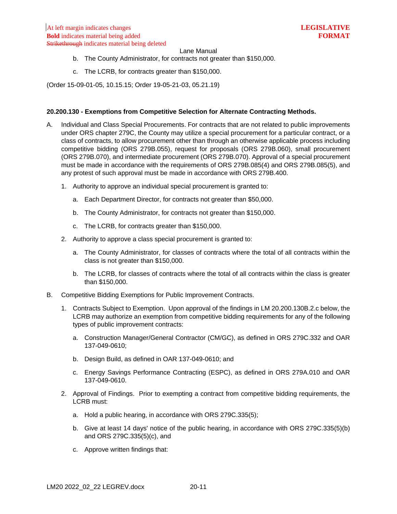- b. The County Administrator, for contracts not greater than \$150,000.
- c. The LCRB, for contracts greater than \$150,000.

(Order 15-09-01-05, 10.15.15; Order 19-05-21-03, 05.21.19)

### <span id="page-13-0"></span>**20.200.130 - Exemptions from Competitive Selection for Alternate Contracting Methods.**

- A. Individual and Class Special Procurements. For contracts that are not related to public improvements under ORS chapter 279C, the County may utilize a special procurement for a particular contract, or a class of contracts, to allow procurement other than through an otherwise applicable process including competitive bidding (ORS 279B.055), request for proposals (ORS 279B.060), small procurement (ORS 279B.070), and intermediate procurement (ORS 279B.070). Approval of a special procurement must be made in accordance with the requirements of ORS 279B.085(4) and ORS 279B.085(5), and any protest of such approval must be made in accordance with ORS 279B.400.
	- 1. Authority to approve an individual special procurement is granted to:
		- a. Each Department Director, for contracts not greater than \$50,000.
		- b. The County Administrator, for contracts not greater than \$150,000.
		- c. The LCRB, for contracts greater than \$150,000.
	- 2. Authority to approve a class special procurement is granted to:
		- a. The County Administrator, for classes of contracts where the total of all contracts within the class is not greater than \$150,000.
		- b. The LCRB, for classes of contracts where the total of all contracts within the class is greater than \$150,000.
- B. Competitive Bidding Exemptions for Public Improvement Contracts.
	- 1. Contracts Subject to Exemption. Upon approval of the findings in LM 20.200.130B.2.c below, the LCRB may authorize an exemption from competitive bidding requirements for any of the following types of public improvement contracts:
		- a. Construction Manager/General Contractor (CM/GC), as defined in ORS 279C.332 and OAR 137-049-0610;
		- b. Design Build, as defined in OAR 137-049-0610; and
		- c. Energy Savings Performance Contracting (ESPC), as defined in ORS 279A.010 and OAR 137-049-0610.
	- 2. Approval of Findings. Prior to exempting a contract from competitive bidding requirements, the LCRB must:
		- a. Hold a public hearing, in accordance with ORS 279C.335(5);
		- b. Give at least 14 days' notice of the public hearing, in accordance with ORS 279C.335(5)(b) and ORS 279C.335(5)(c), and
		- c. Approve written findings that: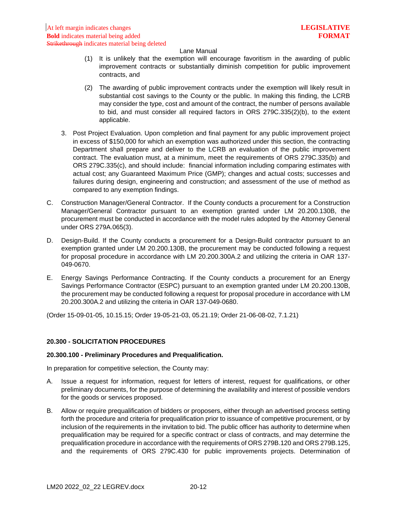- (1) It is unlikely that the exemption will encourage favoritism in the awarding of public improvement contracts or substantially diminish competition for public improvement contracts, and
- (2) The awarding of public improvement contracts under the exemption will likely result in substantial cost savings to the County or the public. In making this finding, the LCRB may consider the type, cost and amount of the contract, the number of persons available to bid, and must consider all required factors in ORS 279C.335(2)(b), to the extent applicable.
- 3. Post Project Evaluation. Upon completion and final payment for any public improvement project in excess of \$150,000 for which an exemption was authorized under this section, the contracting Department shall prepare and deliver to the LCRB an evaluation of the public improvement contract. The evaluation must, at a minimum, meet the requirements of ORS 279C.335(b) and ORS 279C.335(c), and should include: financial information including comparing estimates with actual cost; any Guaranteed Maximum Price (GMP); changes and actual costs; successes and failures during design, engineering and construction; and assessment of the use of method as compared to any exemption findings.
- C. Construction Manager/General Contractor. If the County conducts a procurement for a Construction Manager/General Contractor pursuant to an exemption granted under LM 20.200.130B, the procurement must be conducted in accordance with the model rules adopted by the Attorney General under ORS 279A.065(3).
- D. Design-Build. If the County conducts a procurement for a Design-Build contractor pursuant to an exemption granted under LM 20.200.130B, the procurement may be conducted following a request for proposal procedure in accordance with LM 20.200.300A.2 and utilizing the criteria in OAR 137- 049-0670.
- E. Energy Savings Performance Contracting. If the County conducts a procurement for an Energy Savings Performance Contractor (ESPC) pursuant to an exemption granted under LM 20.200.130B, the procurement may be conducted following a request for proposal procedure in accordance with LM 20.200.300A.2 and utilizing the criteria in OAR 137-049-0680.

(Order 15-09-01-05, 10.15.15; Order 19-05-21-03, 05.21.19; Order 21-06-08-02, 7.1.21)

## <span id="page-14-0"></span>**20.300 - SOLICITATION PROCEDURES**

## <span id="page-14-1"></span>**20.300.100 - Preliminary Procedures and Prequalification.**

In preparation for competitive selection, the County may:

- A. Issue a request for information, request for letters of interest, request for qualifications, or other preliminary documents, for the purpose of determining the availability and interest of possible vendors for the goods or services proposed.
- B. Allow or require prequalification of bidders or proposers, either through an advertised process setting forth the procedure and criteria for prequalification prior to issuance of competitive procurement, or by inclusion of the requirements in the invitation to bid. The public officer has authority to determine when prequalification may be required for a specific contract or class of contracts, and may determine the prequalification procedure in accordance with the requirements of ORS 279B.120 and ORS 279B.125, and the requirements of ORS 279C.430 for public improvements projects. Determination of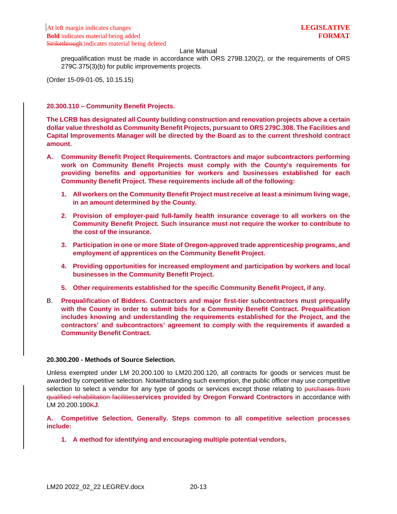prequalification must be made in accordance with ORS 279B.120(2), or the requirements of ORS 279C.375(3)(b) for public improvements projects.

(Order 15-09-01-05, 10.15.15)

### <span id="page-15-0"></span>**20.300.110 – Community Benefit Projects.**

**The LCRB has designated all County building construction and renovation projects above a certain dollar value threshold as Community Benefit Projects, pursuant to ORS 279C.308. The Facilities and Capital Improvements Manager will be directed by the Board as to the current threshold contract amount.**

- **A. Community Benefit Project Requirements. Contractors and major subcontractors performing work on Community Benefit Projects must comply with the County's requirements for providing benefits and opportunities for workers and businesses established for each Community Benefit Project. These requirements include all of the following:**
	- **1. All workers on the Community Benefit Project must receive at least a minimum living wage, in an amount determined by the County.**
	- **2. Provision of employer-paid full-family health insurance coverage to all workers on the Community Benefit Project. Such insurance must not require the worker to contribute to the cost of the insurance.**
	- **3. Participation in one or more State of Oregon-approved trade apprenticeship programs, and employment of apprentices on the Community Benefit Project.**
	- **4. Providing opportunities for increased employment and participation by workers and local businesses in the Community Benefit Project.**
	- **5. Other requirements established for the specific Community Benefit Project, if any.**
- B. **Prequalification of Bidders. Contractors and major first-tier subcontractors must prequalify with the County in order to submit bids for a Community Benefit Contract. Prequalification includes knowing and understanding the requirements established for the Project, and the contractors' and subcontractors' agreement to comply with the requirements if awarded a Community Benefit Contract.**

# <span id="page-15-1"></span>**20.300.200 - Methods of Source Selection.**

Unless exempted under LM 20.200.100 to LM20.200.120, all contracts for goods or services must be awarded by competitive selection. Notwithstanding such exemption, the public officer may use competitive selection to select a vendor for any type of goods or services except those relating to purchases from qualified rehabilitation facilities**services provided by Oregon Forward Contractors** in accordance with LM 20.200.100K**J**.

**A. Competitive Selection, Generally. Steps common to all competitive selection processes include:**

**1. A method for identifying and encouraging multiple potential vendors,**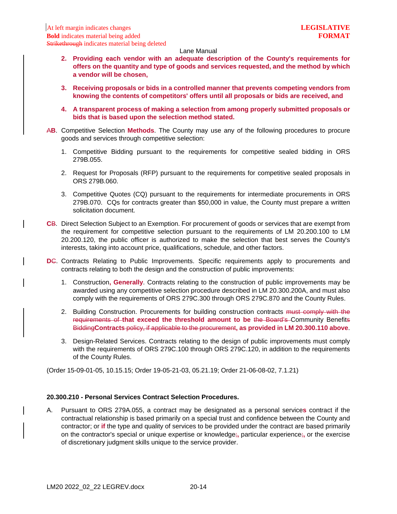- **2. Providing each vendor with an adequate description of the County's requirements for offers on the quantity and type of goods and services requested, and the method by which a vendor will be chosen,**
- **3. Receiving proposals or bids in a controlled manner that prevents competing vendors from knowing the contents of competitors' offers until all proposals or bids are received, and**
- **4. A transparent process of making a selection from among properly submitted proposals or bids that is based upon the selection method stated.**
- A**B**. Competitive Selection **Methods**. The County may use any of the following procedures to procure goods and services through competitive selection:
	- 1. Competitive Bidding pursuant to the requirements for competitive sealed bidding in ORS 279B.055.
	- 2. Request for Proposals (RFP) pursuant to the requirements for competitive sealed proposals in ORS 279B.060.
	- 3. Competitive Quotes (CQ) pursuant to the requirements for intermediate procurements in ORS 279B.070. CQs for contracts greater than \$50,000 in value, the County must prepare a written solicitation document.
- **C**B. Direct Selection Subject to an Exemption. For procurement of goods or services that are exempt from the requirement for competitive selection pursuant to the requirements of LM 20.200.100 to LM 20.200.120, the public officer is authorized to make the selection that best serves the County's interests, taking into account price, qualifications, schedule, and other factors.
- **DC.** Contracts Relating to Public Improvements. Specific requirements apply to procurements and contracts relating to both the design and the construction of public improvements:
	- 1. Construction**, Generally**. Contracts relating to the construction of public improvements may be awarded using any competitive selection procedure described in LM 20.300.200A, and must also comply with the requirements of ORS 279C.300 through ORS 279C.870 and the County Rules.
	- 2. Building Construction. Procurements for building construction contracts must comply with the requirements of **that exceed the threshold amount to be** the Board's Community Benefits Bidding**Contracts** policy, if applicable to the procurement**, as provided in LM 20.300.110 above**.
	- 3. Design-Related Services. Contracts relating to the design of public improvements must comply with the requirements of ORS 279C.100 through ORS 279C.120, in addition to the requirements of the County Rules.

(Order 15-09-01-05, 10.15.15; Order 19-05-21-03, 05.21.19; Order 21-06-08-02, 7.1.21)

# <span id="page-16-0"></span>**20.300.210 - Personal Services Contract Selection Procedures.**

A. Pursuant to ORS 279A.055, a contract may be designated as a personal service**s** contract if the contractual relationship is based primarily on a special trust and confidence between the County and contractor; or **if** the type and quality of services to be provided under the contract are based primarily on the contractor's special or unique expertise or knowledge;**,** particular experience;**,** or the exercise of discretionary judgment skills unique to the service provider.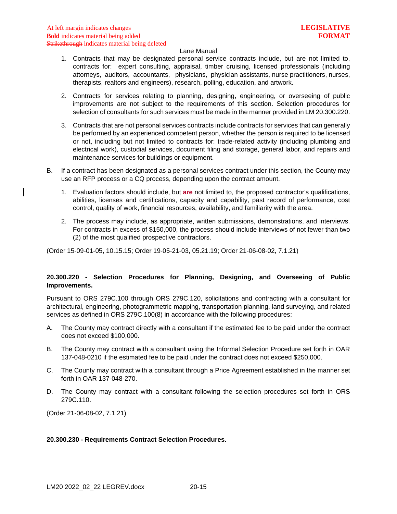- 1. Contracts that may be designated personal service contracts include, but are not limited to, contracts for: expert consulting, appraisal, timber cruising, licensed professionals (including attorneys, auditors, accountants, physicians, physician assistants, nurse practitioners, nurses, therapists, realtors and engineers), research, polling, education, and artwork.
- 2. Contracts for services relating to planning, designing, engineering, or overseeing of public improvements are not subject to the requirements of this section. Selection procedures for selection of consultants for such services must be made in the manner provided in LM 20.300.220.
- 3. Contracts that are not personal services contracts include contracts for services that can generally be performed by an experienced competent person, whether the person is required to be licensed or not, including but not limited to contracts for: trade-related activity (including plumbing and electrical work), custodial services, document filing and storage, general labor, and repairs and maintenance services for buildings or equipment.
- B. If a contract has been designated as a personal services contract under this section, the County may use an RFP process or a CQ process, depending upon the contract amount.
	- 1. Evaluation factors should include, but **are** not limited to, the proposed contractor's qualifications, abilities, licenses and certifications, capacity and capability, past record of performance, cost control, quality of work, financial resources, availability, and familiarity with the area.
	- 2. The process may include, as appropriate, written submissions, demonstrations, and interviews. For contracts in excess of \$150,000, the process should include interviews of not fewer than two (2) of the most qualified prospective contractors.

(Order 15-09-01-05, 10.15.15; Order 19-05-21-03, 05.21.19; Order 21-06-08-02, 7.1.21)

# <span id="page-17-0"></span>**20.300.220 - Selection Procedures for Planning, Designing, and Overseeing of Public Improvements.**

Pursuant to ORS 279C.100 through ORS 279C.120, solicitations and contracting with a consultant for architectural, engineering, photogrammetric mapping, transportation planning, land surveying, and related services as defined in ORS 279C.100(8) in accordance with the following procedures:

- A. The County may contract directly with a consultant if the estimated fee to be paid under the contract does not exceed \$100,000.
- B. The County may contract with a consultant using the Informal Selection Procedure set forth in OAR 137-048-0210 if the estimated fee to be paid under the contract does not exceed \$250,000.
- C. The County may contract with a consultant through a Price Agreement established in the manner set forth in OAR 137-048-270.
- D. The County may contract with a consultant following the selection procedures set forth in ORS 279C.110.

(Order 21-06-08-02, 7.1.21)

## <span id="page-17-1"></span>**20.300.230 - Requirements Contract Selection Procedures.**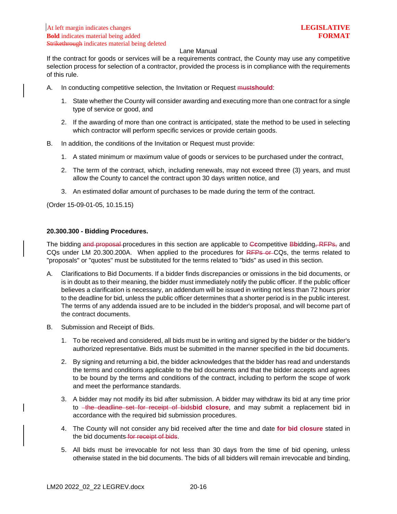If the contract for goods or services will be a requirements contract, the County may use any competitive selection process for selection of a contractor, provided the process is in compliance with the requirements of this rule.

- A. In conducting competitive selection, the Invitation or Request must**should**:
	- 1. State whether the County will consider awarding and executing more than one contract for a single type of service or good, and
	- 2. If the awarding of more than one contract is anticipated, state the method to be used in selecting which contractor will perform specific services or provide certain goods.
- B. In addition, the conditions of the Invitation or Request must provide:
	- 1. A stated minimum or maximum value of goods or services to be purchased under the contract,
	- 2. The term of the contract, which, including renewals, may not exceed three (3) years, and must allow the County to cancel the contract upon 30 days written notice, and
	- 3. An estimated dollar amount of purchases to be made during the term of the contract.

(Order 15-09-01-05, 10.15.15)

### <span id="page-18-0"></span>**20.300.300 - Bidding Procedures.**

The bidding and proposal procedures in this section are applicable to C**c**ompetitive B**b**idding, RFPs, and CQs under LM 20.300.200A. When applied to the procedures for RFPs or CQs, the terms related to "proposals" or "quotes" must be substituted for the terms related to "bids" as used in this section.

- A. Clarifications to Bid Documents. If a bidder finds discrepancies or omissions in the bid documents, or is in doubt as to their meaning, the bidder must immediately notify the public officer. If the public officer believes a clarification is necessary, an addendum will be issued in writing not less than 72 hours prior to the deadline for bid, unless the public officer determines that a shorter period is in the public interest. The terms of any addenda issued are to be included in the bidder's proposal, and will become part of the contract documents.
- B. Submission and Receipt of Bids.
	- 1. To be received and considered, all bids must be in writing and signed by the bidder or the bidder's authorized representative. Bids must be submitted in the manner specified in the bid documents.
	- 2. By signing and returning a bid, the bidder acknowledges that the bidder has read and understands the terms and conditions applicable to the bid documents and that the bidder accepts and agrees to be bound by the terms and conditions of the contract, including to perform the scope of work and meet the performance standards.
	- 3. A bidder may not modify its bid after submission. A bidder may withdraw its bid at any time prior to the deadline set for receipt of bidsbid closure, and may submit a replacement bid in accordance with the required bid submission procedures.
	- 4. The County will not consider any bid received after the time and date **for bid closure** stated in the bid documents for receipt of bids.
	- 5. All bids must be irrevocable for not less than 30 days from the time of bid opening, unless otherwise stated in the bid documents. The bids of all bidders will remain irrevocable and binding,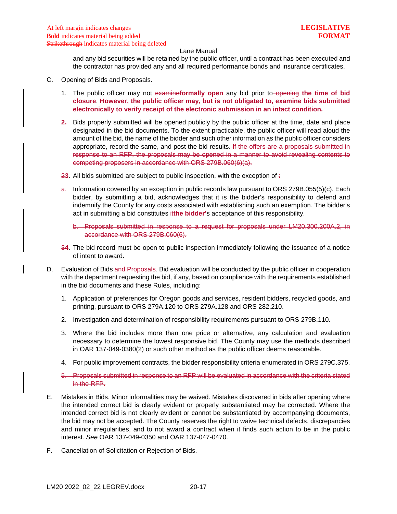and any bid securities will be retained by the public officer, until a contract has been executed and the contractor has provided any and all required performance bonds and insurance certificates.

- C. Opening of Bids and Proposals.
	- 1. The public officer may not examineformally open any bid prior to-opening the time of bid **closure**. **However, the public officer may, but is not obligated to, examine bids submitted electronically to verify receipt of the electronic submission in an intact condition.**
	- **2.** Bids properly submitted will be opened publicly by the public officer at the time, date and place designated in the bid documents. To the extent practicable, the public officer will read aloud the amount of the bid, the name of the bidder and such other information as the public officer considers appropriate, record the same, and post the bid results. If the offers are a proposals submitted in response to an RFP, the proposals may be opened in a manner to avoid revealing contents to competing proposers in accordance with ORS 279B.060(6)(a).
	- 23. All bids submitted are subject to public inspection, with the exception of  $\div$
	- a. Information covered by an exception in public records law pursuant to ORS 279B.055(5)(c). Each bidder, by submitting a bid, acknowledges that it is the bidder's responsibility to defend and indemnify the County for any costs associated with establishing such an exemption. The bidder's act in submitting a bid constitutes it**the bidder'**s acceptance of this responsibility.
		- b. Proposals submitted in response to a request for proposals under LM20.300.200A.2, in accordance with ORS 279B.060(6).
	- 3**4**. The bid record must be open to public inspection immediately following the issuance of a notice of intent to award.
- D. Evaluation of Bids-and Proposals. Bid evaluation will be conducted by the public officer in cooperation with the department requesting the bid, if any, based on compliance with the requirements established in the bid documents and these Rules, including:
	- 1. Application of preferences for Oregon goods and services, resident bidders, recycled goods, and printing, pursuant to ORS 279A.120 to ORS 279A.128 and ORS 282.210.
	- 2. Investigation and determination of responsibility requirements pursuant to ORS 279B.110.
	- 3. Where the bid includes more than one price or alternative, any calculation and evaluation necessary to determine the lowest responsive bid. The County may use the methods described in OAR 137-049-0380(2) or such other method as the public officer deems reasonable.
	- 4. For public improvement contracts, the bidder responsibility criteria enumerated in ORS 279C.375.
	- 5. Proposals submitted in response to an RFP will be evaluated in accordance with the criteria stated in the RFP.
- E. Mistakes in Bids. Minor informalities may be waived. Mistakes discovered in bids after opening where the intended correct bid is clearly evident or properly substantiated may be corrected. Where the intended correct bid is not clearly evident or cannot be substantiated by accompanying documents, the bid may not be accepted. The County reserves the right to waive technical defects, discrepancies and minor irregularities, and to not award a contract when it finds such action to be in the public interest. *See* OAR 137-049-0350 and OAR 137-047-0470.
- F. Cancellation of Solicitation or Rejection of Bids.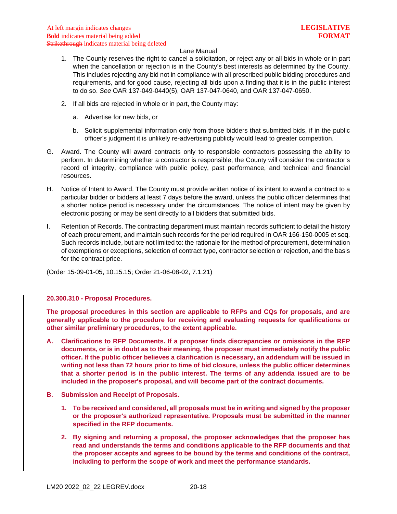- 1. The County reserves the right to cancel a solicitation, or reject any or all bids in whole or in part when the cancellation or rejection is in the County's best interests as determined by the County. This includes rejecting any bid not in compliance with all prescribed public bidding procedures and requirements, and for good cause, rejecting all bids upon a finding that it is in the public interest to do so. *See* OAR 137-049-0440(5), OAR 137-047-0640, and OAR 137-047-0650.
- 2. If all bids are rejected in whole or in part, the County may:
	- a. Advertise for new bids, or
	- b. Solicit supplemental information only from those bidders that submitted bids, if in the public officer's judgment it is unlikely re-advertising publicly would lead to greater competition.
- G. Award. The County will award contracts only to responsible contractors possessing the ability to perform. In determining whether a contractor is responsible, the County will consider the contractor's record of integrity, compliance with public policy, past performance, and technical and financial resources.
- H. Notice of Intent to Award. The County must provide written notice of its intent to award a contract to a particular bidder or bidders at least 7 days before the award, unless the public officer determines that a shorter notice period is necessary under the circumstances. The notice of intent may be given by electronic posting or may be sent directly to all bidders that submitted bids.
- I. Retention of Records. The contracting department must maintain records sufficient to detail the history of each procurement, and maintain such records for the period required in OAR 166-150-0005 et seq. Such records include, but are not limited to: the rationale for the method of procurement, determination of exemptions or exceptions, selection of contract type, contractor selection or rejection, and the basis for the contract price.

(Order 15-09-01-05, 10.15.15; Order 21-06-08-02, 7.1.21)

### <span id="page-20-0"></span>**20.300.310 - Proposal Procedures.**

**The proposal procedures in this section are applicable to RFPs and CQs for proposals, and are generally applicable to the procedure for receiving and evaluating requests for qualifications or other similar preliminary procedures, to the extent applicable.**

- **A. Clarifications to RFP Documents. If a proposer finds discrepancies or omissions in the RFP documents, or is in doubt as to their meaning, the proposer must immediately notify the public officer. If the public officer believes a clarification is necessary, an addendum will be issued in writing not less than 72 hours prior to time of bid closure, unless the public officer determines that a shorter period is in the public interest. The terms of any addenda issued are to be included in the proposer's proposal, and will become part of the contract documents.**
- **B. Submission and Receipt of Proposals.**
	- **1. To be received and considered, all proposals must be in writing and signed by the proposer or the proposer's authorized representative. Proposals must be submitted in the manner specified in the RFP documents.**
	- **2. By signing and returning a proposal, the proposer acknowledges that the proposer has read and understands the terms and conditions applicable to the RFP documents and that the proposer accepts and agrees to be bound by the terms and conditions of the contract, including to perform the scope of work and meet the performance standards.**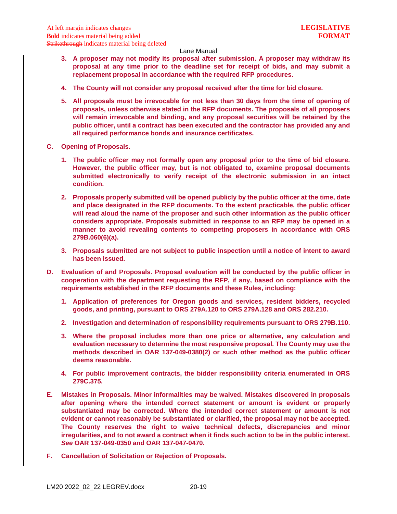- **3. A proposer may not modify its proposal after submission. A proposer may withdraw its proposal at any time prior to the deadline set for receipt of bids, and may submit a replacement proposal in accordance with the required RFP procedures.**
- **4. The County will not consider any proposal received after the time for bid closure.**
- **5. All proposals must be irrevocable for not less than 30 days from the time of opening of proposals, unless otherwise stated in the RFP documents. The proposals of all proposers will remain irrevocable and binding, and any proposal securities will be retained by the public officer, until a contract has been executed and the contractor has provided any and all required performance bonds and insurance certificates.**
- **C. Opening of Proposals.**
	- **1. The public officer may not formally open any proposal prior to the time of bid closure. However, the public officer may, but is not obligated to, examine proposal documents submitted electronically to verify receipt of the electronic submission in an intact condition.**
	- **2. Proposals properly submitted will be opened publicly by the public officer at the time, date and place designated in the RFP documents. To the extent practicable, the public officer will read aloud the name of the proposer and such other information as the public officer considers appropriate. Proposals submitted in response to an RFP may be opened in a manner to avoid revealing contents to competing proposers in accordance with ORS 279B.060(6)(a).**
	- **3. Proposals submitted are not subject to public inspection until a notice of intent to award has been issued.**
- **D. Evaluation of and Proposals. Proposal evaluation will be conducted by the public officer in cooperation with the department requesting the RFP, if any, based on compliance with the requirements established in the RFP documents and these Rules, including:**
	- **1. Application of preferences for Oregon goods and services, resident bidders, recycled goods, and printing, pursuant to ORS 279A.120 to ORS 279A.128 and ORS 282.210.**
	- **2. Investigation and determination of responsibility requirements pursuant to ORS 279B.110.**
	- **3. Where the proposal includes more than one price or alternative, any calculation and evaluation necessary to determine the most responsive proposal. The County may use the methods described in OAR 137-049-0380(2) or such other method as the public officer deems reasonable.**
	- **4. For public improvement contracts, the bidder responsibility criteria enumerated in ORS 279C.375.**
- **E. Mistakes in Proposals. Minor informalities may be waived. Mistakes discovered in proposals after opening where the intended correct statement or amount is evident or properly substantiated may be corrected. Where the intended correct statement or amount is not evident or cannot reasonably be substantiated or clarified, the proposal may not be accepted. The County reserves the right to waive technical defects, discrepancies and minor irregularities, and to not award a contract when it finds such action to be in the public interest.**  *See* **OAR 137-049-0350 and OAR 137-047-0470.**
- **F. Cancellation of Solicitation or Rejection of Proposals.**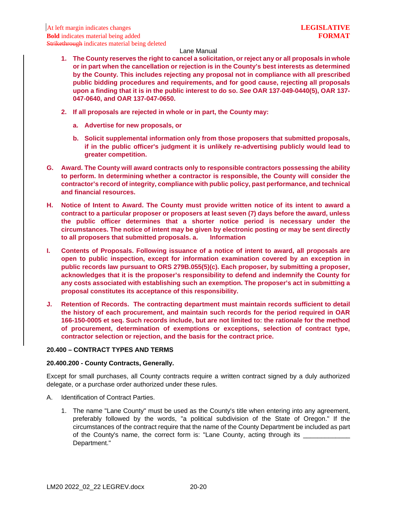- **1. The County reserves the right to cancel a solicitation, or reject any or all proposals in whole or in part when the cancellation or rejection is in the County's best interests as determined by the County. This includes rejecting any proposal not in compliance with all prescribed public bidding procedures and requirements, and for good cause, rejecting all proposals upon a finding that it is in the public interest to do so.** *See* **OAR 137-049-0440(5), OAR 137- 047-0640, and OAR 137-047-0650.**
- **2. If all proposals are rejected in whole or in part, the County may:**
	- **a. Advertise for new proposals, or**
	- **b. Solicit supplemental information only from those proposers that submitted proposals, if in the public officer's judgment it is unlikely re-advertising publicly would lead to greater competition.**
- **G. Award. The County will award contracts only to responsible contractors possessing the ability to perform. In determining whether a contractor is responsible, the County will consider the contractor's record of integrity, compliance with public policy, past performance, and technical and financial resources.**
- **H. Notice of Intent to Award. The County must provide written notice of its intent to award a contract to a particular proposer or proposers at least seven (7) days before the award, unless the public officer determines that a shorter notice period is necessary under the circumstances. The notice of intent may be given by electronic posting or may be sent directly to all proposers that submitted proposals. a. Information**
- **I. Contents of Proposals. Following issuance of a notice of intent to award, all proposals are open to public inspection, except for information examination covered by an exception in public records law pursuant to ORS 279B.055(5)(c). Each proposer, by submitting a proposer, acknowledges that it is the proposer's responsibility to defend and indemnify the County for any costs associated with establishing such an exemption. The proposer's act in submitting a proposal constitutes its acceptance of this responsibility.**
- **J. Retention of Records. The contracting department must maintain records sufficient to detail the history of each procurement, and maintain such records for the period required in OAR 166-150-0005 et seq. Such records include, but are not limited to: the rationale for the method of procurement, determination of exemptions or exceptions, selection of contract type, contractor selection or rejection, and the basis for the contract price.**

## <span id="page-22-0"></span>**20.400 – CONTRACT TYPES AND TERMS**

### <span id="page-22-1"></span>**20.400.200 - County Contracts, Generally.**

Except for small purchases, all County contracts require a written contract signed by a duly authorized delegate, or a purchase order authorized under these rules.

- A. Identification of Contract Parties.
	- 1. The name "Lane County" must be used as the County's title when entering into any agreement, preferably followed by the words, "a political subdivision of the State of Oregon." If the circumstances of the contract require that the name of the County Department be included as part of the County's name, the correct form is: "Lane County, acting through its \_\_\_\_\_\_\_\_\_\_ Department."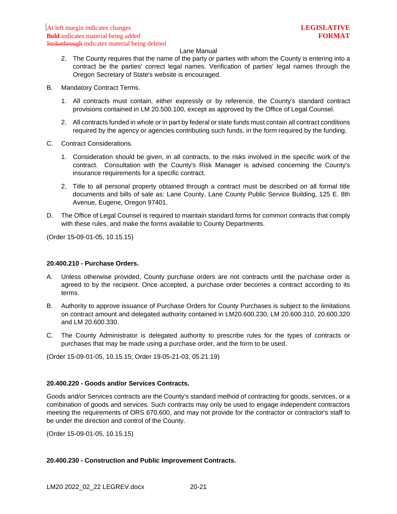- 2. The County requires that the name of the party or parties with whom the County is entering into a contract be the parties' correct legal names. Verification of parties' legal names through the Oregon Secretary of State's website is encouraged.
- B. Mandatory Contract Terms.
	- 1. All contracts must contain, either expressly or by reference, the County's standard contract provisions contained in LM 20.500.100, except as approved by the Office of Legal Counsel.
	- 2. All contracts funded in whole or in part by federal or state funds must contain all contract conditions required by the agency or agencies contributing such funds, in the form required by the funding.
- C. Contract Considerations.
	- 1. Consideration should be given, in all contracts, to the risks involved in the specific work of the contract. Consultation with the County's Risk Manager is advised concerning the County's insurance requirements for a specific contract.
	- 2. Title to all personal property obtained through a contract must be described on all formal title documents and bills of sale as: Lane County, Lane County Public Service Building, 125 E. 8th Avenue, Eugene, Oregon 97401.
- D. The Office of Legal Counsel is required to maintain standard forms for common contracts that comply with these rules, and make the forms available to County Departments.

(Order 15-09-01-05, 10.15.15)

### <span id="page-23-0"></span>**20.400.210 - Purchase Orders.**

- A. Unless otherwise provided, County purchase orders are not contracts until the purchase order is agreed to by the recipient. Once accepted, a purchase order becomes a contract according to its terms.
- B. Authority to approve issuance of Purchase Orders for County Purchases is subject to the limitations on contract amount and delegated authority contained in LM20.600.230, LM 20.600.310, 20.600.320 and LM 20.600.330.
- C. The County Administrator is delegated authority to prescribe rules for the types of contracts or purchases that may be made using a purchase order, and the form to be used.

(Order 15-09-01-05, 10.15.15; Order 19-05-21-03, 05.21.19)

# <span id="page-23-1"></span>**20.400.220 - Goods and/or Services Contracts.**

Goods and/or Services contracts are the County's standard method of contracting for goods, services, or a combination of goods and services. Such contracts may only be used to engage independent contractors meeting the requirements of ORS 670.600, and may not provide for the contractor or contractor's staff to be under the direction and control of the County.

(Order 15-09-01-05, 10.15.15)

## <span id="page-23-2"></span>**20.400.230 - Construction and Public Improvement Contracts.**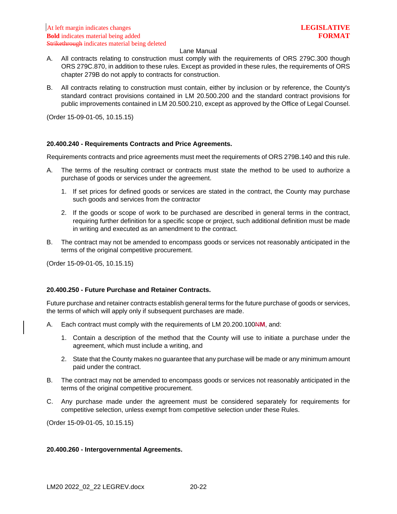- A. All contracts relating to construction must comply with the requirements of ORS 279C.300 though ORS 279C.870, in addition to these rules. Except as provided in these rules, the requirements of ORS chapter 279B do not apply to contracts for construction.
- B. All contracts relating to construction must contain, either by inclusion or by reference, the County's standard contract provisions contained in LM 20.500.200 and the standard contract provisions for public improvements contained in LM 20.500.210, except as approved by the Office of Legal Counsel.

(Order 15-09-01-05, 10.15.15)

## <span id="page-24-0"></span>**20.400.240 - Requirements Contracts and Price Agreements.**

Requirements contracts and price agreements must meet the requirements of ORS 279B.140 and this rule.

- A. The terms of the resulting contract or contracts must state the method to be used to authorize a purchase of goods or services under the agreement.
	- 1. If set prices for defined goods or services are stated in the contract, the County may purchase such goods and services from the contractor
	- 2. If the goods or scope of work to be purchased are described in general terms in the contract, requiring further definition for a specific scope or project, such additional definition must be made in writing and executed as an amendment to the contract.
- B. The contract may not be amended to encompass goods or services not reasonably anticipated in the terms of the original competitive procurement.

(Order 15-09-01-05, 10.15.15)

### <span id="page-24-1"></span>**20.400.250 - Future Purchase and Retainer Contracts.**

Future purchase and retainer contracts establish general terms for the future purchase of goods or services, the terms of which will apply only if subsequent purchases are made.

- A. Each contract must comply with the requirements of LM 20.200.100N**M**, and:
	- 1. Contain a description of the method that the County will use to initiate a purchase under the agreement, which must include a writing, and
	- 2. State that the County makes no guarantee that any purchase will be made or any minimum amount paid under the contract.
- B. The contract may not be amended to encompass goods or services not reasonably anticipated in the terms of the original competitive procurement.
- C. Any purchase made under the agreement must be considered separately for requirements for competitive selection, unless exempt from competitive selection under these Rules.

(Order 15-09-01-05, 10.15.15)

# <span id="page-24-2"></span>**20.400.260 - Intergovernmental Agreements.**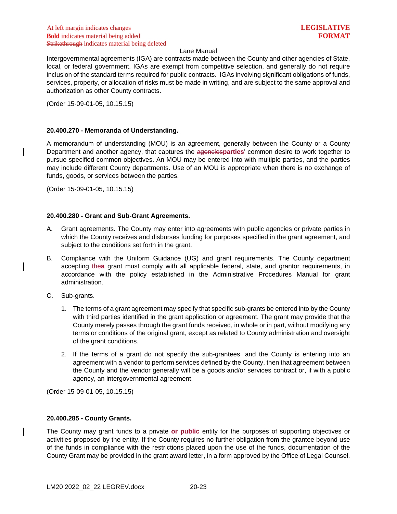Intergovernmental agreements (IGA) are contracts made between the County and other agencies of State, local, or federal government. IGAs are exempt from competitive selection, and generally do not require inclusion of the standard terms required for public contracts. IGAs involving significant obligations of funds, services, property, or allocation of risks must be made in writing, and are subject to the same approval and authorization as other County contracts.

(Order 15-09-01-05, 10.15.15)

## <span id="page-25-0"></span>**20.400.270 - Memoranda of Understanding.**

A memorandum of understanding (MOU) is an agreement, generally between the County or a County Department and another agency, that captures the agencies**parties**' common desire to work together to pursue specified common objectives. An MOU may be entered into with multiple parties, and the parties may include different County departments. Use of an MOU is appropriate when there is no exchange of funds, goods, or services between the parties.

(Order 15-09-01-05, 10.15.15)

### <span id="page-25-1"></span>**20.400.280 - Grant and Sub-Grant Agreements.**

- A. Grant agreements. The County may enter into agreements with public agencies or private parties in which the County receives and disburses funding for purposes specified in the grant agreement, and subject to the conditions set forth in the grant.
- B. Compliance with the Uniform Guidance (UG) and grant requirements. The County department accepting the agrant must comply with all applicable federal, state, and grantor requirements<sub> $\bar{x}$ </sub> in accordance with the policy established in the Administrative Procedures Manual for grant administration.
- C. Sub-grants.
	- 1. The terms of a grant agreement may specify that specific sub-grants be entered into by the County with third parties identified in the grant application or agreement. The grant may provide that the County merely passes through the grant funds received, in whole or in part, without modifying any terms or conditions of the original grant, except as related to County administration and oversight of the grant conditions.
	- 2. If the terms of a grant do not specify the sub-grantees, and the County is entering into an agreement with a vendor to perform services defined by the County, then that agreement between the County and the vendor generally will be a goods and/or services contract or, if with a public agency, an intergovernmental agreement.

(Order 15-09-01-05, 10.15.15)

## <span id="page-25-2"></span>**20.400.285 - County Grants.**

The County may grant funds to a private **or public** entity for the purposes of supporting objectives or activities proposed by the entity. If the County requires no further obligation from the grantee beyond use of the funds in compliance with the restrictions placed upon the use of the funds, documentation of the County Grant may be provided in the grant award letter, in a form approved by the Office of Legal Counsel.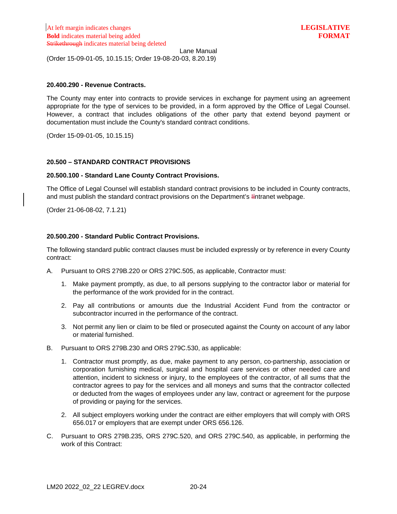Lane Manual (Order 15-09-01-05, 10.15.15; Order 19-08-20-03, 8.20.19)

# <span id="page-26-0"></span>**20.400.290 - Revenue Contracts.**

The County may enter into contracts to provide services in exchange for payment using an agreement appropriate for the type of services to be provided, in a form approved by the Office of Legal Counsel. However, a contract that includes obligations of the other party that extend beyond payment or documentation must include the County's standard contract conditions.

(Order 15-09-01-05, 10.15.15)

# <span id="page-26-1"></span>**20.500 – STANDARD CONTRACT PROVISIONS**

## <span id="page-26-2"></span>**20.500.100 - Standard Lane County Contract Provisions.**

The Office of Legal Counsel will establish standard contract provisions to be included in County contracts, and must publish the standard contract provisions on the Department's I**i**ntranet webpage.

(Order 21-06-08-02, 7.1.21)

# <span id="page-26-3"></span>**20.500.200 - Standard Public Contract Provisions.**

The following standard public contract clauses must be included expressly or by reference in every County contract:

- A. Pursuant to ORS 279B.220 or ORS 279C.505, as applicable, Contractor must:
	- 1. Make payment promptly, as due, to all persons supplying to the contractor labor or material for the performance of the work provided for in the contract.
	- 2. Pay all contributions or amounts due the Industrial Accident Fund from the contractor or subcontractor incurred in the performance of the contract.
	- 3. Not permit any lien or claim to be filed or prosecuted against the County on account of any labor or material furnished.
- B. Pursuant to ORS 279B.230 and ORS 279C.530, as applicable:
	- 1. Contractor must promptly, as due, make payment to any person, co-partnership, association or corporation furnishing medical, surgical and hospital care services or other needed care and attention, incident to sickness or injury, to the employees of the contractor, of all sums that the contractor agrees to pay for the services and all moneys and sums that the contractor collected or deducted from the wages of employees under any law, contract or agreement for the purpose of providing or paying for the services.
	- 2. All subject employers working under the contract are either employers that will comply with ORS 656.017 or employers that are exempt under ORS 656.126.
- C. Pursuant to ORS 279B.235, ORS 279C.520, and ORS 279C.540, as applicable, in performing the work of this Contract: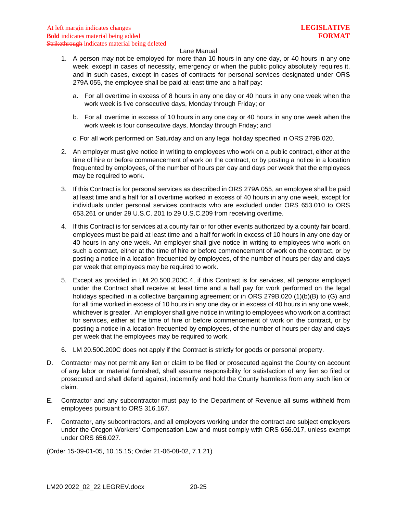- 1. A person may not be employed for more than 10 hours in any one day, or 40 hours in any one week, except in cases of necessity, emergency or when the public policy absolutely requires it, and in such cases, except in cases of contracts for personal services designated under ORS 279A.055, the employee shall be paid at least time and a half pay:
	- a. For all overtime in excess of 8 hours in any one day or 40 hours in any one week when the work week is five consecutive days, Monday through Friday; or
	- b. For all overtime in excess of 10 hours in any one day or 40 hours in any one week when the work week is four consecutive days, Monday through Friday; and
	- c. For all work performed on Saturday and on any legal holiday specified in ORS 279B.020.
- 2. An employer must give notice in writing to employees who work on a public contract, either at the time of hire or before commencement of work on the contract, or by posting a notice in a location frequented by employees, of the number of hours per day and days per week that the employees may be required to work.
- 3. If this Contract is for personal services as described in ORS 279A.055, an employee shall be paid at least time and a half for all overtime worked in excess of 40 hours in any one week, except for individuals under personal services contracts who are excluded under ORS 653.010 to ORS 653.261 or under 29 U.S.C. 201 to 29 U.S.C.209 from receiving overtime.
- 4. If this Contract is for services at a county fair or for other events authorized by a county fair board, employees must be paid at least time and a half for work in excess of 10 hours in any one day or 40 hours in any one week. An employer shall give notice in writing to employees who work on such a contract, either at the time of hire or before commencement of work on the contract, or by posting a notice in a location frequented by employees, of the number of hours per day and days per week that employees may be required to work.
- 5. Except as provided in LM 20.500.200C.4, if this Contract is for services, all persons employed under the Contract shall receive at least time and a half pay for work performed on the legal holidays specified in a collective bargaining agreement or in ORS 279B.020 (1)(b)(B) to (G) and for all time worked in excess of 10 hours in any one day or in excess of 40 hours in any one week, whichever is greater. An employer shall give notice in writing to employees who work on a contract for services, either at the time of hire or before commencement of work on the contract, or by posting a notice in a location frequented by employees, of the number of hours per day and days per week that the employees may be required to work.
- 6. LM 20.500.200C does not apply if the Contract is strictly for goods or personal property.
- D. Contractor may not permit any lien or claim to be filed or prosecuted against the County on account of any labor or material furnished, shall assume responsibility for satisfaction of any lien so filed or prosecuted and shall defend against, indemnify and hold the County harmless from any such lien or claim.
- E. Contractor and any subcontractor must pay to the Department of Revenue all sums withheld from employees pursuant to ORS 316.167.
- F. Contractor, any subcontractors, and all employers working under the contract are subject employers under the Oregon Workers' Compensation Law and must comply with ORS 656.017, unless exempt under ORS 656.027.

(Order 15-09-01-05, 10.15.15; Order 21-06-08-02, 7.1.21)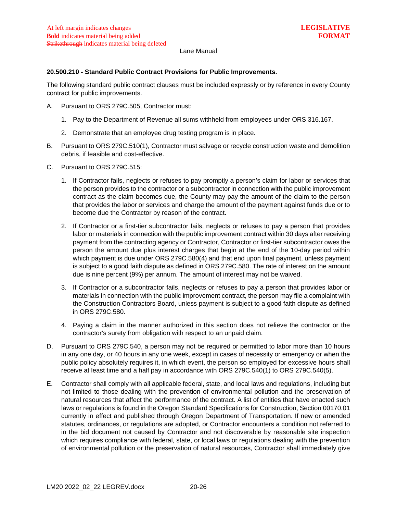# <span id="page-28-0"></span>**20.500.210 - Standard Public Contract Provisions for Public Improvements.**

The following standard public contract clauses must be included expressly or by reference in every County contract for public improvements.

- A. Pursuant to ORS 279C.505, Contractor must:
	- 1. Pay to the Department of Revenue all sums withheld from employees under ORS 316.167.
	- 2. Demonstrate that an employee drug testing program is in place.
- B. Pursuant to ORS 279C.510(1), Contractor must salvage or recycle construction waste and demolition debris, if feasible and cost-effective.
- C. Pursuant to ORS 279C.515:
	- 1. If Contractor fails, neglects or refuses to pay promptly a person's claim for labor or services that the person provides to the contractor or a subcontractor in connection with the public improvement contract as the claim becomes due, the County may pay the amount of the claim to the person that provides the labor or services and charge the amount of the payment against funds due or to become due the Contractor by reason of the contract.
	- 2. If Contractor or a first-tier subcontractor fails, neglects or refuses to pay a person that provides labor or materials in connection with the public improvement contract within 30 days after receiving payment from the contracting agency or Contractor, Contractor or first-tier subcontractor owes the person the amount due plus interest charges that begin at the end of the 10-day period within which payment is due under ORS 279C.580(4) and that end upon final payment, unless payment is subject to a good faith dispute as defined in ORS 279C.580. The rate of interest on the amount due is nine percent (9%) per annum. The amount of interest may not be waived.
	- 3. If Contractor or a subcontractor fails, neglects or refuses to pay a person that provides labor or materials in connection with the public improvement contract, the person may file a complaint with the Construction Contractors Board, unless payment is subject to a good faith dispute as defined in ORS 279C.580.
	- 4. Paying a claim in the manner authorized in this section does not relieve the contractor or the contractor's surety from obligation with respect to an unpaid claim.
- D. Pursuant to ORS 279C.540, a person may not be required or permitted to labor more than 10 hours in any one day, or 40 hours in any one week, except in cases of necessity or emergency or when the public policy absolutely requires it, in which event, the person so employed for excessive hours shall receive at least time and a half pay in accordance with ORS 279C.540(1) to ORS 279C.540(5).
- E. Contractor shall comply with all applicable federal, state, and local laws and regulations, including but not limited to those dealing with the prevention of environmental pollution and the preservation of natural resources that affect the performance of the contract. A list of entities that have enacted such laws or regulations is found in the Oregon Standard Specifications for Construction, Section 00170.01 currently in effect and published through Oregon Department of Transportation. If new or amended statutes, ordinances, or regulations are adopted, or Contractor encounters a condition not referred to in the bid document not caused by Contractor and not discoverable by reasonable site inspection which requires compliance with federal, state, or local laws or regulations dealing with the prevention of environmental pollution or the preservation of natural resources, Contractor shall immediately give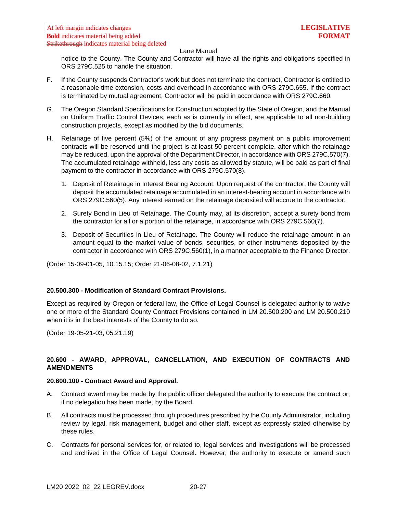notice to the County. The County and Contractor will have all the rights and obligations specified in ORS 279C.525 to handle the situation.

- F. If the County suspends Contractor's work but does not terminate the contract, Contractor is entitled to a reasonable time extension, costs and overhead in accordance with ORS 279C.655. If the contract is terminated by mutual agreement, Contractor will be paid in accordance with ORS 279C.660.
- G. The Oregon Standard Specifications for Construction adopted by the State of Oregon, and the Manual on Uniform Traffic Control Devices, each as is currently in effect, are applicable to all non-building construction projects, except as modified by the bid documents.
- H. Retainage of five percent (5%) of the amount of any progress payment on a public improvement contracts will be reserved until the project is at least 50 percent complete, after which the retainage may be reduced, upon the approval of the Department Director, in accordance with ORS 279C.570(7). The accumulated retainage withheld, less any costs as allowed by statute, will be paid as part of final payment to the contractor in accordance with ORS 279C.570(8).
	- 1. Deposit of Retainage in Interest Bearing Account. Upon request of the contractor, the County will deposit the accumulated retainage accumulated in an interest-bearing account in accordance with ORS 279C.560(5). Any interest earned on the retainage deposited will accrue to the contractor.
	- 2. Surety Bond in Lieu of Retainage. The County may, at its discretion, accept a surety bond from the contractor for all or a portion of the retainage, in accordance with ORS 279C.560(7).
	- 3. Deposit of Securities in Lieu of Retainage. The County will reduce the retainage amount in an amount equal to the market value of bonds, securities, or other instruments deposited by the contractor in accordance with ORS 279C.560(1), in a manner acceptable to the Finance Director.

(Order 15-09-01-05, 10.15.15; Order 21-06-08-02, 7.1.21)

# <span id="page-29-0"></span>**20.500.300 - Modification of Standard Contract Provisions.**

Except as required by Oregon or federal law, the Office of Legal Counsel is delegated authority to waive one or more of the Standard County Contract Provisions contained in LM 20.500.200 and LM 20.500.210 when it is in the best interests of the County to do so.

(Order 19-05-21-03, 05.21.19)

# <span id="page-29-1"></span>**20.600 - AWARD, APPROVAL, CANCELLATION, AND EXECUTION OF CONTRACTS AND AMENDMENTS**

### <span id="page-29-2"></span>**20.600.100 - Contract Award and Approval.**

- A. Contract award may be made by the public officer delegated the authority to execute the contract or, if no delegation has been made, by the Board.
- B. All contracts must be processed through procedures prescribed by the County Administrator, including review by legal, risk management, budget and other staff, except as expressly stated otherwise by these rules.
- C. Contracts for personal services for, or related to, legal services and investigations will be processed and archived in the Office of Legal Counsel. However, the authority to execute or amend such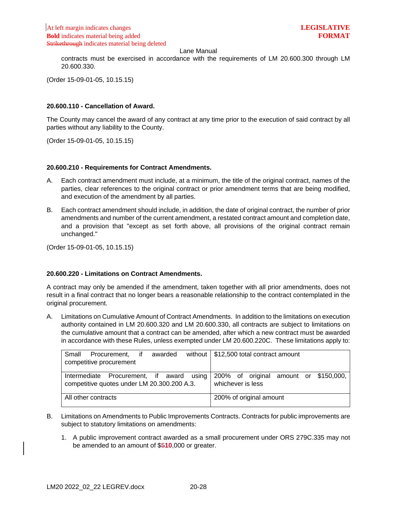contracts must be exercised in accordance with the requirements of LM 20.600.300 through LM 20.600.330.

(Order 15-09-01-05, 10.15.15)

### <span id="page-30-0"></span>**20.600.110 - Cancellation of Award.**

The County may cancel the award of any contract at any time prior to the execution of said contract by all parties without any liability to the County.

(Order 15-09-01-05, 10.15.15)

### <span id="page-30-1"></span>**20.600.210 - Requirements for Contract Amendments.**

- A. Each contract amendment must include, at a minimum, the title of the original contract, names of the parties, clear references to the original contract or prior amendment terms that are being modified, and execution of the amendment by all parties.
- B. Each contract amendment should include, in addition, the date of original contract, the number of prior amendments and number of the current amendment, a restated contract amount and completion date, and a provision that "except as set forth above, all provisions of the original contract remain unchanged."

(Order 15-09-01-05, 10.15.15)

## <span id="page-30-2"></span>**20.600.220 - Limitations on Contract Amendments.**

A contract may only be amended if the amendment, taken together with all prior amendments, does not result in a final contract that no longer bears a reasonable relationship to the contract contemplated in the original procurement.

A. Limitations on Cumulative Amount of Contract Amendments. In addition to the limitations on execution authority contained in LM 20.600.320 and LM 20.600.330, all contracts are subject to limitations on the cumulative amount that a contract can be amended, after which a new contract must be awarded in accordance with these Rules, unless exempted under LM 20.600.220C. These limitations apply to:

| Small<br>Procurement, if<br>awarded<br>competitive procurement                                                                | without $\mid$ \$12,500 total contract amount |
|-------------------------------------------------------------------------------------------------------------------------------|-----------------------------------------------|
| Intermediate Procurement, if award using 200% of original amount or \$150,000,<br>competitive quotes under LM 20.300.200 A.3. | whichever is less                             |
| All other contracts                                                                                                           | 200% of original amount                       |

- B. Limitations on Amendments to Public Improvements Contracts. Contracts for public improvements are subject to statutory limitations on amendments:
	- 1. A public improvement contract awarded as a small procurement under ORS 279C.335 may not be amended to an amount of \$5**10**,000 or greater.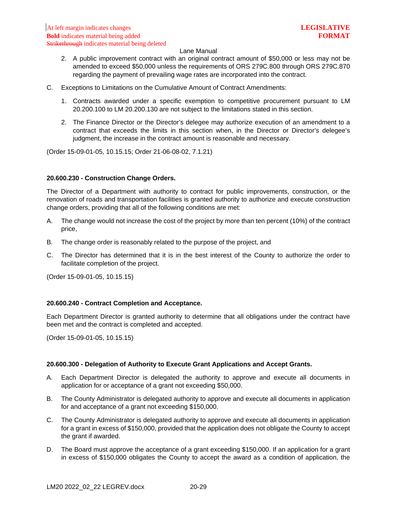- 2. A public improvement contract with an original contract amount of \$50,000 or less may not be amended to exceed \$50,000 unless the requirements of ORS 279C.800 through ORS 279C.870 regarding the payment of prevailing wage rates are incorporated into the contract.
- C. Exceptions to Limitations on the Cumulative Amount of Contract Amendments:
	- 1. Contracts awarded under a specific exemption to competitive procurement pursuant to LM 20.200.100 to LM 20.200.130 are not subject to the limitations stated in this section.
	- 2. The Finance Director or the Director's delegee may authorize execution of an amendment to a contract that exceeds the limits in this section when, in the Director or Director's delegee's judgment, the increase in the contract amount is reasonable and necessary.

(Order 15-09-01-05, 10.15.15; Order 21-06-08-02, 7.1.21)

### <span id="page-31-0"></span>**20.600.230 - Construction Change Orders.**

The Director of a Department with authority to contract for public improvements, construction, or the renovation of roads and transportation facilities is granted authority to authorize and execute construction change orders, providing that all of the following conditions are met:

- A. The change would not increase the cost of the project by more than ten percent (10%) of the contract price,
- B. The change order is reasonably related to the purpose of the project, and
- C. The Director has determined that it is in the best interest of the County to authorize the order to facilitate completion of the project.

(Order 15-09-01-05, 10.15.15)

### <span id="page-31-1"></span>**20.600.240 - Contract Completion and Acceptance.**

Each Department Director is granted authority to determine that all obligations under the contract have been met and the contract is completed and accepted.

(Order 15-09-01-05, 10.15.15)

### <span id="page-31-2"></span>**20.600.300 - Delegation of Authority to Execute Grant Applications and Accept Grants.**

- A. Each Department Director is delegated the authority to approve and execute all documents in application for or acceptance of a grant not exceeding \$50,000.
- B. The County Administrator is delegated authority to approve and execute all documents in application for and acceptance of a grant not exceeding \$150,000.
- C. The County Administrator is delegated authority to approve and execute all documents in application for a grant in excess of \$150,000, provided that the application does not obligate the County to accept the grant if awarded.
- D. The Board must approve the acceptance of a grant exceeding \$150,000. If an application for a grant in excess of \$150,000 obligates the County to accept the award as a condition of application, the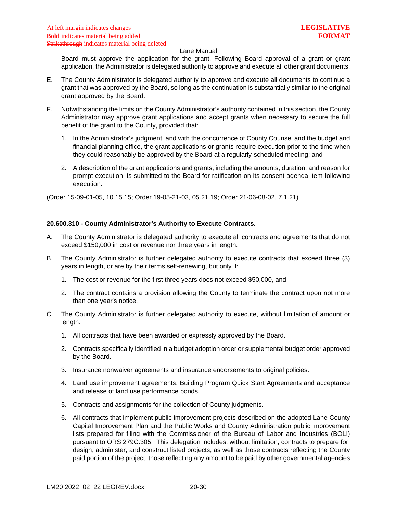Board must approve the application for the grant. Following Board approval of a grant or grant application, the Administrator is delegated authority to approve and execute all other grant documents.

- E. The County Administrator is delegated authority to approve and execute all documents to continue a grant that was approved by the Board, so long as the continuation is substantially similar to the original grant approved by the Board.
- F. Notwithstanding the limits on the County Administrator's authority contained in this section, the County Administrator may approve grant applications and accept grants when necessary to secure the full benefit of the grant to the County, provided that:
	- 1. In the Administrator's judgment, and with the concurrence of County Counsel and the budget and financial planning office, the grant applications or grants require execution prior to the time when they could reasonably be approved by the Board at a regularly-scheduled meeting; and
	- 2. A description of the grant applications and grants, including the amounts, duration, and reason for prompt execution, is submitted to the Board for ratification on its consent agenda item following execution.

(Order 15-09-01-05, 10.15.15; Order 19-05-21-03, 05.21.19; Order 21-06-08-02, 7.1.21)

## <span id="page-32-0"></span>**20.600.310 - County Administrator's Authority to Execute Contracts.**

- A. The County Administrator is delegated authority to execute all contracts and agreements that do not exceed \$150,000 in cost or revenue nor three years in length.
- B. The County Administrator is further delegated authority to execute contracts that exceed three (3) years in length, or are by their terms self-renewing, but only if:
	- 1. The cost or revenue for the first three years does not exceed \$50,000, and
	- 2. The contract contains a provision allowing the County to terminate the contract upon not more than one year's notice.
- C. The County Administrator is further delegated authority to execute, without limitation of amount or length:
	- 1. All contracts that have been awarded or expressly approved by the Board.
	- 2. Contracts specifically identified in a budget adoption order or supplemental budget order approved by the Board.
	- 3. Insurance nonwaiver agreements and insurance endorsements to original policies.
	- 4. Land use improvement agreements, Building Program Quick Start Agreements and acceptance and release of land use performance bonds.
	- 5. Contracts and assignments for the collection of County judgments.
	- 6. All contracts that implement public improvement projects described on the adopted Lane County Capital Improvement Plan and the Public Works and County Administration public improvement lists prepared for filing with the Commissioner of the Bureau of Labor and Industries (BOLI) pursuant to ORS 279C.305. This delegation includes, without limitation, contracts to prepare for, design, administer, and construct listed projects, as well as those contracts reflecting the County paid portion of the project, those reflecting any amount to be paid by other governmental agencies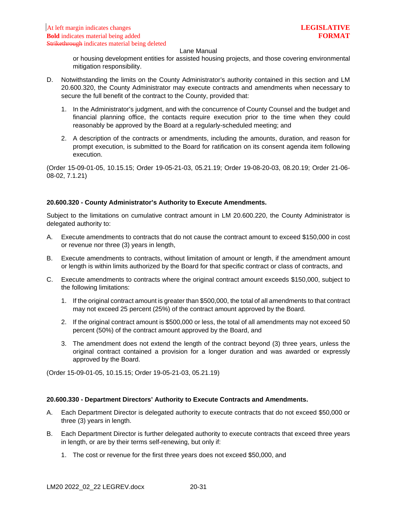or housing development entities for assisted housing projects, and those covering environmental mitigation responsibility.

- D. Notwithstanding the limits on the County Administrator's authority contained in this section and LM 20.600.320, the County Administrator may execute contracts and amendments when necessary to secure the full benefit of the contract to the County, provided that:
	- 1. In the Administrator's judgment, and with the concurrence of County Counsel and the budget and financial planning office, the contacts require execution prior to the time when they could reasonably be approved by the Board at a regularly-scheduled meeting; and
	- 2. A description of the contracts or amendments, including the amounts, duration, and reason for prompt execution, is submitted to the Board for ratification on its consent agenda item following execution.

(Order 15-09-01-05, 10.15.15; Order 19-05-21-03, 05.21.19; Order 19-08-20-03, 08.20.19; Order 21-06- 08-02, 7.1.21)

### <span id="page-33-0"></span>**20.600.320 - County Administrator's Authority to Execute Amendments.**

Subject to the limitations on cumulative contract amount in LM 20.600.220, the County Administrator is delegated authority to:

- A. Execute amendments to contracts that do not cause the contract amount to exceed \$150,000 in cost or revenue nor three (3) years in length,
- B. Execute amendments to contracts, without limitation of amount or length, if the amendment amount or length is within limits authorized by the Board for that specific contract or class of contracts, and
- C. Execute amendments to contracts where the original contract amount exceeds \$150,000, subject to the following limitations:
	- 1. If the original contract amount is greater than \$500,000, the total of all amendments to that contract may not exceed 25 percent (25%) of the contract amount approved by the Board.
	- 2. If the original contract amount is \$500,000 or less, the total of all amendments may not exceed 50 percent (50%) of the contract amount approved by the Board, and
	- 3. The amendment does not extend the length of the contract beyond (3) three years, unless the original contract contained a provision for a longer duration and was awarded or expressly approved by the Board.

(Order 15-09-01-05, 10.15.15; Order 19-05-21-03, 05.21.19)

## <span id="page-33-1"></span>**20.600.330 - Department Directors' Authority to Execute Contracts and Amendments.**

- A. Each Department Director is delegated authority to execute contracts that do not exceed \$50,000 or three (3) years in length.
- B. Each Department Director is further delegated authority to execute contracts that exceed three years in length, or are by their terms self-renewing, but only if:
	- 1. The cost or revenue for the first three years does not exceed \$50,000, and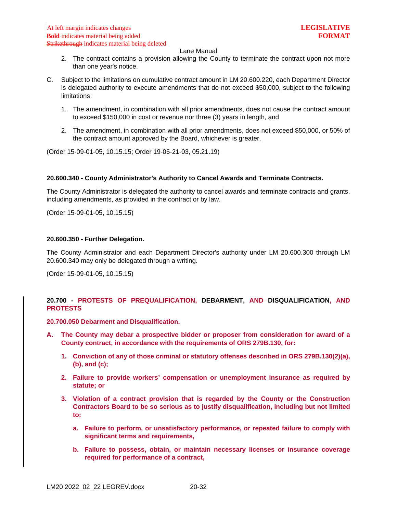- 2. The contract contains a provision allowing the County to terminate the contract upon not more than one year's notice.
- C. Subject to the limitations on cumulative contract amount in LM 20.600.220, each Department Director is delegated authority to execute amendments that do not exceed \$50,000, subject to the following limitations:
	- 1. The amendment, in combination with all prior amendments, does not cause the contract amount to exceed \$150,000 in cost or revenue nor three (3) years in length, and
	- 2. The amendment, in combination with all prior amendments, does not exceed \$50,000, or 50% of the contract amount approved by the Board, whichever is greater.

(Order 15-09-01-05, 10.15.15; Order 19-05-21-03, 05.21.19)

### <span id="page-34-0"></span>**20.600.340 - County Administrator's Authority to Cancel Awards and Terminate Contracts.**

The County Administrator is delegated the authority to cancel awards and terminate contracts and grants, including amendments, as provided in the contract or by law.

(Order 15-09-01-05, 10.15.15)

### <span id="page-34-1"></span>**20.600.350 - Further Delegation.**

The County Administrator and each Department Director's authority under LM 20.600.300 through LM 20.600.340 may only be delegated through a writing.

(Order 15-09-01-05, 10.15.15)

# <span id="page-34-2"></span>**20.700 - PROTESTS OF PREQUALIFICATION, DEBARMENT, AND DISQUALIFICATION, AND PROTESTS**

<span id="page-34-3"></span>**20.700.050 Debarment and Disqualification.**

- **A. The County may debar a prospective bidder or proposer from consideration for award of a County contract, in accordance with the requirements of ORS 279B.130, for:**
	- **1. Conviction of any of those criminal or statutory offenses described in ORS 279B.130(2)(a), (b), and (c);**
	- **2. Failure to provide workers' compensation or unemployment insurance as required by statute; or**
	- **3. Violation of a contract provision that is regarded by the County or the Construction Contractors Board to be so serious as to justify disqualification, including but not limited to:**
		- **a. Failure to perform, or unsatisfactory performance, or repeated failure to comply with significant terms and requirements,**
		- **b. Failure to possess, obtain, or maintain necessary licenses or insurance coverage required for performance of a contract,**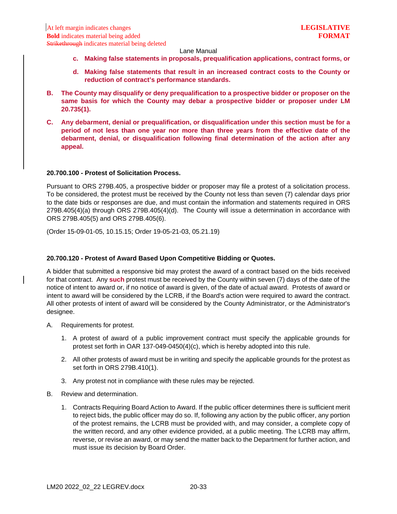- **c. Making false statements in proposals, prequalification applications, contract forms, or**
- **d. Making false statements that result in an increased contract costs to the County or reduction of contract's performance standards.**
- **B. The County may disqualify or deny prequalification to a prospective bidder or proposer on the same basis for which the County may debar a prospective bidder or proposer under LM 20.735(1).**
- **C. Any debarment, denial or prequalification, or disqualification under this section must be for a period of not less than one year nor more than three years from the effective date of the debarment, denial, or disqualification following final determination of the action after any appeal.**

### <span id="page-35-0"></span>**20.700.100 - Protest of Solicitation Process.**

Pursuant to ORS 279B.405, a prospective bidder or proposer may file a protest of a solicitation process. To be considered, the protest must be received by the County not less than seven (7) calendar days prior to the date bids or responses are due, and must contain the information and statements required in ORS 279B.405(4)(a) through ORS 279B.405(4)(d). The County will issue a determination in accordance with ORS 279B.405(5) and ORS 279B.405(6).

(Order 15-09-01-05, 10.15.15; Order 19-05-21-03, 05.21.19)

### <span id="page-35-1"></span>**20.700.120 - Protest of Award Based Upon Competitive Bidding or Quotes.**

A bidder that submitted a responsive bid may protest the award of a contract based on the bids received for that contract. Any **such** protest must be received by the County within seven (7) days of the date of the notice of intent to award or, if no notice of award is given, of the date of actual award. Protests of award or intent to award will be considered by the LCRB, if the Board's action were required to award the contract. All other protests of intent of award will be considered by the County Administrator, or the Administrator's designee.

- A. Requirements for protest.
	- 1. A protest of award of a public improvement contract must specify the applicable grounds for protest set forth in OAR 137-049-0450(4)(c), which is hereby adopted into this rule.
	- 2. All other protests of award must be in writing and specify the applicable grounds for the protest as set forth in ORS 279B.410(1).
	- 3. Any protest not in compliance with these rules may be rejected.
- B. Review and determination.
	- 1. Contracts Requiring Board Action to Award. If the public officer determines there is sufficient merit to reject bids, the public officer may do so. If, following any action by the public officer, any portion of the protest remains, the LCRB must be provided with, and may consider, a complete copy of the written record, and any other evidence provided, at a public meeting. The LCRB may affirm, reverse, or revise an award, or may send the matter back to the Department for further action, and must issue its decision by Board Order.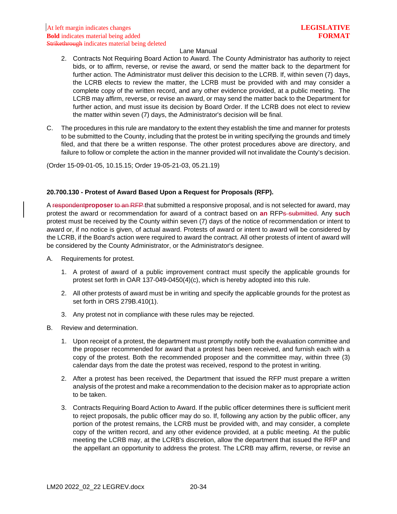#### Lane Manual

- 2. Contracts Not Requiring Board Action to Award. The County Administrator has authority to reject bids, or to affirm, reverse, or revise the award, or send the matter back to the department for further action. The Administrator must deliver this decision to the LCRB. If, within seven (7) days, the LCRB elects to review the matter, the LCRB must be provided with and may consider a complete copy of the written record, and any other evidence provided, at a public meeting. The LCRB may affirm, reverse, or revise an award, or may send the matter back to the Department for further action, and must issue its decision by Board Order. If the LCRB does not elect to review the matter within seven (7) days, the Administrator's decision will be final.
- C. The procedures in this rule are mandatory to the extent they establish the time and manner for protests to be submitted to the County, including that the protest be in writing specifying the grounds and timely filed, and that there be a written response. The other protest procedures above are directory, and failure to follow or complete the action in the manner provided will not invalidate the County's decision.

(Order 15-09-01-05, 10.15.15; Order 19-05-21-03, 05.21.19)

#### **20.700.130 - Protest of Award Based Upon a Request for Proposals (RFP).**

A respondent**proposer** to an RFP that submitted a responsive proposal, and is not selected for award, may protest the award or recommendation for award of a contract based on **an** RFPs submitted. Any **such**  protest must be received by the County within seven (7) days of the notice of recommendation or intent to award or, if no notice is given, of actual award. Protests of award or intent to award will be considered by the LCRB, if the Board's action were required to award the contract. All other protests of intent of award will be considered by the County Administrator, or the Administrator's designee.

- A. Requirements for protest.
	- 1. A protest of award of a public improvement contract must specify the applicable grounds for protest set forth in OAR 137-049-0450(4)(c), which is hereby adopted into this rule.
	- 2. All other protests of award must be in writing and specify the applicable grounds for the protest as set forth in ORS 279B.410(1).
	- 3. Any protest not in compliance with these rules may be rejected.
- B. Review and determination.
	- 1. Upon receipt of a protest, the department must promptly notify both the evaluation committee and the proposer recommended for award that a protest has been received, and furnish each with a copy of the protest. Both the recommended proposer and the committee may, within three (3) calendar days from the date the protest was received, respond to the protest in writing.
	- 2. After a protest has been received, the Department that issued the RFP must prepare a written analysis of the protest and make a recommendation to the decision maker as to appropriate action to be taken.
	- 3. Contracts Requiring Board Action to Award. If the public officer determines there is sufficient merit to reject proposals, the public officer may do so. If, following any action by the public officer, any portion of the protest remains, the LCRB must be provided with, and may consider, a complete copy of the written record, and any other evidence provided, at a public meeting. At the public meeting the LCRB may, at the LCRB's discretion, allow the department that issued the RFP and the appellant an opportunity to address the protest. The LCRB may affirm, reverse, or revise an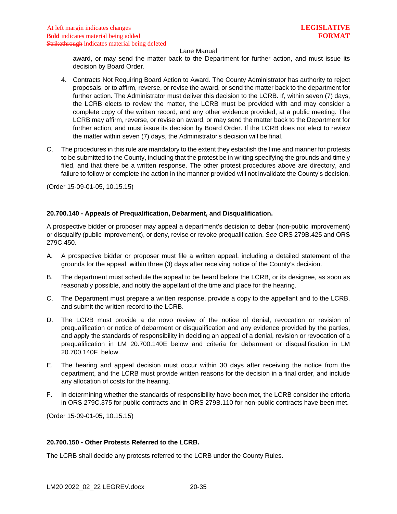#### Lane Manual

award, or may send the matter back to the Department for further action, and must issue its decision by Board Order.

- 4. Contracts Not Requiring Board Action to Award. The County Administrator has authority to reject proposals, or to affirm, reverse, or revise the award, or send the matter back to the department for further action. The Administrator must deliver this decision to the LCRB. If, within seven (7) days, the LCRB elects to review the matter, the LCRB must be provided with and may consider a complete copy of the written record, and any other evidence provided, at a public meeting. The LCRB may affirm, reverse, or revise an award, or may send the matter back to the Department for further action, and must issue its decision by Board Order. If the LCRB does not elect to review the matter within seven (7) days, the Administrator's decision will be final.
- C. The procedures in this rule are mandatory to the extent they establish the time and manner for protests to be submitted to the County, including that the protest be in writing specifying the grounds and timely filed, and that there be a written response. The other protest procedures above are directory, and failure to follow or complete the action in the manner provided will not invalidate the County's decision.

(Order 15-09-01-05, 10.15.15)

#### **20.700.140 - Appeals of Prequalification, Debarment, and Disqualification.**

A prospective bidder or proposer may appeal a department's decision to debar (non-public improvement) or disqualify (public improvement), or deny, revise or revoke prequalification. *See* ORS 279B.425 and ORS 279C.450.

- A. A prospective bidder or proposer must file a written appeal, including a detailed statement of the grounds for the appeal, within three (3) days after receiving notice of the County's decision.
- B. The department must schedule the appeal to be heard before the LCRB, or its designee, as soon as reasonably possible, and notify the appellant of the time and place for the hearing.
- C. The Department must prepare a written response, provide a copy to the appellant and to the LCRB, and submit the written record to the LCRB.
- D. The LCRB must provide a de novo review of the notice of denial, revocation or revision of prequalification or notice of debarment or disqualification and any evidence provided by the parties, and apply the standards of responsibility in deciding an appeal of a denial, revision or revocation of a prequalification in LM 20.700.140E below and criteria for debarment or disqualification in LM 20.700.140F below.
- E. The hearing and appeal decision must occur within 30 days after receiving the notice from the department, and the LCRB must provide written reasons for the decision in a final order, and include any allocation of costs for the hearing.
- F. In determining whether the standards of responsibility have been met, the LCRB consider the criteria in ORS 279C.375 for public contracts and in ORS 279B.110 for non-public contracts have been met.

(Order 15-09-01-05, 10.15.15)

#### **20.700.150 - Other Protests Referred to the LCRB.**

The LCRB shall decide any protests referred to the LCRB under the County Rules.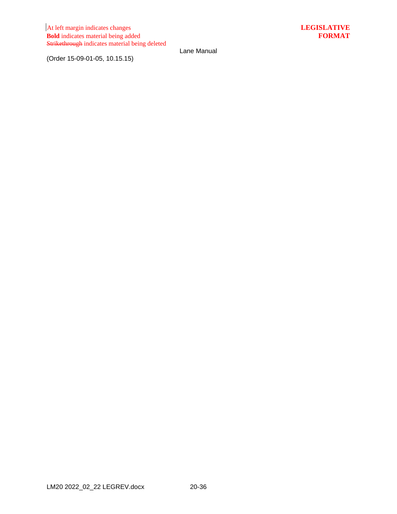(Order 15-09-01-05, 10.15.15)

Lane Manual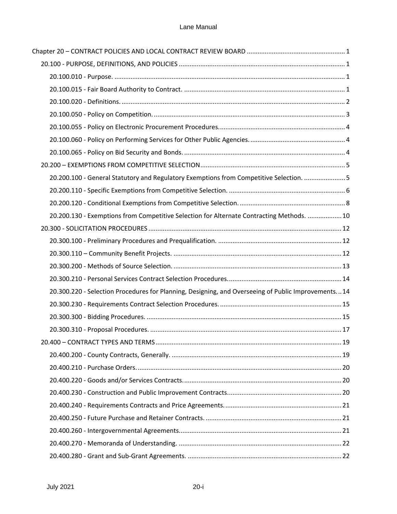| 20.200.100 - General Statutory and Regulatory Exemptions from Competitive Selection.  5            |  |
|----------------------------------------------------------------------------------------------------|--|
|                                                                                                    |  |
|                                                                                                    |  |
| 20.200.130 - Exemptions from Competitive Selection for Alternate Contracting Methods.  10          |  |
|                                                                                                    |  |
|                                                                                                    |  |
|                                                                                                    |  |
|                                                                                                    |  |
|                                                                                                    |  |
| 20.300.220 - Selection Procedures for Planning, Designing, and Overseeing of Public Improvements14 |  |
|                                                                                                    |  |
|                                                                                                    |  |
|                                                                                                    |  |
|                                                                                                    |  |
|                                                                                                    |  |
|                                                                                                    |  |
|                                                                                                    |  |
|                                                                                                    |  |
|                                                                                                    |  |
|                                                                                                    |  |
|                                                                                                    |  |
|                                                                                                    |  |
|                                                                                                    |  |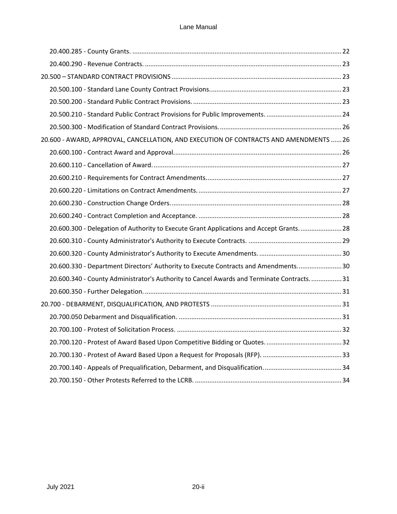| 20.600 - AWARD, APPROVAL, CANCELLATION, AND EXECUTION OF CONTRACTS AND AMENDMENTS  26     |  |
|-------------------------------------------------------------------------------------------|--|
|                                                                                           |  |
|                                                                                           |  |
|                                                                                           |  |
|                                                                                           |  |
|                                                                                           |  |
|                                                                                           |  |
| 20.600.300 - Delegation of Authority to Execute Grant Applications and Accept Grants 28   |  |
|                                                                                           |  |
|                                                                                           |  |
| 20.600.330 - Department Directors' Authority to Execute Contracts and Amendments 30       |  |
| 20.600.340 - County Administrator's Authority to Cancel Awards and Terminate Contracts 31 |  |
|                                                                                           |  |
|                                                                                           |  |
|                                                                                           |  |
|                                                                                           |  |
|                                                                                           |  |
|                                                                                           |  |
|                                                                                           |  |
|                                                                                           |  |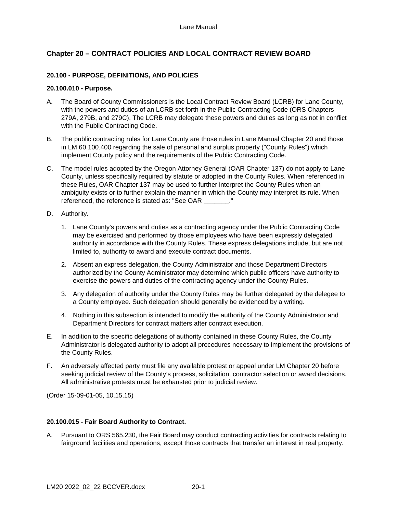# <span id="page-41-0"></span>**Chapter 20 – CONTRACT POLICIES AND LOCAL CONTRACT REVIEW BOARD**

## <span id="page-41-1"></span>**20.100 - PURPOSE, DEFINITIONS, AND POLICIES**

#### <span id="page-41-2"></span>**20.100.010 - Purpose.**

- A. The Board of County Commissioners is the Local Contract Review Board (LCRB) for Lane County, with the powers and duties of an LCRB set forth in the Public Contracting Code (ORS Chapters 279A, 279B, and 279C). The LCRB may delegate these powers and duties as long as not in conflict with the Public Contracting Code.
- B. The public contracting rules for Lane County are those rules in Lane Manual Chapter 20 and those in LM 60.100.400 regarding the sale of personal and surplus property ("County Rules") which implement County policy and the requirements of the Public Contracting Code.
- C. The model rules adopted by the Oregon Attorney General (OAR Chapter 137) do not apply to Lane County, unless specifically required by statute or adopted in the County Rules. When referenced in these Rules, OAR Chapter 137 may be used to further interpret the County Rules when an ambiguity exists or to further explain the manner in which the County may interpret its rule. When referenced, the reference is stated as: "See OAR ..."
- D. Authority.
	- 1. Lane County's powers and duties as a contracting agency under the Public Contracting Code may be exercised and performed by those employees who have been expressly delegated authority in accordance with the County Rules. These express delegations include, but are not limited to, authority to award and execute contract documents.
	- 2. Absent an express delegation, the County Administrator and those Department Directors authorized by the County Administrator may determine which public officers have authority to exercise the powers and duties of the contracting agency under the County Rules.
	- 3. Any delegation of authority under the County Rules may be further delegated by the delegee to a County employee. Such delegation should generally be evidenced by a writing.
	- 4. Nothing in this subsection is intended to modify the authority of the County Administrator and Department Directors for contract matters after contract execution.
- E. In addition to the specific delegations of authority contained in these County Rules, the County Administrator is delegated authority to adopt all procedures necessary to implement the provisions of the County Rules.
- F. An adversely affected party must file any available protest or appeal under LM Chapter 20 before seeking judicial review of the County's process, solicitation, contractor selection or award decisions. All administrative protests must be exhausted prior to judicial review.

(Order 15-09-01-05, 10.15.15)

## <span id="page-41-3"></span>**20.100.015 - Fair Board Authority to Contract.**

A. Pursuant to ORS 565.230, the Fair Board may conduct contracting activities for contracts relating to fairground facilities and operations, except those contracts that transfer an interest in real property.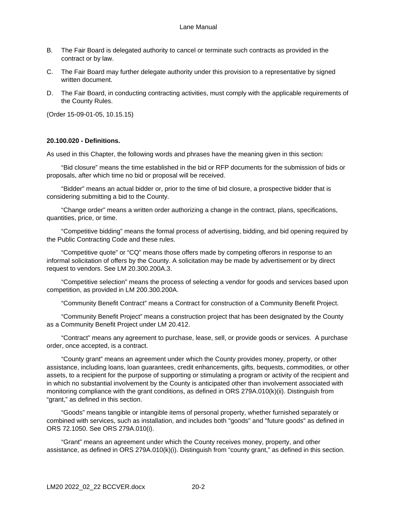- B. The Fair Board is delegated authority to cancel or terminate such contracts as provided in the contract or by law.
- C. The Fair Board may further delegate authority under this provision to a representative by signed written document.
- D. The Fair Board, in conducting contracting activities, must comply with the applicable requirements of the County Rules.

(Order 15-09-01-05, 10.15.15)

### <span id="page-42-0"></span>**20.100.020 - Definitions.**

As used in this Chapter, the following words and phrases have the meaning given in this section:

"Bid closure" means the time established in the bid or RFP documents for the submission of bids or proposals, after which time no bid or proposal will be received.

"Bidder" means an actual bidder or, prior to the time of bid closure, a prospective bidder that is considering submitting a bid to the County.

"Change order" means a written order authorizing a change in the contract, plans, specifications, quantities, price, or time.

"Competitive bidding" means the formal process of advertising, bidding, and bid opening required by the Public Contracting Code and these rules.

"Competitive quote" or "CQ" means those offers made by competing offerors in response to an informal solicitation of offers by the County. A solicitation may be made by advertisement or by direct request to vendors. See LM 20.300.200A.3.

"Competitive selection" means the process of selecting a vendor for goods and services based upon competition, as provided in LM 200.300.200A.

"Community Benefit Contract" means a Contract for construction of a Community Benefit Project.

"Community Benefit Project" means a construction project that has been designated by the County as a Community Benefit Project under LM 20.412.

"Contract" means any agreement to purchase, lease, sell, or provide goods or services. A purchase order, once accepted, is a contract.

"County grant" means an agreement under which the County provides money, property, or other assistance, including loans, loan guarantees, credit enhancements, gifts, bequests, commodities, or other assets, to a recipient for the purpose of supporting or stimulating a program or activity of the recipient and in which no substantial involvement by the County is anticipated other than involvement associated with monitoring compliance with the grant conditions, as defined in ORS 279A.010(k)(ii). Distinguish from "grant," as defined in this section.

"Goods" means tangible or intangible items of personal property, whether furnished separately or combined with services, such as installation, and includes both "goods" and "future goods" as defined in ORS 72.1050. See ORS 279A.010(i).

"Grant" means an agreement under which the County receives money, property, and other assistance, as defined in ORS 279A.010(k)(i). Distinguish from "county grant," as defined in this section.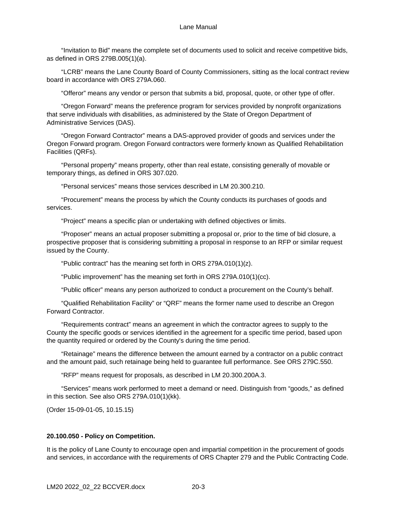#### Lane Manual

"Invitation to Bid" means the complete set of documents used to solicit and receive competitive bids, as defined in ORS 279B.005(1)(a).

"LCRB" means the Lane County Board of County Commissioners, sitting as the local contract review board in accordance with ORS 279A.060.

"Offeror" means any vendor or person that submits a bid, proposal, quote, or other type of offer.

"Oregon Forward" means the preference program for services provided by nonprofit organizations that serve individuals with disabilities, as administered by the State of Oregon Department of Administrative Services (DAS).

"Oregon Forward Contractor" means a DAS-approved provider of goods and services under the Oregon Forward program. Oregon Forward contractors were formerly known as Qualified Rehabilitation Facilities (QRFs).

"Personal property" means property, other than real estate, consisting generally of movable or temporary things, as defined in ORS 307.020.

"Personal services" means those services described in LM 20.300.210.

"Procurement" means the process by which the County conducts its purchases of goods and services.

"Project" means a specific plan or undertaking with defined objectives or limits.

"Proposer" means an actual proposer submitting a proposal or, prior to the time of bid closure, a prospective proposer that is considering submitting a proposal in response to an RFP or similar request issued by the County.

"Public contract" has the meaning set forth in ORS 279A.010(1)(z).

"Public improvement" has the meaning set forth in ORS 279A.010(1)(cc).

"Public officer" means any person authorized to conduct a procurement on the County's behalf.

"Qualified Rehabilitation Facility" or "QRF" means the former name used to describe an Oregon Forward Contractor.

"Requirements contract" means an agreement in which the contractor agrees to supply to the County the specific goods or services identified in the agreement for a specific time period, based upon the quantity required or ordered by the County's during the time period.

"Retainage" means the difference between the amount earned by a contractor on a public contract and the amount paid, such retainage being held to guarantee full performance. See ORS 279C.550.

"RFP" means request for proposals, as described in LM 20.300.200A.3.

"Services" means work performed to meet a demand or need. Distinguish from "goods," as defined in this section. See also ORS 279A.010(1)(kk).

(Order 15-09-01-05, 10.15.15)

#### <span id="page-43-0"></span>**20.100.050 - Policy on Competition.**

It is the policy of Lane County to encourage open and impartial competition in the procurement of goods and services, in accordance with the requirements of ORS Chapter 279 and the Public Contracting Code.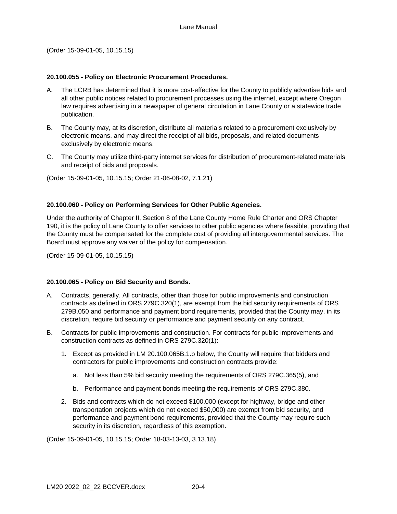(Order 15-09-01-05, 10.15.15)

### <span id="page-44-0"></span>**20.100.055 - Policy on Electronic Procurement Procedures.**

- A. The LCRB has determined that it is more cost-effective for the County to publicly advertise bids and all other public notices related to procurement processes using the internet, except where Oregon law requires advertising in a newspaper of general circulation in Lane County or a statewide trade publication.
- B. The County may, at its discretion, distribute all materials related to a procurement exclusively by electronic means, and may direct the receipt of all bids, proposals, and related documents exclusively by electronic means.
- C. The County may utilize third-party internet services for distribution of procurement-related materials and receipt of bids and proposals.

(Order 15-09-01-05, 10.15.15; Order 21-06-08-02, 7.1.21)

### <span id="page-44-1"></span>**20.100.060 - Policy on Performing Services for Other Public Agencies.**

Under the authority of Chapter II, Section 8 of the Lane County Home Rule Charter and ORS Chapter 190, it is the policy of Lane County to offer services to other public agencies where feasible, providing that the County must be compensated for the complete cost of providing all intergovernmental services. The Board must approve any waiver of the policy for compensation.

(Order 15-09-01-05, 10.15.15)

## <span id="page-44-2"></span>**20.100.065 - Policy on Bid Security and Bonds.**

- A. Contracts, generally. All contracts, other than those for public improvements and construction contracts as defined in ORS 279C.320(1), are exempt from the bid security requirements of ORS 279B.050 and performance and payment bond requirements, provided that the County may, in its discretion, require bid security or performance and payment security on any contract.
- B. Contracts for public improvements and construction. For contracts for public improvements and construction contracts as defined in ORS 279C.320(1):
	- 1. Except as provided in LM 20.100.065B.1.b below, the County will require that bidders and contractors for public improvements and construction contracts provide:
		- a. Not less than 5% bid security meeting the requirements of ORS 279C.365(5), and
		- b. Performance and payment bonds meeting the requirements of ORS 279C.380.
	- 2. Bids and contracts which do not exceed \$100,000 (except for highway, bridge and other transportation projects which do not exceed \$50,000) are exempt from bid security, and performance and payment bond requirements, provided that the County may require such security in its discretion, regardless of this exemption.

(Order 15-09-01-05, 10.15.15; Order 18-03-13-03, 3.13.18)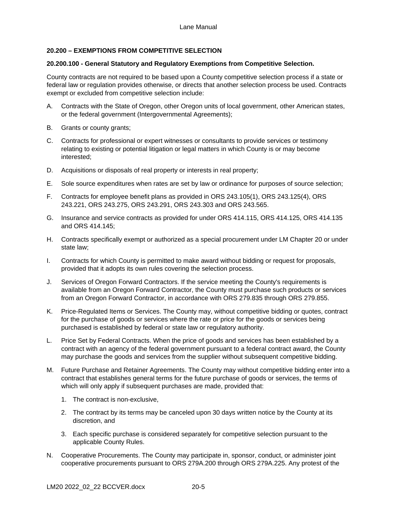# <span id="page-45-0"></span>**20.200 – EXEMPTIONS FROM COMPETITIVE SELECTION**

### <span id="page-45-1"></span>**20.200.100 - General Statutory and Regulatory Exemptions from Competitive Selection.**

County contracts are not required to be based upon a County competitive selection process if a state or federal law or regulation provides otherwise, or directs that another selection process be used. Contracts exempt or excluded from competitive selection include:

- A. Contracts with the State of Oregon, other Oregon units of local government, other American states, or the federal government (Intergovernmental Agreements);
- B. Grants or county grants;
- C. Contracts for professional or expert witnesses or consultants to provide services or testimony relating to existing or potential litigation or legal matters in which County is or may become interested;
- D. Acquisitions or disposals of real property or interests in real property;
- E. Sole source expenditures when rates are set by law or ordinance for purposes of source selection;
- F. Contracts for employee benefit plans as provided in ORS 243.105(1), ORS 243.125(4), ORS 243.221, ORS 243.275, ORS 243.291, ORS 243.303 and ORS 243.565.
- G. Insurance and service contracts as provided for under ORS 414.115, ORS 414.125, ORS 414.135 and ORS 414.145;
- H. Contracts specifically exempt or authorized as a special procurement under LM Chapter 20 or under state law;
- I. Contracts for which County is permitted to make award without bidding or request for proposals, provided that it adopts its own rules covering the selection process.
- J. Services of Oregon Forward Contractors. If the service meeting the County's requirements is available from an Oregon Forward Contractor, the County must purchase such products or services from an Oregon Forward Contractor, in accordance with ORS 279.835 through ORS 279.855.
- K. Price-Regulated Items or Services. The County may, without competitive bidding or quotes, contract for the purchase of goods or services where the rate or price for the goods or services being purchased is established by federal or state law or regulatory authority.
- L. Price Set by Federal Contracts. When the price of goods and services has been established by a contract with an agency of the federal government pursuant to a federal contract award, the County may purchase the goods and services from the supplier without subsequent competitive bidding.
- M. Future Purchase and Retainer Agreements. The County may without competitive bidding enter into a contract that establishes general terms for the future purchase of goods or services, the terms of which will only apply if subsequent purchases are made, provided that:
	- 1. The contract is non-exclusive,
	- 2. The contract by its terms may be canceled upon 30 days written notice by the County at its discretion, and
	- 3. Each specific purchase is considered separately for competitive selection pursuant to the applicable County Rules.
- N. Cooperative Procurements. The County may participate in, sponsor, conduct, or administer joint cooperative procurements pursuant to ORS 279A.200 through ORS 279A.225. Any protest of the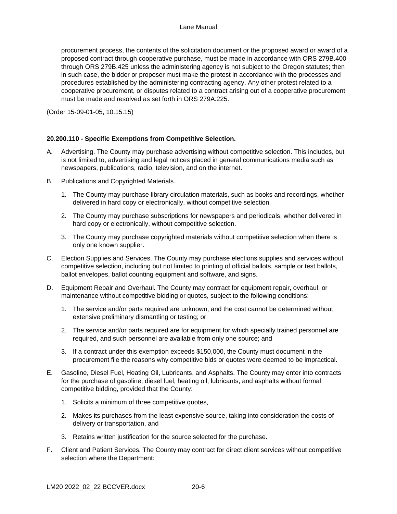procurement process, the contents of the solicitation document or the proposed award or award of a proposed contract through cooperative purchase, must be made in accordance with ORS 279B.400 through ORS 279B.425 unless the administering agency is not subject to the Oregon statutes; then in such case, the bidder or proposer must make the protest in accordance with the processes and procedures established by the administering contracting agency. Any other protest related to a cooperative procurement, or disputes related to a contract arising out of a cooperative procurement must be made and resolved as set forth in ORS 279A.225.

(Order 15-09-01-05, 10.15.15)

## <span id="page-46-0"></span>**20.200.110 - Specific Exemptions from Competitive Selection.**

- A. Advertising. The County may purchase advertising without competitive selection. This includes, but is not limited to, advertising and legal notices placed in general communications media such as newspapers, publications, radio, television, and on the internet.
- B. Publications and Copyrighted Materials.
	- 1. The County may purchase library circulation materials, such as books and recordings, whether delivered in hard copy or electronically, without competitive selection.
	- 2. The County may purchase subscriptions for newspapers and periodicals, whether delivered in hard copy or electronically, without competitive selection.
	- 3. The County may purchase copyrighted materials without competitive selection when there is only one known supplier.
- C. Election Supplies and Services. The County may purchase elections supplies and services without competitive selection, including but not limited to printing of official ballots, sample or test ballots, ballot envelopes, ballot counting equipment and software, and signs.
- D. Equipment Repair and Overhaul. The County may contract for equipment repair, overhaul, or maintenance without competitive bidding or quotes, subject to the following conditions:
	- 1. The service and/or parts required are unknown, and the cost cannot be determined without extensive preliminary dismantling or testing; or
	- 2. The service and/or parts required are for equipment for which specially trained personnel are required, and such personnel are available from only one source; and
	- 3. If a contract under this exemption exceeds \$150,000, the County must document in the procurement file the reasons why competitive bids or quotes were deemed to be impractical.
- E. Gasoline, Diesel Fuel, Heating Oil, Lubricants, and Asphalts. The County may enter into contracts for the purchase of gasoline, diesel fuel, heating oil, lubricants, and asphalts without formal competitive bidding, provided that the County:
	- 1. Solicits a minimum of three competitive quotes,
	- 2. Makes its purchases from the least expensive source, taking into consideration the costs of delivery or transportation, and
	- 3. Retains written justification for the source selected for the purchase.
- F. Client and Patient Services. The County may contract for direct client services without competitive selection where the Department: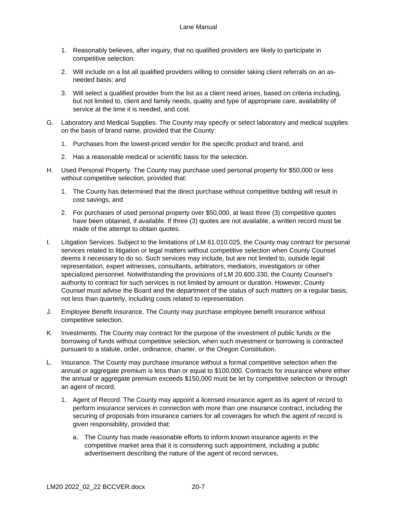- 1. Reasonably believes, after inquiry, that no qualified providers are likely to participate in competitive selection;
- 2. Will include on a list all qualified providers willing to consider taking client referrals on an asneeded basis; and
- 3. Will select a qualified provider from the list as a client need arises, based on criteria including, but not limited to, client and family needs, quality and type of appropriate care, availability of service at the time it is needed, and cost.
- G. Laboratory and Medical Supplies. The County may specify or select laboratory and medical supplies on the basis of brand name, provided that the County:
	- 1. Purchases from the lowest-priced vendor for the specific product and brand, and
	- 2. Has a reasonable medical or scientific basis for the selection.
- H. Used Personal Property. The County may purchase used personal property for \$50,000 or less without competitive selection, provided that:
	- 1. The County has determined that the direct purchase without competitive bidding will result in cost savings, and
	- 2. For purchases of used personal property over \$50,000, at least three (3) competitive quotes have been obtained, if available. If three (3) quotes are not available, a written record must be made of the attempt to obtain quotes.
- I. Litigation Services. Subject to the limitations of LM 61.010.025, the County may contract for personal services related to litigation or legal matters without competitive selection when County Counsel deems it necessary to do so. Such services may include, but are not limited to, outside legal representation, expert witnesses, consultants, arbitrators, mediators, investigators or other specialized personnel. Notwithstanding the provisions of LM 20.600.330, the County Counsel's authority to contract for such services is not limited by amount or duration. However, County Counsel must advise the Board and the department of the status of such matters on a regular basis, not less than quarterly, including costs related to representation.
- J. Employee Benefit Insurance. The County may purchase employee benefit insurance without competitive selection.
- K. Investments. The County may contract for the purpose of the investment of public funds or the borrowing of funds without competitive selection, when such investment or borrowing is contracted pursuant to a statute, order, ordinance, charter, or the Oregon Constitution.
- L. Insurance. The County may purchase insurance without a formal competitive selection when the annual or aggregate premium is less than or equal to \$100,000. Contracts for insurance where either the annual or aggregate premium exceeds \$150,000 must be let by competitive selection or through an agent of record.
	- 1. Agent of Record. The County may appoint a licensed insurance agent as its agent of record to perform insurance services in connection with more than one insurance contract, including the securing of proposals from insurance carriers for all coverages for which the agent of record is given responsibility, provided that:
		- a. The County has made reasonable efforts to inform known insurance agents in the competitive market area that it is considering such appointment, including a public advertisement describing the nature of the agent of record services,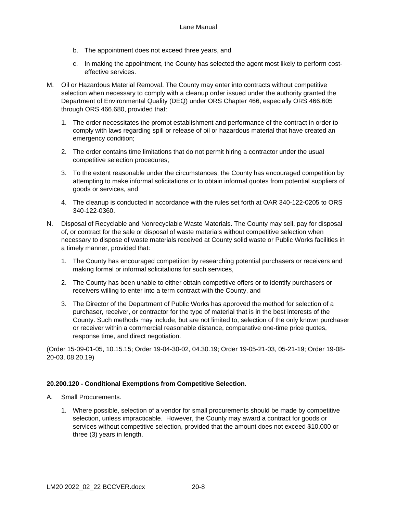- b. The appointment does not exceed three years, and
- c. In making the appointment, the County has selected the agent most likely to perform costeffective services.
- M. Oil or Hazardous Material Removal. The County may enter into contracts without competitive selection when necessary to comply with a cleanup order issued under the authority granted the Department of Environmental Quality (DEQ) under ORS Chapter 466, especially ORS 466.605 through ORS 466.680, provided that:
	- 1. The order necessitates the prompt establishment and performance of the contract in order to comply with laws regarding spill or release of oil or hazardous material that have created an emergency condition;
	- 2. The order contains time limitations that do not permit hiring a contractor under the usual competitive selection procedures;
	- 3. To the extent reasonable under the circumstances, the County has encouraged competition by attempting to make informal solicitations or to obtain informal quotes from potential suppliers of goods or services, and
	- 4. The cleanup is conducted in accordance with the rules set forth at OAR 340-122-0205 to ORS 340-122-0360.
- N. Disposal of Recyclable and Nonrecyclable Waste Materials. The County may sell, pay for disposal of, or contract for the sale or disposal of waste materials without competitive selection when necessary to dispose of waste materials received at County solid waste or Public Works facilities in a timely manner, provided that:
	- 1. The County has encouraged competition by researching potential purchasers or receivers and making formal or informal solicitations for such services,
	- 2. The County has been unable to either obtain competitive offers or to identify purchasers or receivers willing to enter into a term contract with the County, and
	- 3. The Director of the Department of Public Works has approved the method for selection of a purchaser, receiver, or contractor for the type of material that is in the best interests of the County. Such methods may include, but are not limited to, selection of the only known purchaser or receiver within a commercial reasonable distance, comparative one-time price quotes, response time, and direct negotiation.

(Order 15-09-01-05, 10.15.15; Order 19-04-30-02, 04.30.19; Order 19-05-21-03, 05-21-19; Order 19-08- 20-03, 08.20.19)

## <span id="page-48-0"></span>**20.200.120 - Conditional Exemptions from Competitive Selection.**

- A. Small Procurements.
	- 1. Where possible, selection of a vendor for small procurements should be made by competitive selection, unless impracticable. However, the County may award a contract for goods or services without competitive selection, provided that the amount does not exceed \$10,000 or three (3) years in length.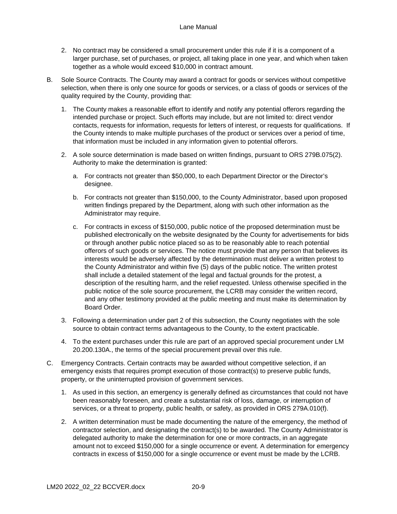- 2. No contract may be considered a small procurement under this rule if it is a component of a larger purchase, set of purchases, or project, all taking place in one year, and which when taken together as a whole would exceed \$10,000 in contract amount.
- B. Sole Source Contracts. The County may award a contract for goods or services without competitive selection, when there is only one source for goods or services, or a class of goods or services of the quality required by the County, providing that:
	- 1. The County makes a reasonable effort to identify and notify any potential offerors regarding the intended purchase or project. Such efforts may include, but are not limited to: direct vendor contacts, requests for information, requests for letters of interest, or requests for qualifications. If the County intends to make multiple purchases of the product or services over a period of time, that information must be included in any information given to potential offerors.
	- 2. A sole source determination is made based on written findings, pursuant to ORS 279B.075(2). Authority to make the determination is granted:
		- a. For contracts not greater than \$50,000, to each Department Director or the Director's designee.
		- b. For contracts not greater than \$150,000, to the County Administrator, based upon proposed written findings prepared by the Department, along with such other information as the Administrator may require.
		- c. For contracts in excess of \$150,000, public notice of the proposed determination must be published electronically on the website designated by the County for advertisements for bids or through another public notice placed so as to be reasonably able to reach potential offerors of such goods or services. The notice must provide that any person that believes its interests would be adversely affected by the determination must deliver a written protest to the County Administrator and within five (5) days of the public notice. The written protest shall include a detailed statement of the legal and factual grounds for the protest, a description of the resulting harm, and the relief requested. Unless otherwise specified in the public notice of the sole source procurement, the LCRB may consider the written record, and any other testimony provided at the public meeting and must make its determination by Board Order.
	- 3. Following a determination under part 2 of this subsection, the County negotiates with the sole source to obtain contract terms advantageous to the County, to the extent practicable.
	- 4. To the extent purchases under this rule are part of an approved special procurement under LM 20.200.130A., the terms of the special procurement prevail over this rule.
- C. Emergency Contracts. Certain contracts may be awarded without competitive selection, if an emergency exists that requires prompt execution of those contract(s) to preserve public funds, property, or the uninterrupted provision of government services.
	- 1. As used in this section, an emergency is generally defined as circumstances that could not have been reasonably foreseen, and create a substantial risk of loss, damage, or interruption of services, or a threat to property, public health, or safety, as provided in ORS 279A.010(f).
	- 2. A written determination must be made documenting the nature of the emergency, the method of contractor selection, and designating the contract(s) to be awarded. The County Administrator is delegated authority to make the determination for one or more contracts, in an aggregate amount not to exceed \$150,000 for a single occurrence or event. A determination for emergency contracts in excess of \$150,000 for a single occurrence or event must be made by the LCRB.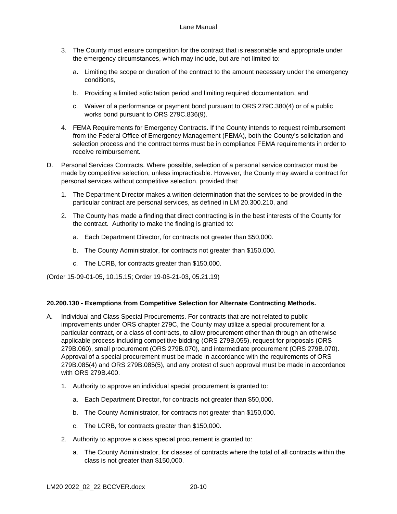- 3. The County must ensure competition for the contract that is reasonable and appropriate under the emergency circumstances, which may include, but are not limited to:
	- a. Limiting the scope or duration of the contract to the amount necessary under the emergency conditions,
	- b. Providing a limited solicitation period and limiting required documentation, and
	- c. Waiver of a performance or payment bond pursuant to ORS 279C.380(4) or of a public works bond pursuant to ORS 279C.836(9).
- 4. FEMA Requirements for Emergency Contracts. If the County intends to request reimbursement from the Federal Office of Emergency Management (FEMA), both the County's solicitation and selection process and the contract terms must be in compliance FEMA requirements in order to receive reimbursement.
- D. Personal Services Contracts. Where possible, selection of a personal service contractor must be made by competitive selection, unless impracticable. However, the County may award a contract for personal services without competitive selection, provided that:
	- 1. The Department Director makes a written determination that the services to be provided in the particular contract are personal services, as defined in LM 20.300.210, and
	- 2. The County has made a finding that direct contracting is in the best interests of the County for the contract. Authority to make the finding is granted to:
		- a. Each Department Director, for contracts not greater than \$50,000.
		- b. The County Administrator, for contracts not greater than \$150,000.
		- c. The LCRB, for contracts greater than \$150,000.

(Order 15-09-01-05, 10.15.15; Order 19-05-21-03, 05.21.19)

## <span id="page-50-0"></span>**20.200.130 - Exemptions from Competitive Selection for Alternate Contracting Methods.**

- A. Individual and Class Special Procurements. For contracts that are not related to public improvements under ORS chapter 279C, the County may utilize a special procurement for a particular contract, or a class of contracts, to allow procurement other than through an otherwise applicable process including competitive bidding (ORS 279B.055), request for proposals (ORS 279B.060), small procurement (ORS 279B.070), and intermediate procurement (ORS 279B.070). Approval of a special procurement must be made in accordance with the requirements of ORS 279B.085(4) and ORS 279B.085(5), and any protest of such approval must be made in accordance with ORS 279B.400.
	- 1. Authority to approve an individual special procurement is granted to:
		- a. Each Department Director, for contracts not greater than \$50,000.
		- b. The County Administrator, for contracts not greater than \$150,000.
		- c. The LCRB, for contracts greater than \$150,000.
	- 2. Authority to approve a class special procurement is granted to:
		- a. The County Administrator, for classes of contracts where the total of all contracts within the class is not greater than \$150,000.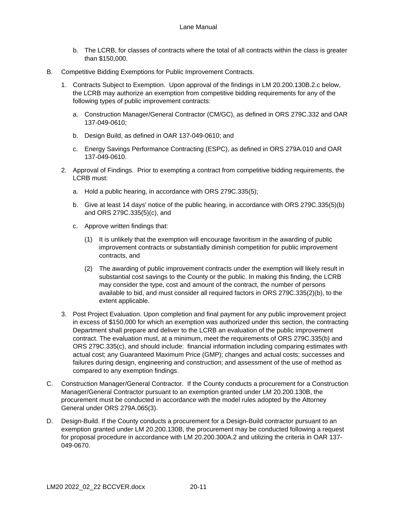- b. The LCRB, for classes of contracts where the total of all contracts within the class is greater than \$150,000.
- B. Competitive Bidding Exemptions for Public Improvement Contracts.
	- 1. Contracts Subject to Exemption. Upon approval of the findings in LM 20.200.130B.2.c below, the LCRB may authorize an exemption from competitive bidding requirements for any of the following types of public improvement contracts:
		- a. Construction Manager/General Contractor (CM/GC), as defined in ORS 279C.332 and OAR 137-049-0610;
		- b. Design Build, as defined in OAR 137-049-0610; and
		- c. Energy Savings Performance Contracting (ESPC), as defined in ORS 279A.010 and OAR 137-049-0610.
	- 2. Approval of Findings. Prior to exempting a contract from competitive bidding requirements, the LCRB must:
		- a. Hold a public hearing, in accordance with ORS 279C.335(5);
		- b. Give at least 14 days' notice of the public hearing, in accordance with ORS 279C.335(5)(b) and ORS 279C.335(5)(c), and
		- c. Approve written findings that:
			- (1) It is unlikely that the exemption will encourage favoritism in the awarding of public improvement contracts or substantially diminish competition for public improvement contracts, and
			- (2) The awarding of public improvement contracts under the exemption will likely result in substantial cost savings to the County or the public. In making this finding, the LCRB may consider the type, cost and amount of the contract, the number of persons available to bid, and must consider all required factors in ORS 279C.335(2)(b), to the extent applicable.
	- 3. Post Project Evaluation. Upon completion and final payment for any public improvement project in excess of \$150,000 for which an exemption was authorized under this section, the contracting Department shall prepare and deliver to the LCRB an evaluation of the public improvement contract. The evaluation must, at a minimum, meet the requirements of ORS 279C.335(b) and ORS 279C.335(c), and should include: financial information including comparing estimates with actual cost; any Guaranteed Maximum Price (GMP); changes and actual costs; successes and failures during design, engineering and construction; and assessment of the use of method as compared to any exemption findings.
- C. Construction Manager/General Contractor. If the County conducts a procurement for a Construction Manager/General Contractor pursuant to an exemption granted under LM 20.200.130B, the procurement must be conducted in accordance with the model rules adopted by the Attorney General under ORS 279A.065(3).
- D. Design-Build. If the County conducts a procurement for a Design-Build contractor pursuant to an exemption granted under LM 20.200.130B, the procurement may be conducted following a request for proposal procedure in accordance with LM 20.200.300A.2 and utilizing the criteria in OAR 137- 049-0670.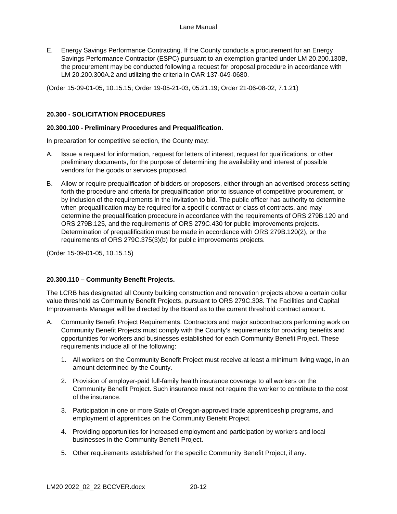E. Energy Savings Performance Contracting. If the County conducts a procurement for an Energy Savings Performance Contractor (ESPC) pursuant to an exemption granted under LM 20.200.130B, the procurement may be conducted following a request for proposal procedure in accordance with LM 20.200.300A.2 and utilizing the criteria in OAR 137-049-0680.

(Order 15-09-01-05, 10.15.15; Order 19-05-21-03, 05.21.19; Order 21-06-08-02, 7.1.21)

## <span id="page-52-0"></span>**20.300 - SOLICITATION PROCEDURES**

#### <span id="page-52-1"></span>**20.300.100 - Preliminary Procedures and Prequalification.**

In preparation for competitive selection, the County may:

- A. Issue a request for information, request for letters of interest, request for qualifications, or other preliminary documents, for the purpose of determining the availability and interest of possible vendors for the goods or services proposed.
- B. Allow or require prequalification of bidders or proposers, either through an advertised process setting forth the procedure and criteria for prequalification prior to issuance of competitive procurement, or by inclusion of the requirements in the invitation to bid. The public officer has authority to determine when prequalification may be required for a specific contract or class of contracts, and may determine the prequalification procedure in accordance with the requirements of ORS 279B.120 and ORS 279B.125, and the requirements of ORS 279C.430 for public improvements projects. Determination of prequalification must be made in accordance with ORS 279B.120(2), or the requirements of ORS 279C.375(3)(b) for public improvements projects.

(Order 15-09-01-05, 10.15.15)

#### <span id="page-52-2"></span>**20.300.110 – Community Benefit Projects.**

The LCRB has designated all County building construction and renovation projects above a certain dollar value threshold as Community Benefit Projects, pursuant to ORS 279C.308. The Facilities and Capital Improvements Manager will be directed by the Board as to the current threshold contract amount.

- A. Community Benefit Project Requirements. Contractors and major subcontractors performing work on Community Benefit Projects must comply with the County's requirements for providing benefits and opportunities for workers and businesses established for each Community Benefit Project. These requirements include all of the following:
	- 1. All workers on the Community Benefit Project must receive at least a minimum living wage, in an amount determined by the County.
	- 2. Provision of employer-paid full-family health insurance coverage to all workers on the Community Benefit Project. Such insurance must not require the worker to contribute to the cost of the insurance.
	- 3. Participation in one or more State of Oregon-approved trade apprenticeship programs, and employment of apprentices on the Community Benefit Project.
	- 4. Providing opportunities for increased employment and participation by workers and local businesses in the Community Benefit Project.
	- 5. Other requirements established for the specific Community Benefit Project, if any.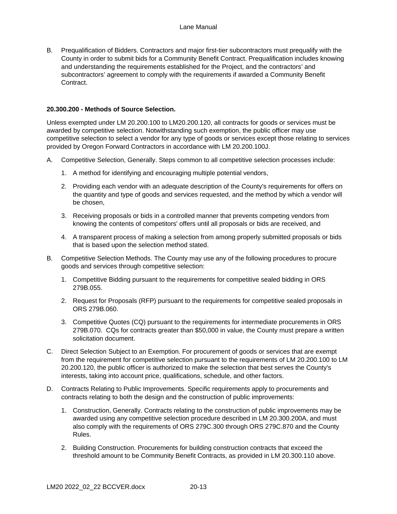B. Prequalification of Bidders. Contractors and major first-tier subcontractors must prequalify with the County in order to submit bids for a Community Benefit Contract. Prequalification includes knowing and understanding the requirements established for the Project, and the contractors' and subcontractors' agreement to comply with the requirements if awarded a Community Benefit Contract.

## <span id="page-53-0"></span>**20.300.200 - Methods of Source Selection.**

Unless exempted under LM 20.200.100 to LM20.200.120, all contracts for goods or services must be awarded by competitive selection. Notwithstanding such exemption, the public officer may use competitive selection to select a vendor for any type of goods or services except those relating to services provided by Oregon Forward Contractors in accordance with LM 20.200.100J.

- A. Competitive Selection, Generally. Steps common to all competitive selection processes include:
	- 1. A method for identifying and encouraging multiple potential vendors,
	- 2. Providing each vendor with an adequate description of the County's requirements for offers on the quantity and type of goods and services requested, and the method by which a vendor will be chosen,
	- 3. Receiving proposals or bids in a controlled manner that prevents competing vendors from knowing the contents of competitors' offers until all proposals or bids are received, and
	- 4. A transparent process of making a selection from among properly submitted proposals or bids that is based upon the selection method stated.
- B. Competitive Selection Methods. The County may use any of the following procedures to procure goods and services through competitive selection:
	- 1. Competitive Bidding pursuant to the requirements for competitive sealed bidding in ORS 279B.055.
	- 2. Request for Proposals (RFP) pursuant to the requirements for competitive sealed proposals in ORS 279B.060.
	- 3. Competitive Quotes (CQ) pursuant to the requirements for intermediate procurements in ORS 279B.070. CQs for contracts greater than \$50,000 in value, the County must prepare a written solicitation document.
- C. Direct Selection Subject to an Exemption. For procurement of goods or services that are exempt from the requirement for competitive selection pursuant to the requirements of LM 20.200.100 to LM 20.200.120, the public officer is authorized to make the selection that best serves the County's interests, taking into account price, qualifications, schedule, and other factors.
- D. Contracts Relating to Public Improvements. Specific requirements apply to procurements and contracts relating to both the design and the construction of public improvements:
	- 1. Construction, Generally. Contracts relating to the construction of public improvements may be awarded using any competitive selection procedure described in LM 20.300.200A, and must also comply with the requirements of ORS 279C.300 through ORS 279C.870 and the County Rules.
	- 2. Building Construction. Procurements for building construction contracts that exceed the threshold amount to be Community Benefit Contracts, as provided in LM 20.300.110 above.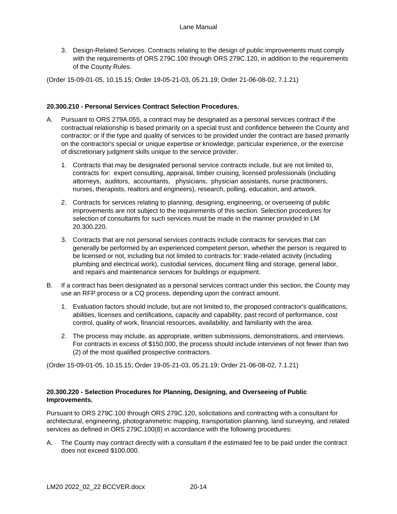3. Design-Related Services. Contracts relating to the design of public improvements must comply with the requirements of ORS 279C.100 through ORS 279C.120, in addition to the requirements of the County Rules.

(Order 15-09-01-05, 10.15.15; Order 19-05-21-03, 05.21.19; Order 21-06-08-02, 7.1.21)

### <span id="page-54-0"></span>**20.300.210 - Personal Services Contract Selection Procedures.**

- A. Pursuant to ORS 279A.055, a contract may be designated as a personal services contract if the contractual relationship is based primarily on a special trust and confidence between the County and contractor; or if the type and quality of services to be provided under the contract are based primarily on the contractor's special or unique expertise or knowledge, particular experience, or the exercise of discretionary judgment skills unique to the service provider.
	- 1. Contracts that may be designated personal service contracts include, but are not limited to, contracts for: expert consulting, appraisal, timber cruising, licensed professionals (including attorneys, auditors, accountants, physicians, physician assistants, nurse practitioners, nurses, therapists, realtors and engineers), research, polling, education, and artwork.
	- 2. Contracts for services relating to planning, designing, engineering, or overseeing of public improvements are not subject to the requirements of this section. Selection procedures for selection of consultants for such services must be made in the manner provided in LM 20.300.220.
	- 3. Contracts that are not personal services contracts include contracts for services that can generally be performed by an experienced competent person, whether the person is required to be licensed or not, including but not limited to contracts for: trade-related activity (including plumbing and electrical work), custodial services, document filing and storage, general labor, and repairs and maintenance services for buildings or equipment.
- B. If a contract has been designated as a personal services contract under this section, the County may use an RFP process or a CQ process, depending upon the contract amount.
	- 1. Evaluation factors should include, but are not limited to, the proposed contractor's qualifications, abilities, licenses and certifications, capacity and capability, past record of performance, cost control, quality of work, financial resources, availability, and familiarity with the area.
	- 2. The process may include, as appropriate, written submissions, demonstrations, and interviews. For contracts in excess of \$150,000, the process should include interviews of not fewer than two (2) of the most qualified prospective contractors.

(Order 15-09-01-05, 10.15.15; Order 19-05-21-03, 05.21.19; Order 21-06-08-02, 7.1.21)

## <span id="page-54-1"></span>**20.300.220 - Selection Procedures for Planning, Designing, and Overseeing of Public Improvements.**

Pursuant to ORS 279C.100 through ORS 279C.120, solicitations and contracting with a consultant for architectural, engineering, photogrammetric mapping, transportation planning, land surveying, and related services as defined in ORS 279C.100(8) in accordance with the following procedures:

A. The County may contract directly with a consultant if the estimated fee to be paid under the contract does not exceed \$100,000.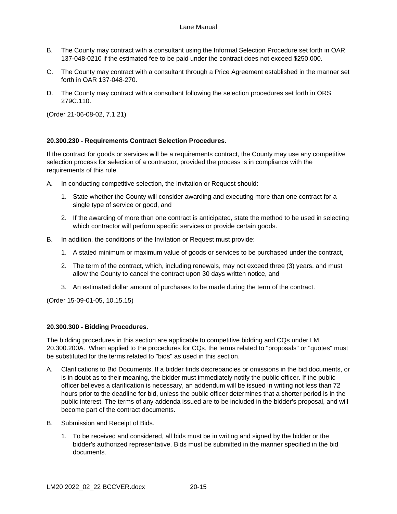- B. The County may contract with a consultant using the Informal Selection Procedure set forth in OAR 137-048-0210 if the estimated fee to be paid under the contract does not exceed \$250,000.
- C. The County may contract with a consultant through a Price Agreement established in the manner set forth in OAR 137-048-270.
- D. The County may contract with a consultant following the selection procedures set forth in ORS 279C.110.

(Order 21-06-08-02, 7.1.21)

# <span id="page-55-0"></span>**20.300.230 - Requirements Contract Selection Procedures.**

If the contract for goods or services will be a requirements contract, the County may use any competitive selection process for selection of a contractor, provided the process is in compliance with the requirements of this rule.

- A. In conducting competitive selection, the Invitation or Request should:
	- 1. State whether the County will consider awarding and executing more than one contract for a single type of service or good, and
	- 2. If the awarding of more than one contract is anticipated, state the method to be used in selecting which contractor will perform specific services or provide certain goods.
- B. In addition, the conditions of the Invitation or Request must provide:
	- 1. A stated minimum or maximum value of goods or services to be purchased under the contract,
	- 2. The term of the contract, which, including renewals, may not exceed three (3) years, and must allow the County to cancel the contract upon 30 days written notice, and
	- 3. An estimated dollar amount of purchases to be made during the term of the contract.

(Order 15-09-01-05, 10.15.15)

## <span id="page-55-1"></span>**20.300.300 - Bidding Procedures.**

The bidding procedures in this section are applicable to competitive bidding and CQs under LM 20.300.200A. When applied to the procedures for CQs, the terms related to "proposals" or "quotes" must be substituted for the terms related to "bids" as used in this section.

- A. Clarifications to Bid Documents. If a bidder finds discrepancies or omissions in the bid documents, or is in doubt as to their meaning, the bidder must immediately notify the public officer. If the public officer believes a clarification is necessary, an addendum will be issued in writing not less than 72 hours prior to the deadline for bid, unless the public officer determines that a shorter period is in the public interest. The terms of any addenda issued are to be included in the bidder's proposal, and will become part of the contract documents.
- B. Submission and Receipt of Bids.
	- 1. To be received and considered, all bids must be in writing and signed by the bidder or the bidder's authorized representative. Bids must be submitted in the manner specified in the bid documents.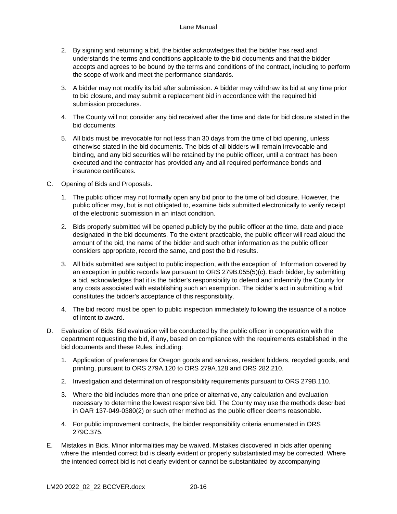#### Lane Manual

- 2. By signing and returning a bid, the bidder acknowledges that the bidder has read and understands the terms and conditions applicable to the bid documents and that the bidder accepts and agrees to be bound by the terms and conditions of the contract, including to perform the scope of work and meet the performance standards.
- 3. A bidder may not modify its bid after submission. A bidder may withdraw its bid at any time prior to bid closure, and may submit a replacement bid in accordance with the required bid submission procedures.
- 4. The County will not consider any bid received after the time and date for bid closure stated in the bid documents.
- 5. All bids must be irrevocable for not less than 30 days from the time of bid opening, unless otherwise stated in the bid documents. The bids of all bidders will remain irrevocable and binding, and any bid securities will be retained by the public officer, until a contract has been executed and the contractor has provided any and all required performance bonds and insurance certificates.
- C. Opening of Bids and Proposals.
	- 1. The public officer may not formally open any bid prior to the time of bid closure. However, the public officer may, but is not obligated to, examine bids submitted electronically to verify receipt of the electronic submission in an intact condition.
	- 2. Bids properly submitted will be opened publicly by the public officer at the time, date and place designated in the bid documents. To the extent practicable, the public officer will read aloud the amount of the bid, the name of the bidder and such other information as the public officer considers appropriate, record the same, and post the bid results.
	- 3. All bids submitted are subject to public inspection, with the exception of Information covered by an exception in public records law pursuant to ORS 279B.055(5)(c). Each bidder, by submitting a bid, acknowledges that it is the bidder's responsibility to defend and indemnify the County for any costs associated with establishing such an exemption. The bidder's act in submitting a bid constitutes the bidder's acceptance of this responsibility.
	- 4. The bid record must be open to public inspection immediately following the issuance of a notice of intent to award.
- D. Evaluation of Bids. Bid evaluation will be conducted by the public officer in cooperation with the department requesting the bid, if any, based on compliance with the requirements established in the bid documents and these Rules, including:
	- 1. Application of preferences for Oregon goods and services, resident bidders, recycled goods, and printing, pursuant to ORS 279A.120 to ORS 279A.128 and ORS 282.210.
	- 2. Investigation and determination of responsibility requirements pursuant to ORS 279B.110.
	- 3. Where the bid includes more than one price or alternative, any calculation and evaluation necessary to determine the lowest responsive bid. The County may use the methods described in OAR 137-049-0380(2) or such other method as the public officer deems reasonable.
	- 4. For public improvement contracts, the bidder responsibility criteria enumerated in ORS 279C.375.
- E. Mistakes in Bids. Minor informalities may be waived. Mistakes discovered in bids after opening where the intended correct bid is clearly evident or properly substantiated may be corrected. Where the intended correct bid is not clearly evident or cannot be substantiated by accompanying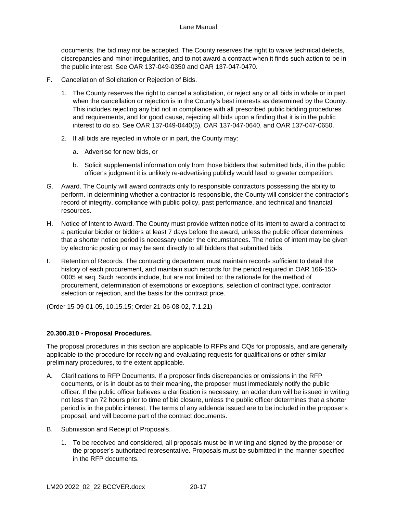documents, the bid may not be accepted. The County reserves the right to waive technical defects, discrepancies and minor irregularities, and to not award a contract when it finds such action to be in the public interest. See OAR 137-049-0350 and OAR 137-047-0470.

- F. Cancellation of Solicitation or Rejection of Bids.
	- 1. The County reserves the right to cancel a solicitation, or reject any or all bids in whole or in part when the cancellation or rejection is in the County's best interests as determined by the County. This includes rejecting any bid not in compliance with all prescribed public bidding procedures and requirements, and for good cause, rejecting all bids upon a finding that it is in the public interest to do so. See OAR 137-049-0440(5), OAR 137-047-0640, and OAR 137-047-0650.
	- 2. If all bids are rejected in whole or in part, the County may:
		- a. Advertise for new bids, or
		- b. Solicit supplemental information only from those bidders that submitted bids, if in the public officer's judgment it is unlikely re-advertising publicly would lead to greater competition.
- G. Award. The County will award contracts only to responsible contractors possessing the ability to perform. In determining whether a contractor is responsible, the County will consider the contractor's record of integrity, compliance with public policy, past performance, and technical and financial resources.
- H. Notice of Intent to Award. The County must provide written notice of its intent to award a contract to a particular bidder or bidders at least 7 days before the award, unless the public officer determines that a shorter notice period is necessary under the circumstances. The notice of intent may be given by electronic posting or may be sent directly to all bidders that submitted bids.
- I. Retention of Records. The contracting department must maintain records sufficient to detail the history of each procurement, and maintain such records for the period required in OAR 166-150- 0005 et seq. Such records include, but are not limited to: the rationale for the method of procurement, determination of exemptions or exceptions, selection of contract type, contractor selection or rejection, and the basis for the contract price.

(Order 15-09-01-05, 10.15.15; Order 21-06-08-02, 7.1.21)

# <span id="page-57-0"></span>**20.300.310 - Proposal Procedures.**

The proposal procedures in this section are applicable to RFPs and CQs for proposals, and are generally applicable to the procedure for receiving and evaluating requests for qualifications or other similar preliminary procedures, to the extent applicable.

- A. Clarifications to RFP Documents. If a proposer finds discrepancies or omissions in the RFP documents, or is in doubt as to their meaning, the proposer must immediately notify the public officer. If the public officer believes a clarification is necessary, an addendum will be issued in writing not less than 72 hours prior to time of bid closure, unless the public officer determines that a shorter period is in the public interest. The terms of any addenda issued are to be included in the proposer's proposal, and will become part of the contract documents.
- B. Submission and Receipt of Proposals.
	- 1. To be received and considered, all proposals must be in writing and signed by the proposer or the proposer's authorized representative. Proposals must be submitted in the manner specified in the RFP documents.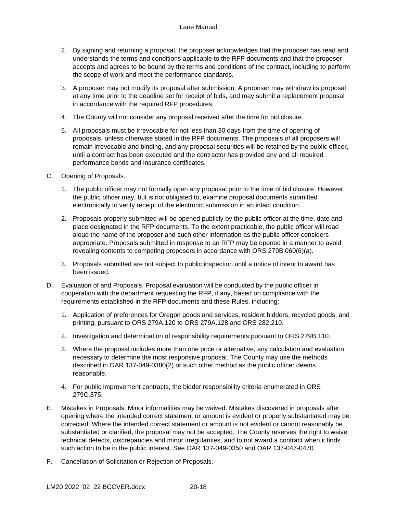#### Lane Manual

- 2. By signing and returning a proposal, the proposer acknowledges that the proposer has read and understands the terms and conditions applicable to the RFP documents and that the proposer accepts and agrees to be bound by the terms and conditions of the contract, including to perform the scope of work and meet the performance standards.
- 3. A proposer may not modify its proposal after submission. A proposer may withdraw its proposal at any time prior to the deadline set for receipt of bids, and may submit a replacement proposal in accordance with the required RFP procedures.
- 4. The County will not consider any proposal received after the time for bid closure.
- 5. All proposals must be irrevocable for not less than 30 days from the time of opening of proposals, unless otherwise stated in the RFP documents. The proposals of all proposers will remain irrevocable and binding, and any proposal securities will be retained by the public officer, until a contract has been executed and the contractor has provided any and all required performance bonds and insurance certificates.
- C. Opening of Proposals.
	- 1. The public officer may not formally open any proposal prior to the time of bid closure. However, the public officer may, but is not obligated to, examine proposal documents submitted electronically to verify receipt of the electronic submission in an intact condition.
	- 2. Proposals properly submitted will be opened publicly by the public officer at the time, date and place designated in the RFP documents. To the extent practicable, the public officer will read aloud the name of the proposer and such other information as the public officer considers appropriate. Proposals submitted in response to an RFP may be opened in a manner to avoid revealing contents to competing proposers in accordance with ORS 279B.060(6)(a).
	- 3. Proposals submitted are not subject to public inspection until a notice of intent to award has been issued.
- D. Evaluation of and Proposals. Proposal evaluation will be conducted by the public officer in cooperation with the department requesting the RFP, if any, based on compliance with the requirements established in the RFP documents and these Rules, including:
	- 1. Application of preferences for Oregon goods and services, resident bidders, recycled goods, and printing, pursuant to ORS 279A.120 to ORS 279A.128 and ORS 282.210.
	- 2. Investigation and determination of responsibility requirements pursuant to ORS 279B.110.
	- 3. Where the proposal includes more than one price or alternative, any calculation and evaluation necessary to determine the most responsive proposal. The County may use the methods described in OAR 137-049-0380(2) or such other method as the public officer deems reasonable.
	- 4. For public improvement contracts, the bidder responsibility criteria enumerated in ORS 279C.375.
- E. Mistakes in Proposals. Minor informalities may be waived. Mistakes discovered in proposals after opening where the intended correct statement or amount is evident or properly substantiated may be corrected. Where the intended correct statement or amount is not evident or cannot reasonably be substantiated or clarified, the proposal may not be accepted. The County reserves the right to waive technical defects, discrepancies and minor irregularities, and to not award a contract when it finds such action to be in the public interest. See OAR 137-049-0350 and OAR 137-047-0470.
- F. Cancellation of Solicitation or Rejection of Proposals.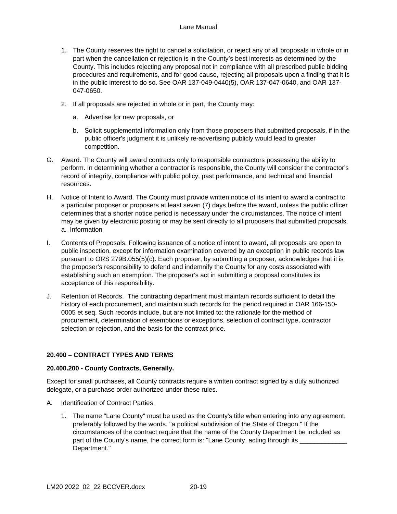- 1. The County reserves the right to cancel a solicitation, or reject any or all proposals in whole or in part when the cancellation or rejection is in the County's best interests as determined by the County. This includes rejecting any proposal not in compliance with all prescribed public bidding procedures and requirements, and for good cause, rejecting all proposals upon a finding that it is in the public interest to do so. See OAR 137-049-0440(5), OAR 137-047-0640, and OAR 137- 047-0650.
- 2. If all proposals are rejected in whole or in part, the County may:
	- a. Advertise for new proposals, or
	- b. Solicit supplemental information only from those proposers that submitted proposals, if in the public officer's judgment it is unlikely re-advertising publicly would lead to greater competition.
- G. Award. The County will award contracts only to responsible contractors possessing the ability to perform. In determining whether a contractor is responsible, the County will consider the contractor's record of integrity, compliance with public policy, past performance, and technical and financial resources.
- H. Notice of Intent to Award. The County must provide written notice of its intent to award a contract to a particular proposer or proposers at least seven (7) days before the award, unless the public officer determines that a shorter notice period is necessary under the circumstances. The notice of intent may be given by electronic posting or may be sent directly to all proposers that submitted proposals. a. Information
- I. Contents of Proposals. Following issuance of a notice of intent to award, all proposals are open to public inspection, except for information examination covered by an exception in public records law pursuant to ORS 279B.055(5)(c). Each proposer, by submitting a proposer, acknowledges that it is the proposer's responsibility to defend and indemnify the County for any costs associated with establishing such an exemption. The proposer's act in submitting a proposal constitutes its acceptance of this responsibility.
- J. Retention of Records. The contracting department must maintain records sufficient to detail the history of each procurement, and maintain such records for the period required in OAR 166-150- 0005 et seq. Such records include, but are not limited to: the rationale for the method of procurement, determination of exemptions or exceptions, selection of contract type, contractor selection or rejection, and the basis for the contract price.

## <span id="page-59-0"></span>**20.400 – CONTRACT TYPES AND TERMS**

## <span id="page-59-1"></span>**20.400.200 - County Contracts, Generally.**

Except for small purchases, all County contracts require a written contract signed by a duly authorized delegate, or a purchase order authorized under these rules.

- A. Identification of Contract Parties.
	- 1. The name "Lane County" must be used as the County's title when entering into any agreement, preferably followed by the words, "a political subdivision of the State of Oregon." If the circumstances of the contract require that the name of the County Department be included as part of the County's name, the correct form is: "Lane County, acting through its Department."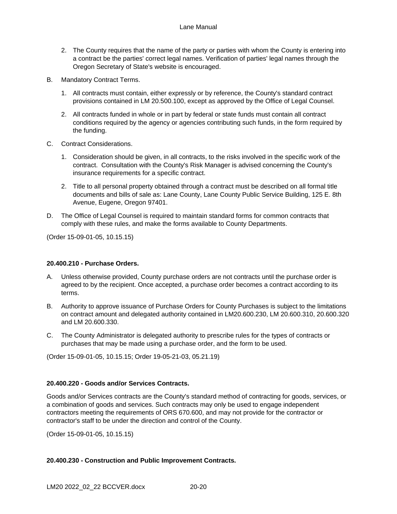- 2. The County requires that the name of the party or parties with whom the County is entering into a contract be the parties' correct legal names. Verification of parties' legal names through the Oregon Secretary of State's website is encouraged.
- B. Mandatory Contract Terms.
	- 1. All contracts must contain, either expressly or by reference, the County's standard contract provisions contained in LM 20.500.100, except as approved by the Office of Legal Counsel.
	- 2. All contracts funded in whole or in part by federal or state funds must contain all contract conditions required by the agency or agencies contributing such funds, in the form required by the funding.
- C. Contract Considerations.
	- 1. Consideration should be given, in all contracts, to the risks involved in the specific work of the contract. Consultation with the County's Risk Manager is advised concerning the County's insurance requirements for a specific contract.
	- 2. Title to all personal property obtained through a contract must be described on all formal title documents and bills of sale as: Lane County, Lane County Public Service Building, 125 E. 8th Avenue, Eugene, Oregon 97401.
- D. The Office of Legal Counsel is required to maintain standard forms for common contracts that comply with these rules, and make the forms available to County Departments.

(Order 15-09-01-05, 10.15.15)

## <span id="page-60-0"></span>**20.400.210 - Purchase Orders.**

- A. Unless otherwise provided, County purchase orders are not contracts until the purchase order is agreed to by the recipient. Once accepted, a purchase order becomes a contract according to its terms.
- B. Authority to approve issuance of Purchase Orders for County Purchases is subject to the limitations on contract amount and delegated authority contained in LM20.600.230, LM 20.600.310, 20.600.320 and LM 20.600.330.
- C. The County Administrator is delegated authority to prescribe rules for the types of contracts or purchases that may be made using a purchase order, and the form to be used.

(Order 15-09-01-05, 10.15.15; Order 19-05-21-03, 05.21.19)

## <span id="page-60-1"></span>**20.400.220 - Goods and/or Services Contracts.**

Goods and/or Services contracts are the County's standard method of contracting for goods, services, or a combination of goods and services. Such contracts may only be used to engage independent contractors meeting the requirements of ORS 670.600, and may not provide for the contractor or contractor's staff to be under the direction and control of the County.

(Order 15-09-01-05, 10.15.15)

# <span id="page-60-2"></span>**20.400.230 - Construction and Public Improvement Contracts.**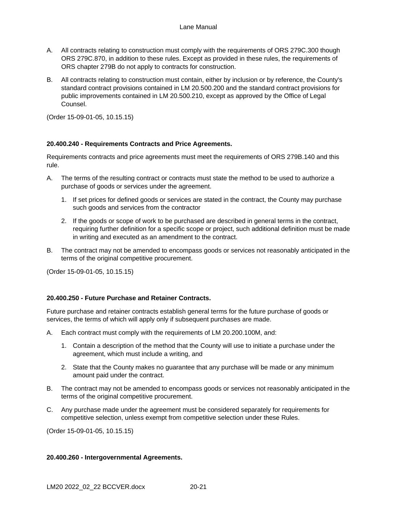- A. All contracts relating to construction must comply with the requirements of ORS 279C.300 though ORS 279C.870, in addition to these rules. Except as provided in these rules, the requirements of ORS chapter 279B do not apply to contracts for construction.
- B. All contracts relating to construction must contain, either by inclusion or by reference, the County's standard contract provisions contained in LM 20.500.200 and the standard contract provisions for public improvements contained in LM 20.500.210, except as approved by the Office of Legal Counsel.

(Order 15-09-01-05, 10.15.15)

## <span id="page-61-0"></span>**20.400.240 - Requirements Contracts and Price Agreements.**

Requirements contracts and price agreements must meet the requirements of ORS 279B.140 and this rule.

- A. The terms of the resulting contract or contracts must state the method to be used to authorize a purchase of goods or services under the agreement.
	- 1. If set prices for defined goods or services are stated in the contract, the County may purchase such goods and services from the contractor
	- 2. If the goods or scope of work to be purchased are described in general terms in the contract, requiring further definition for a specific scope or project, such additional definition must be made in writing and executed as an amendment to the contract.
- B. The contract may not be amended to encompass goods or services not reasonably anticipated in the terms of the original competitive procurement.

(Order 15-09-01-05, 10.15.15)

## <span id="page-61-1"></span>**20.400.250 - Future Purchase and Retainer Contracts.**

Future purchase and retainer contracts establish general terms for the future purchase of goods or services, the terms of which will apply only if subsequent purchases are made.

- A. Each contract must comply with the requirements of LM 20.200.100M, and:
	- 1. Contain a description of the method that the County will use to initiate a purchase under the agreement, which must include a writing, and
	- 2. State that the County makes no guarantee that any purchase will be made or any minimum amount paid under the contract.
- B. The contract may not be amended to encompass goods or services not reasonably anticipated in the terms of the original competitive procurement.
- C. Any purchase made under the agreement must be considered separately for requirements for competitive selection, unless exempt from competitive selection under these Rules.

(Order 15-09-01-05, 10.15.15)

#### <span id="page-61-2"></span>**20.400.260 - Intergovernmental Agreements.**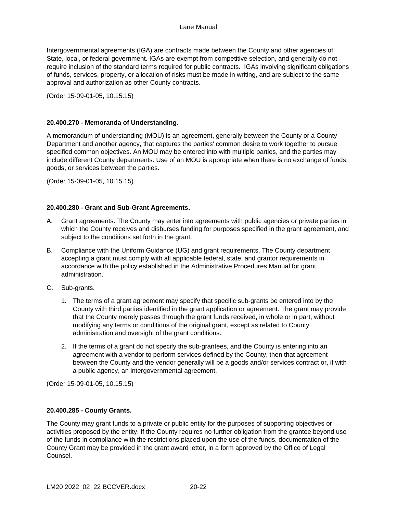Intergovernmental agreements (IGA) are contracts made between the County and other agencies of State, local, or federal government. IGAs are exempt from competitive selection, and generally do not require inclusion of the standard terms required for public contracts. IGAs involving significant obligations of funds, services, property, or allocation of risks must be made in writing, and are subject to the same approval and authorization as other County contracts.

(Order 15-09-01-05, 10.15.15)

### <span id="page-62-0"></span>**20.400.270 - Memoranda of Understanding.**

A memorandum of understanding (MOU) is an agreement, generally between the County or a County Department and another agency, that captures the parties' common desire to work together to pursue specified common objectives. An MOU may be entered into with multiple parties, and the parties may include different County departments. Use of an MOU is appropriate when there is no exchange of funds, goods, or services between the parties.

(Order 15-09-01-05, 10.15.15)

### <span id="page-62-1"></span>**20.400.280 - Grant and Sub-Grant Agreements.**

- A. Grant agreements. The County may enter into agreements with public agencies or private parties in which the County receives and disburses funding for purposes specified in the grant agreement, and subject to the conditions set forth in the grant.
- B. Compliance with the Uniform Guidance (UG) and grant requirements. The County department accepting a grant must comply with all applicable federal, state, and grantor requirements in accordance with the policy established in the Administrative Procedures Manual for grant administration.
- C. Sub-grants.
	- 1. The terms of a grant agreement may specify that specific sub-grants be entered into by the County with third parties identified in the grant application or agreement. The grant may provide that the County merely passes through the grant funds received, in whole or in part, without modifying any terms or conditions of the original grant, except as related to County administration and oversight of the grant conditions.
	- 2. If the terms of a grant do not specify the sub-grantees, and the County is entering into an agreement with a vendor to perform services defined by the County, then that agreement between the County and the vendor generally will be a goods and/or services contract or, if with a public agency, an intergovernmental agreement.

(Order 15-09-01-05, 10.15.15)

#### <span id="page-62-2"></span>**20.400.285 - County Grants.**

The County may grant funds to a private or public entity for the purposes of supporting objectives or activities proposed by the entity. If the County requires no further obligation from the grantee beyond use of the funds in compliance with the restrictions placed upon the use of the funds, documentation of the County Grant may be provided in the grant award letter, in a form approved by the Office of Legal Counsel.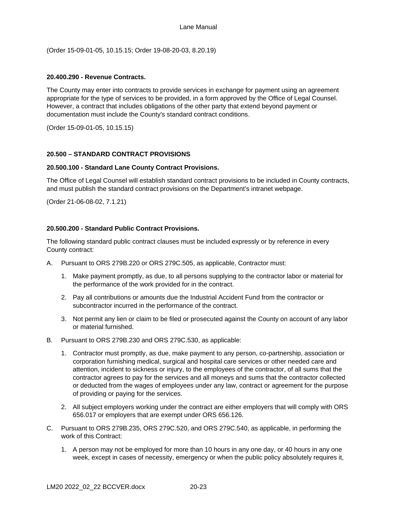(Order 15-09-01-05, 10.15.15; Order 19-08-20-03, 8.20.19)

### <span id="page-63-0"></span>**20.400.290 - Revenue Contracts.**

The County may enter into contracts to provide services in exchange for payment using an agreement appropriate for the type of services to be provided, in a form approved by the Office of Legal Counsel. However, a contract that includes obligations of the other party that extend beyond payment or documentation must include the County's standard contract conditions.

(Order 15-09-01-05, 10.15.15)

## <span id="page-63-1"></span>**20.500 – STANDARD CONTRACT PROVISIONS**

### <span id="page-63-2"></span>**20.500.100 - Standard Lane County Contract Provisions.**

The Office of Legal Counsel will establish standard contract provisions to be included in County contracts, and must publish the standard contract provisions on the Department's intranet webpage.

(Order 21-06-08-02, 7.1.21)

### <span id="page-63-3"></span>**20.500.200 - Standard Public Contract Provisions.**

The following standard public contract clauses must be included expressly or by reference in every County contract:

- A. Pursuant to ORS 279B.220 or ORS 279C.505, as applicable, Contractor must:
	- 1. Make payment promptly, as due, to all persons supplying to the contractor labor or material for the performance of the work provided for in the contract.
	- 2. Pay all contributions or amounts due the Industrial Accident Fund from the contractor or subcontractor incurred in the performance of the contract.
	- 3. Not permit any lien or claim to be filed or prosecuted against the County on account of any labor or material furnished.
- B. Pursuant to ORS 279B.230 and ORS 279C.530, as applicable:
	- 1. Contractor must promptly, as due, make payment to any person, co-partnership, association or corporation furnishing medical, surgical and hospital care services or other needed care and attention, incident to sickness or injury, to the employees of the contractor, of all sums that the contractor agrees to pay for the services and all moneys and sums that the contractor collected or deducted from the wages of employees under any law, contract or agreement for the purpose of providing or paying for the services.
	- 2. All subject employers working under the contract are either employers that will comply with ORS 656.017 or employers that are exempt under ORS 656.126.
- C. Pursuant to ORS 279B.235, ORS 279C.520, and ORS 279C.540, as applicable, in performing the work of this Contract:
	- 1. A person may not be employed for more than 10 hours in any one day, or 40 hours in any one week, except in cases of necessity, emergency or when the public policy absolutely requires it,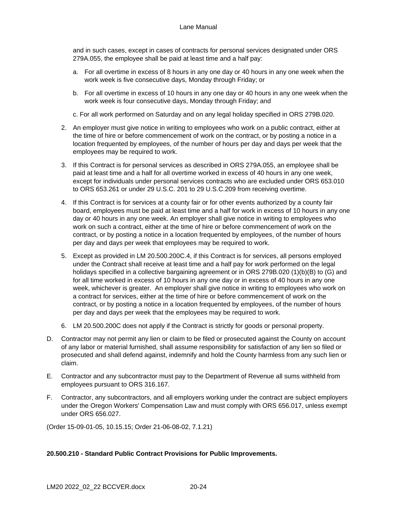and in such cases, except in cases of contracts for personal services designated under ORS 279A.055, the employee shall be paid at least time and a half pay:

- a. For all overtime in excess of 8 hours in any one day or 40 hours in any one week when the work week is five consecutive days, Monday through Friday; or
- b. For all overtime in excess of 10 hours in any one day or 40 hours in any one week when the work week is four consecutive days, Monday through Friday; and
- c. For all work performed on Saturday and on any legal holiday specified in ORS 279B.020.
- 2. An employer must give notice in writing to employees who work on a public contract, either at the time of hire or before commencement of work on the contract, or by posting a notice in a location frequented by employees, of the number of hours per day and days per week that the employees may be required to work.
- 3. If this Contract is for personal services as described in ORS 279A.055, an employee shall be paid at least time and a half for all overtime worked in excess of 40 hours in any one week, except for individuals under personal services contracts who are excluded under ORS 653.010 to ORS 653.261 or under 29 U.S.C. 201 to 29 U.S.C.209 from receiving overtime.
- 4. If this Contract is for services at a county fair or for other events authorized by a county fair board, employees must be paid at least time and a half for work in excess of 10 hours in any one day or 40 hours in any one week. An employer shall give notice in writing to employees who work on such a contract, either at the time of hire or before commencement of work on the contract, or by posting a notice in a location frequented by employees, of the number of hours per day and days per week that employees may be required to work.
- 5. Except as provided in LM 20.500.200C.4, if this Contract is for services, all persons employed under the Contract shall receive at least time and a half pay for work performed on the legal holidays specified in a collective bargaining agreement or in ORS 279B.020 (1)(b)(B) to (G) and for all time worked in excess of 10 hours in any one day or in excess of 40 hours in any one week, whichever is greater. An employer shall give notice in writing to employees who work on a contract for services, either at the time of hire or before commencement of work on the contract, or by posting a notice in a location frequented by employees, of the number of hours per day and days per week that the employees may be required to work.
- 6. LM 20.500.200C does not apply if the Contract is strictly for goods or personal property.
- D. Contractor may not permit any lien or claim to be filed or prosecuted against the County on account of any labor or material furnished, shall assume responsibility for satisfaction of any lien so filed or prosecuted and shall defend against, indemnify and hold the County harmless from any such lien or claim.
- E. Contractor and any subcontractor must pay to the Department of Revenue all sums withheld from employees pursuant to ORS 316.167.
- F. Contractor, any subcontractors, and all employers working under the contract are subject employers under the Oregon Workers' Compensation Law and must comply with ORS 656.017, unless exempt under ORS 656.027.

(Order 15-09-01-05, 10.15.15; Order 21-06-08-02, 7.1.21)

## <span id="page-64-0"></span>**20.500.210 - Standard Public Contract Provisions for Public Improvements.**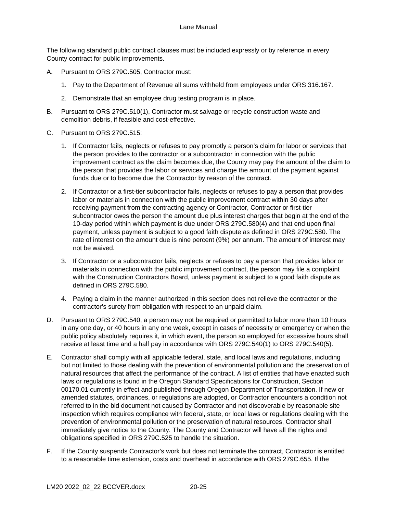The following standard public contract clauses must be included expressly or by reference in every County contract for public improvements.

- A. Pursuant to ORS 279C.505, Contractor must:
	- 1. Pay to the Department of Revenue all sums withheld from employees under ORS 316.167.
	- 2. Demonstrate that an employee drug testing program is in place.
- B. Pursuant to ORS 279C.510(1), Contractor must salvage or recycle construction waste and demolition debris, if feasible and cost-effective.
- C. Pursuant to ORS 279C.515:
	- 1. If Contractor fails, neglects or refuses to pay promptly a person's claim for labor or services that the person provides to the contractor or a subcontractor in connection with the public improvement contract as the claim becomes due, the County may pay the amount of the claim to the person that provides the labor or services and charge the amount of the payment against funds due or to become due the Contractor by reason of the contract.
	- 2. If Contractor or a first-tier subcontractor fails, neglects or refuses to pay a person that provides labor or materials in connection with the public improvement contract within 30 days after receiving payment from the contracting agency or Contractor, Contractor or first-tier subcontractor owes the person the amount due plus interest charges that begin at the end of the 10-day period within which payment is due under ORS 279C.580(4) and that end upon final payment, unless payment is subject to a good faith dispute as defined in ORS 279C.580. The rate of interest on the amount due is nine percent (9%) per annum. The amount of interest may not be waived.
	- 3. If Contractor or a subcontractor fails, neglects or refuses to pay a person that provides labor or materials in connection with the public improvement contract, the person may file a complaint with the Construction Contractors Board, unless payment is subject to a good faith dispute as defined in ORS 279C.580.
	- 4. Paying a claim in the manner authorized in this section does not relieve the contractor or the contractor's surety from obligation with respect to an unpaid claim.
- D. Pursuant to ORS 279C.540, a person may not be required or permitted to labor more than 10 hours in any one day, or 40 hours in any one week, except in cases of necessity or emergency or when the public policy absolutely requires it, in which event, the person so employed for excessive hours shall receive at least time and a half pay in accordance with ORS 279C.540(1) to ORS 279C.540(5).
- E. Contractor shall comply with all applicable federal, state, and local laws and regulations, including but not limited to those dealing with the prevention of environmental pollution and the preservation of natural resources that affect the performance of the contract. A list of entities that have enacted such laws or regulations is found in the Oregon Standard Specifications for Construction, Section 00170.01 currently in effect and published through Oregon Department of Transportation. If new or amended statutes, ordinances, or regulations are adopted, or Contractor encounters a condition not referred to in the bid document not caused by Contractor and not discoverable by reasonable site inspection which requires compliance with federal, state, or local laws or regulations dealing with the prevention of environmental pollution or the preservation of natural resources, Contractor shall immediately give notice to the County. The County and Contractor will have all the rights and obligations specified in ORS 279C.525 to handle the situation.
- F. If the County suspends Contractor's work but does not terminate the contract, Contractor is entitled to a reasonable time extension, costs and overhead in accordance with ORS 279C.655. If the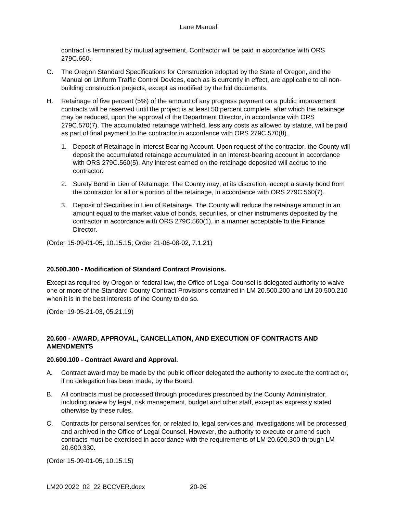contract is terminated by mutual agreement, Contractor will be paid in accordance with ORS 279C.660.

- G. The Oregon Standard Specifications for Construction adopted by the State of Oregon, and the Manual on Uniform Traffic Control Devices, each as is currently in effect, are applicable to all nonbuilding construction projects, except as modified by the bid documents.
- H. Retainage of five percent (5%) of the amount of any progress payment on a public improvement contracts will be reserved until the project is at least 50 percent complete, after which the retainage may be reduced, upon the approval of the Department Director, in accordance with ORS 279C.570(7). The accumulated retainage withheld, less any costs as allowed by statute, will be paid as part of final payment to the contractor in accordance with ORS 279C.570(8).
	- 1. Deposit of Retainage in Interest Bearing Account. Upon request of the contractor, the County will deposit the accumulated retainage accumulated in an interest-bearing account in accordance with ORS 279C.560(5). Any interest earned on the retainage deposited will accrue to the contractor.
	- 2. Surety Bond in Lieu of Retainage. The County may, at its discretion, accept a surety bond from the contractor for all or a portion of the retainage, in accordance with ORS 279C.560(7).
	- 3. Deposit of Securities in Lieu of Retainage. The County will reduce the retainage amount in an amount equal to the market value of bonds, securities, or other instruments deposited by the contractor in accordance with ORS 279C.560(1), in a manner acceptable to the Finance Director.

(Order 15-09-01-05, 10.15.15; Order 21-06-08-02, 7.1.21)

## <span id="page-66-0"></span>**20.500.300 - Modification of Standard Contract Provisions.**

Except as required by Oregon or federal law, the Office of Legal Counsel is delegated authority to waive one or more of the Standard County Contract Provisions contained in LM 20.500.200 and LM 20.500.210 when it is in the best interests of the County to do so.

(Order 19-05-21-03, 05.21.19)

## <span id="page-66-1"></span>**20.600 - AWARD, APPROVAL, CANCELLATION, AND EXECUTION OF CONTRACTS AND AMENDMENTS**

## <span id="page-66-2"></span>**20.600.100 - Contract Award and Approval.**

- A. Contract award may be made by the public officer delegated the authority to execute the contract or, if no delegation has been made, by the Board.
- B. All contracts must be processed through procedures prescribed by the County Administrator, including review by legal, risk management, budget and other staff, except as expressly stated otherwise by these rules.
- C. Contracts for personal services for, or related to, legal services and investigations will be processed and archived in the Office of Legal Counsel. However, the authority to execute or amend such contracts must be exercised in accordance with the requirements of LM 20.600.300 through LM 20.600.330.

(Order 15-09-01-05, 10.15.15)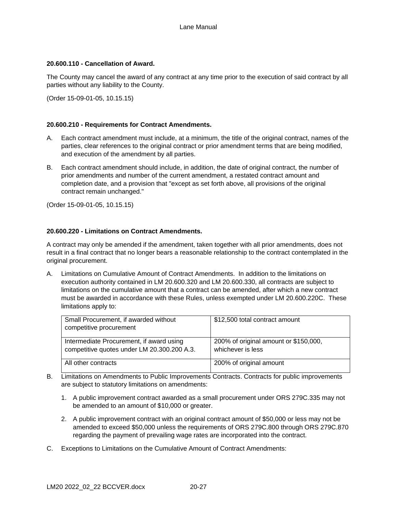### <span id="page-67-0"></span>**20.600.110 - Cancellation of Award.**

The County may cancel the award of any contract at any time prior to the execution of said contract by all parties without any liability to the County.

(Order 15-09-01-05, 10.15.15)

## <span id="page-67-1"></span>**20.600.210 - Requirements for Contract Amendments.**

- A. Each contract amendment must include, at a minimum, the title of the original contract, names of the parties, clear references to the original contract or prior amendment terms that are being modified, and execution of the amendment by all parties.
- B. Each contract amendment should include, in addition, the date of original contract, the number of prior amendments and number of the current amendment, a restated contract amount and completion date, and a provision that "except as set forth above, all provisions of the original contract remain unchanged."

(Order 15-09-01-05, 10.15.15)

### <span id="page-67-2"></span>**20.600.220 - Limitations on Contract Amendments.**

A contract may only be amended if the amendment, taken together with all prior amendments, does not result in a final contract that no longer bears a reasonable relationship to the contract contemplated in the original procurement.

A. Limitations on Cumulative Amount of Contract Amendments. In addition to the limitations on execution authority contained in LM 20.600.320 and LM 20.600.330, all contracts are subject to limitations on the cumulative amount that a contract can be amended, after which a new contract must be awarded in accordance with these Rules, unless exempted under LM 20.600.220C. These limitations apply to:

| Small Procurement, if awarded without<br>competitive procurement                        | \$12,500 total contract amount                             |
|-----------------------------------------------------------------------------------------|------------------------------------------------------------|
| Intermediate Procurement, if award using<br>competitive quotes under LM 20.300.200 A.3. | 200% of original amount or \$150,000,<br>whichever is less |
| All other contracts                                                                     | 200% of original amount                                    |

- B. Limitations on Amendments to Public Improvements Contracts. Contracts for public improvements are subject to statutory limitations on amendments:
	- 1. A public improvement contract awarded as a small procurement under ORS 279C.335 may not be amended to an amount of \$10,000 or greater.
	- 2. A public improvement contract with an original contract amount of \$50,000 or less may not be amended to exceed \$50,000 unless the requirements of ORS 279C.800 through ORS 279C.870 regarding the payment of prevailing wage rates are incorporated into the contract.
- C. Exceptions to Limitations on the Cumulative Amount of Contract Amendments: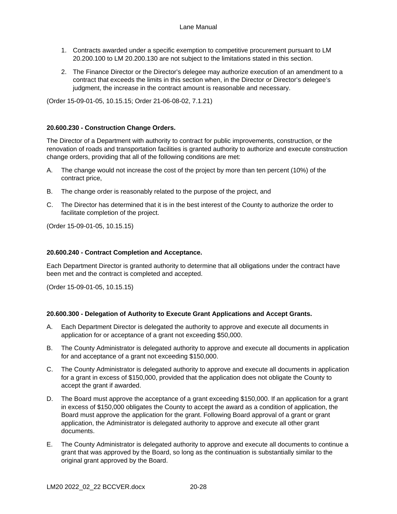- 1. Contracts awarded under a specific exemption to competitive procurement pursuant to LM 20.200.100 to LM 20.200.130 are not subject to the limitations stated in this section.
- 2. The Finance Director or the Director's delegee may authorize execution of an amendment to a contract that exceeds the limits in this section when, in the Director or Director's delegee's judgment, the increase in the contract amount is reasonable and necessary.

(Order 15-09-01-05, 10.15.15; Order 21-06-08-02, 7.1.21)

## <span id="page-68-0"></span>**20.600.230 - Construction Change Orders.**

The Director of a Department with authority to contract for public improvements, construction, or the renovation of roads and transportation facilities is granted authority to authorize and execute construction change orders, providing that all of the following conditions are met:

- A. The change would not increase the cost of the project by more than ten percent (10%) of the contract price,
- B. The change order is reasonably related to the purpose of the project, and
- C. The Director has determined that it is in the best interest of the County to authorize the order to facilitate completion of the project.

(Order 15-09-01-05, 10.15.15)

### <span id="page-68-1"></span>**20.600.240 - Contract Completion and Acceptance.**

Each Department Director is granted authority to determine that all obligations under the contract have been met and the contract is completed and accepted.

(Order 15-09-01-05, 10.15.15)

#### <span id="page-68-2"></span>**20.600.300 - Delegation of Authority to Execute Grant Applications and Accept Grants.**

- A. Each Department Director is delegated the authority to approve and execute all documents in application for or acceptance of a grant not exceeding \$50,000.
- B. The County Administrator is delegated authority to approve and execute all documents in application for and acceptance of a grant not exceeding \$150,000.
- C. The County Administrator is delegated authority to approve and execute all documents in application for a grant in excess of \$150,000, provided that the application does not obligate the County to accept the grant if awarded.
- D. The Board must approve the acceptance of a grant exceeding \$150,000. If an application for a grant in excess of \$150,000 obligates the County to accept the award as a condition of application, the Board must approve the application for the grant. Following Board approval of a grant or grant application, the Administrator is delegated authority to approve and execute all other grant documents.
- E. The County Administrator is delegated authority to approve and execute all documents to continue a grant that was approved by the Board, so long as the continuation is substantially similar to the original grant approved by the Board.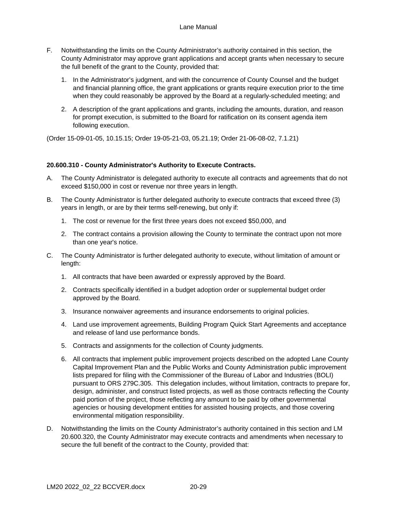- F. Notwithstanding the limits on the County Administrator's authority contained in this section, the County Administrator may approve grant applications and accept grants when necessary to secure the full benefit of the grant to the County, provided that:
	- 1. In the Administrator's judgment, and with the concurrence of County Counsel and the budget and financial planning office, the grant applications or grants require execution prior to the time when they could reasonably be approved by the Board at a regularly-scheduled meeting; and
	- 2. A description of the grant applications and grants, including the amounts, duration, and reason for prompt execution, is submitted to the Board for ratification on its consent agenda item following execution.

(Order 15-09-01-05, 10.15.15; Order 19-05-21-03, 05.21.19; Order 21-06-08-02, 7.1.21)

### <span id="page-69-0"></span>**20.600.310 - County Administrator's Authority to Execute Contracts.**

- A. The County Administrator is delegated authority to execute all contracts and agreements that do not exceed \$150,000 in cost or revenue nor three years in length.
- B. The County Administrator is further delegated authority to execute contracts that exceed three (3) years in length, or are by their terms self-renewing, but only if:
	- 1. The cost or revenue for the first three years does not exceed \$50,000, and
	- 2. The contract contains a provision allowing the County to terminate the contract upon not more than one year's notice.
- C. The County Administrator is further delegated authority to execute, without limitation of amount or length:
	- 1. All contracts that have been awarded or expressly approved by the Board.
	- 2. Contracts specifically identified in a budget adoption order or supplemental budget order approved by the Board.
	- 3. Insurance nonwaiver agreements and insurance endorsements to original policies.
	- 4. Land use improvement agreements, Building Program Quick Start Agreements and acceptance and release of land use performance bonds.
	- 5. Contracts and assignments for the collection of County judgments.
	- 6. All contracts that implement public improvement projects described on the adopted Lane County Capital Improvement Plan and the Public Works and County Administration public improvement lists prepared for filing with the Commissioner of the Bureau of Labor and Industries (BOLI) pursuant to ORS 279C.305. This delegation includes, without limitation, contracts to prepare for, design, administer, and construct listed projects, as well as those contracts reflecting the County paid portion of the project, those reflecting any amount to be paid by other governmental agencies or housing development entities for assisted housing projects, and those covering environmental mitigation responsibility.
- D. Notwithstanding the limits on the County Administrator's authority contained in this section and LM 20.600.320, the County Administrator may execute contracts and amendments when necessary to secure the full benefit of the contract to the County, provided that: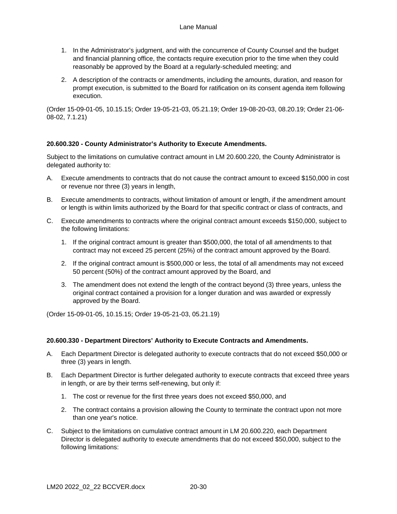- 1. In the Administrator's judgment, and with the concurrence of County Counsel and the budget and financial planning office, the contacts require execution prior to the time when they could reasonably be approved by the Board at a regularly-scheduled meeting; and
- 2. A description of the contracts or amendments, including the amounts, duration, and reason for prompt execution, is submitted to the Board for ratification on its consent agenda item following execution.

(Order 15-09-01-05, 10.15.15; Order 19-05-21-03, 05.21.19; Order 19-08-20-03, 08.20.19; Order 21-06- 08-02, 7.1.21)

## <span id="page-70-0"></span>**20.600.320 - County Administrator's Authority to Execute Amendments.**

Subject to the limitations on cumulative contract amount in LM 20.600.220, the County Administrator is delegated authority to:

- A. Execute amendments to contracts that do not cause the contract amount to exceed \$150,000 in cost or revenue nor three (3) years in length,
- B. Execute amendments to contracts, without limitation of amount or length, if the amendment amount or length is within limits authorized by the Board for that specific contract or class of contracts, and
- C. Execute amendments to contracts where the original contract amount exceeds \$150,000, subject to the following limitations:
	- 1. If the original contract amount is greater than \$500,000, the total of all amendments to that contract may not exceed 25 percent (25%) of the contract amount approved by the Board.
	- 2. If the original contract amount is \$500,000 or less, the total of all amendments may not exceed 50 percent (50%) of the contract amount approved by the Board, and
	- 3. The amendment does not extend the length of the contract beyond (3) three years, unless the original contract contained a provision for a longer duration and was awarded or expressly approved by the Board.

(Order 15-09-01-05, 10.15.15; Order 19-05-21-03, 05.21.19)

#### <span id="page-70-1"></span>**20.600.330 - Department Directors' Authority to Execute Contracts and Amendments.**

- A. Each Department Director is delegated authority to execute contracts that do not exceed \$50,000 or three (3) years in length.
- B. Each Department Director is further delegated authority to execute contracts that exceed three years in length, or are by their terms self-renewing, but only if:
	- 1. The cost or revenue for the first three years does not exceed \$50,000, and
	- 2. The contract contains a provision allowing the County to terminate the contract upon not more than one year's notice.
- C. Subject to the limitations on cumulative contract amount in LM 20.600.220, each Department Director is delegated authority to execute amendments that do not exceed \$50,000, subject to the following limitations: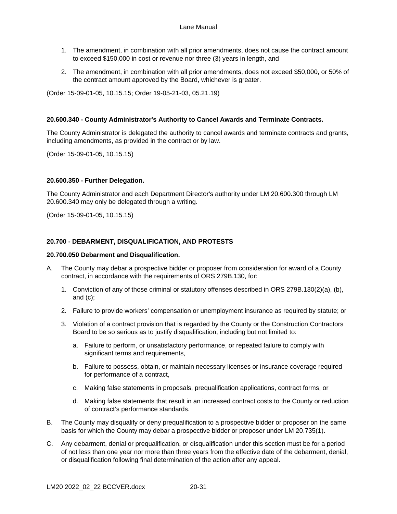- 1. The amendment, in combination with all prior amendments, does not cause the contract amount to exceed \$150,000 in cost or revenue nor three (3) years in length, and
- 2. The amendment, in combination with all prior amendments, does not exceed \$50,000, or 50% of the contract amount approved by the Board, whichever is greater.

(Order 15-09-01-05, 10.15.15; Order 19-05-21-03, 05.21.19)

## <span id="page-71-0"></span>**20.600.340 - County Administrator's Authority to Cancel Awards and Terminate Contracts.**

The County Administrator is delegated the authority to cancel awards and terminate contracts and grants, including amendments, as provided in the contract or by law.

(Order 15-09-01-05, 10.15.15)

### <span id="page-71-1"></span>**20.600.350 - Further Delegation.**

The County Administrator and each Department Director's authority under LM 20.600.300 through LM 20.600.340 may only be delegated through a writing.

(Order 15-09-01-05, 10.15.15)

### <span id="page-71-2"></span>**20.700 - DEBARMENT, DISQUALIFICATION, AND PROTESTS**

### <span id="page-71-3"></span>**20.700.050 Debarment and Disqualification.**

- A. The County may debar a prospective bidder or proposer from consideration for award of a County contract, in accordance with the requirements of ORS 279B.130, for:
	- 1. Conviction of any of those criminal or statutory offenses described in ORS 279B.130(2)(a), (b), and (c);
	- 2. Failure to provide workers' compensation or unemployment insurance as required by statute; or
	- 3. Violation of a contract provision that is regarded by the County or the Construction Contractors Board to be so serious as to justify disqualification, including but not limited to:
		- a. Failure to perform, or unsatisfactory performance, or repeated failure to comply with significant terms and requirements,
		- b. Failure to possess, obtain, or maintain necessary licenses or insurance coverage required for performance of a contract,
		- c. Making false statements in proposals, prequalification applications, contract forms, or
		- d. Making false statements that result in an increased contract costs to the County or reduction of contract's performance standards.
- B. The County may disqualify or deny prequalification to a prospective bidder or proposer on the same basis for which the County may debar a prospective bidder or proposer under LM 20.735(1).
- C. Any debarment, denial or prequalification, or disqualification under this section must be for a period of not less than one year nor more than three years from the effective date of the debarment, denial, or disqualification following final determination of the action after any appeal.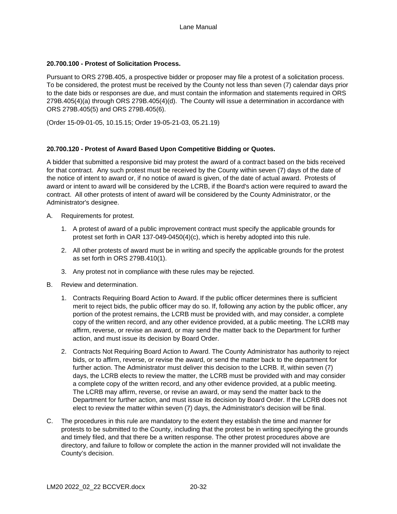## **20.700.100 - Protest of Solicitation Process.**

Pursuant to ORS 279B.405, a prospective bidder or proposer may file a protest of a solicitation process. To be considered, the protest must be received by the County not less than seven (7) calendar days prior to the date bids or responses are due, and must contain the information and statements required in ORS 279B.405(4)(a) through ORS 279B.405(4)(d). The County will issue a determination in accordance with ORS 279B.405(5) and ORS 279B.405(6).

(Order 15-09-01-05, 10.15.15; Order 19-05-21-03, 05.21.19)

### **20.700.120 - Protest of Award Based Upon Competitive Bidding or Quotes.**

A bidder that submitted a responsive bid may protest the award of a contract based on the bids received for that contract. Any such protest must be received by the County within seven (7) days of the date of the notice of intent to award or, if no notice of award is given, of the date of actual award. Protests of award or intent to award will be considered by the LCRB, if the Board's action were required to award the contract. All other protests of intent of award will be considered by the County Administrator, or the Administrator's designee.

- A. Requirements for protest.
	- 1. A protest of award of a public improvement contract must specify the applicable grounds for protest set forth in OAR 137-049-0450(4)(c), which is hereby adopted into this rule.
	- 2. All other protests of award must be in writing and specify the applicable grounds for the protest as set forth in ORS 279B.410(1).
	- 3. Any protest not in compliance with these rules may be rejected.
- B. Review and determination.
	- 1. Contracts Requiring Board Action to Award. If the public officer determines there is sufficient merit to reject bids, the public officer may do so. If, following any action by the public officer, any portion of the protest remains, the LCRB must be provided with, and may consider, a complete copy of the written record, and any other evidence provided, at a public meeting. The LCRB may affirm, reverse, or revise an award, or may send the matter back to the Department for further action, and must issue its decision by Board Order.
	- 2. Contracts Not Requiring Board Action to Award. The County Administrator has authority to reject bids, or to affirm, reverse, or revise the award, or send the matter back to the department for further action. The Administrator must deliver this decision to the LCRB. If, within seven (7) days, the LCRB elects to review the matter, the LCRB must be provided with and may consider a complete copy of the written record, and any other evidence provided, at a public meeting. The LCRB may affirm, reverse, or revise an award, or may send the matter back to the Department for further action, and must issue its decision by Board Order. If the LCRB does not elect to review the matter within seven (7) days, the Administrator's decision will be final.
- C. The procedures in this rule are mandatory to the extent they establish the time and manner for protests to be submitted to the County, including that the protest be in writing specifying the grounds and timely filed, and that there be a written response. The other protest procedures above are directory, and failure to follow or complete the action in the manner provided will not invalidate the County's decision.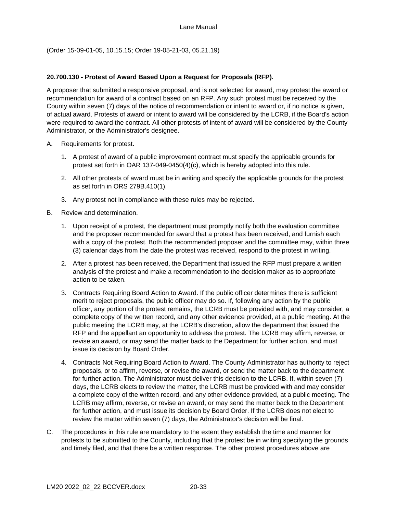(Order 15-09-01-05, 10.15.15; Order 19-05-21-03, 05.21.19)

# **20.700.130 - Protest of Award Based Upon a Request for Proposals (RFP).**

A proposer that submitted a responsive proposal, and is not selected for award, may protest the award or recommendation for award of a contract based on an RFP. Any such protest must be received by the County within seven (7) days of the notice of recommendation or intent to award or, if no notice is given, of actual award. Protests of award or intent to award will be considered by the LCRB, if the Board's action were required to award the contract. All other protests of intent of award will be considered by the County Administrator, or the Administrator's designee.

- A. Requirements for protest.
	- 1. A protest of award of a public improvement contract must specify the applicable grounds for protest set forth in OAR 137-049-0450(4)(c), which is hereby adopted into this rule.
	- 2. All other protests of award must be in writing and specify the applicable grounds for the protest as set forth in ORS 279B.410(1).
	- 3. Any protest not in compliance with these rules may be rejected.
- B. Review and determination.
	- 1. Upon receipt of a protest, the department must promptly notify both the evaluation committee and the proposer recommended for award that a protest has been received, and furnish each with a copy of the protest. Both the recommended proposer and the committee may, within three (3) calendar days from the date the protest was received, respond to the protest in writing.
	- 2. After a protest has been received, the Department that issued the RFP must prepare a written analysis of the protest and make a recommendation to the decision maker as to appropriate action to be taken.
	- 3. Contracts Requiring Board Action to Award. If the public officer determines there is sufficient merit to reject proposals, the public officer may do so. If, following any action by the public officer, any portion of the protest remains, the LCRB must be provided with, and may consider, a complete copy of the written record, and any other evidence provided, at a public meeting. At the public meeting the LCRB may, at the LCRB's discretion, allow the department that issued the RFP and the appellant an opportunity to address the protest. The LCRB may affirm, reverse, or revise an award, or may send the matter back to the Department for further action, and must issue its decision by Board Order.
	- 4. Contracts Not Requiring Board Action to Award. The County Administrator has authority to reject proposals, or to affirm, reverse, or revise the award, or send the matter back to the department for further action. The Administrator must deliver this decision to the LCRB. If, within seven (7) days, the LCRB elects to review the matter, the LCRB must be provided with and may consider a complete copy of the written record, and any other evidence provided, at a public meeting. The LCRB may affirm, reverse, or revise an award, or may send the matter back to the Department for further action, and must issue its decision by Board Order. If the LCRB does not elect to review the matter within seven (7) days, the Administrator's decision will be final.
- C. The procedures in this rule are mandatory to the extent they establish the time and manner for protests to be submitted to the County, including that the protest be in writing specifying the grounds and timely filed, and that there be a written response. The other protest procedures above are